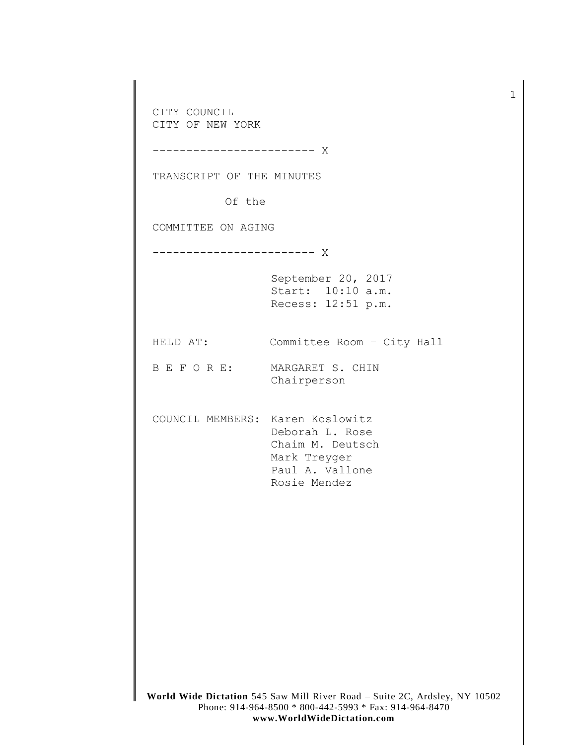**World Wide Dictation** 545 Saw Mill River Road – Suite 2C, Ardsley, NY 10502 CITY COUNCIL CITY OF NEW YORK ------------------------ X TRANSCRIPT OF THE MINUTES Of the COMMITTEE ON AGING ------------------------ X September 20, 2017 Start: 10:10 a.m. Recess: 12:51 p.m. HELD AT: Committee Room – City Hall B E F O R E: MARGARET S. CHIN Chairperson COUNCIL MEMBERS: Karen Koslowitz Deborah L. Rose Chaim M. Deutsch Mark Treyger Paul A. Vallone Rosie Mendez

1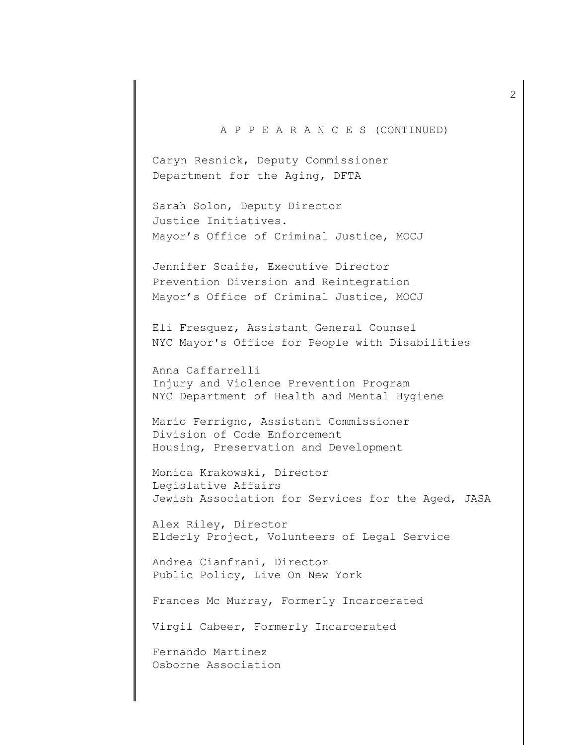## A P P E A R A N C E S (CONTINUED)

Caryn Resnick, Deputy Commissioner Department for the Aging, DFTA

Sarah Solon, Deputy Director Justice Initiatives. Mayor's Office of Criminal Justice, MOCJ

Jennifer Scaife, Executive Director Prevention Diversion and Reintegration Mayor's Office of Criminal Justice, MOCJ

Eli Fresquez, Assistant General Counsel NYC Mayor's Office for People with Disabilities

Anna Caffarrelli Injury and Violence Prevention Program NYC Department of Health and Mental Hygiene

Mario Ferrigno, Assistant Commissioner Division of Code Enforcement Housing, Preservation and Development

Monica Krakowski, Director Legislative Affairs Jewish Association for Services for the Aged, JASA

Alex Riley, Director Elderly Project, Volunteers of Legal Service

Andrea Cianfrani, Director Public Policy, Live On New York

Frances Mc Murray, Formerly Incarcerated

Virgil Cabeer, Formerly Incarcerated

Fernando Martinez Osborne Association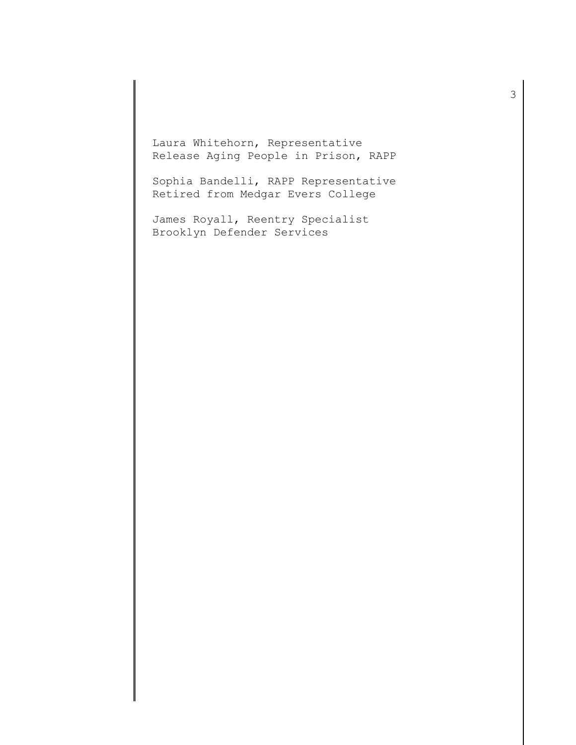Laura Whitehorn, Representative Release Aging People in Prison, RAPP

Sophia Bandelli, RAPP Representative Retired from Medgar Evers College

James Royall, Reentry Specialist Brooklyn Defender Services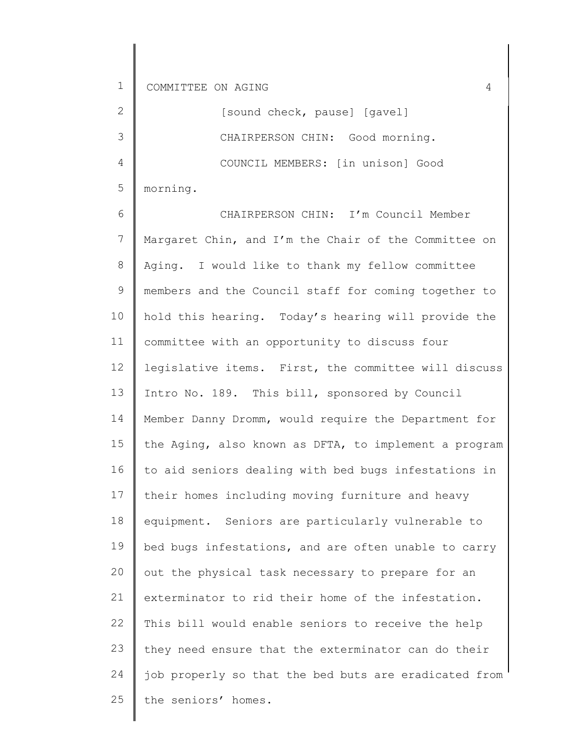2

3

4

5

[sound check, pause] [gavel] CHAIRPERSON CHIN: Good morning. COUNCIL MEMBERS: [in unison] Good morning.

6 7 8 9 10 11 12 13 14 15 16 17 18 19  $20$ 21 22 23 24 25 CHAIRPERSON CHIN: I'm Council Member Margaret Chin, and I'm the Chair of the Committee on Aging. I would like to thank my fellow committee members and the Council staff for coming together to hold this hearing. Today's hearing will provide the committee with an opportunity to discuss four legislative items. First, the committee will discuss Intro No. 189. This bill, sponsored by Council Member Danny Dromm, would require the Department for the Aging, also known as DFTA, to implement a program to aid seniors dealing with bed bugs infestations in their homes including moving furniture and heavy equipment. Seniors are particularly vulnerable to bed bugs infestations, and are often unable to carry out the physical task necessary to prepare for an exterminator to rid their home of the infestation. This bill would enable seniors to receive the help they need ensure that the exterminator can do their job properly so that the bed buts are eradicated from the seniors' homes.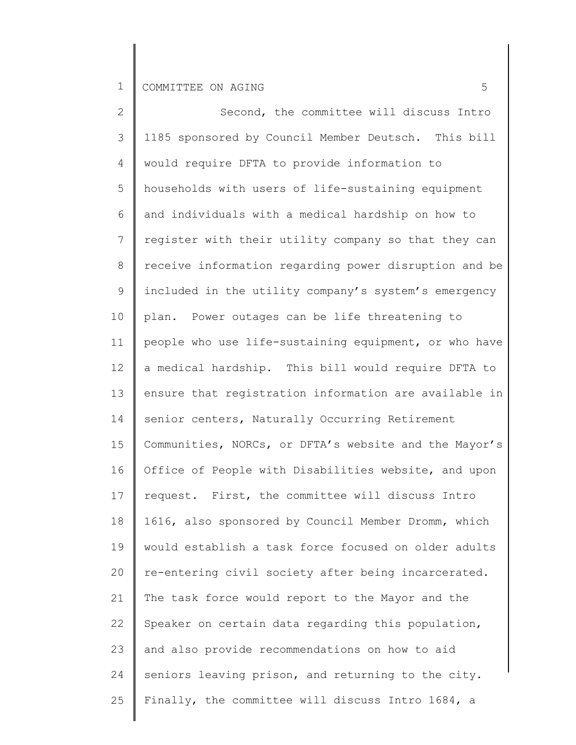2 3 4 5 6 7 8 9 10 11 12 13 14 15 16 17 18 19 20 21 22 23 24 25 Second, the committee will discuss Intro 1185 sponsored by Council Member Deutsch. This bill would require DFTA to provide information to households with users of life-sustaining equipment and individuals with a medical hardship on how to register with their utility company so that they can receive information regarding power disruption and be included in the utility company's system's emergency plan. Power outages can be life threatening to people who use life-sustaining equipment, or who have a medical hardship. This bill would require DFTA to ensure that registration information are available in senior centers, Naturally Occurring Retirement Communities, NORCs, or DFTA's website and the Mayor's Office of People with Disabilities website, and upon request. First, the committee will discuss Intro 1616, also sponsored by Council Member Dromm, which would establish a task force focused on older adults re-entering civil society after being incarcerated. The task force would report to the Mayor and the Speaker on certain data regarding this population, and also provide recommendations on how to aid seniors leaving prison, and returning to the city. Finally, the committee will discuss Intro 1684, a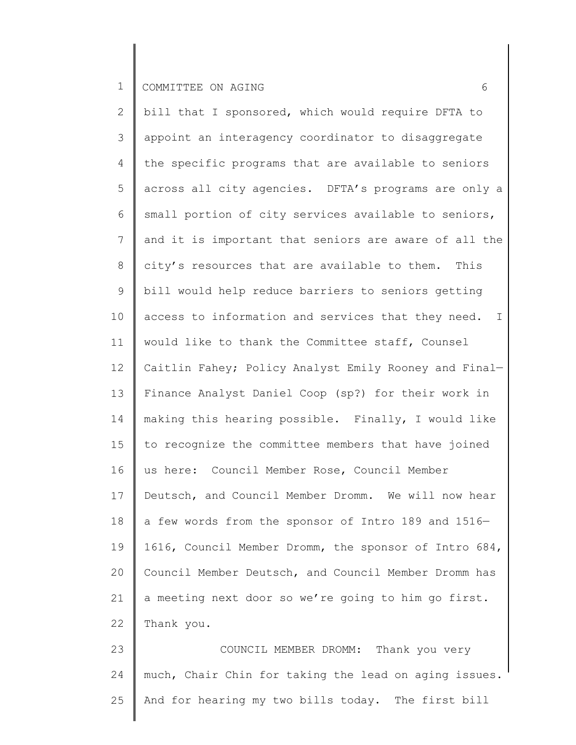2 3 4 5 6 7 8 9 10 11 12 13 14 15 16 17 18 19 20 21 22 23 bill that I sponsored, which would require DFTA to appoint an interagency coordinator to disaggregate the specific programs that are available to seniors across all city agencies. DFTA's programs are only a small portion of city services available to seniors, and it is important that seniors are aware of all the city's resources that are available to them. This bill would help reduce barriers to seniors getting access to information and services that they need. I would like to thank the Committee staff, Counsel Caitlin Fahey; Policy Analyst Emily Rooney and Final— Finance Analyst Daniel Coop (sp?) for their work in making this hearing possible. Finally, I would like to recognize the committee members that have joined us here: Council Member Rose, Council Member Deutsch, and Council Member Dromm. We will now hear a few words from the sponsor of Intro 189 and 1516— 1616, Council Member Dromm, the sponsor of Intro 684, Council Member Deutsch, and Council Member Dromm has a meeting next door so we're going to him go first. Thank you. COUNCIL MEMBER DROMM: Thank you very

24 25 much, Chair Chin for taking the lead on aging issues. And for hearing my two bills today. The first bill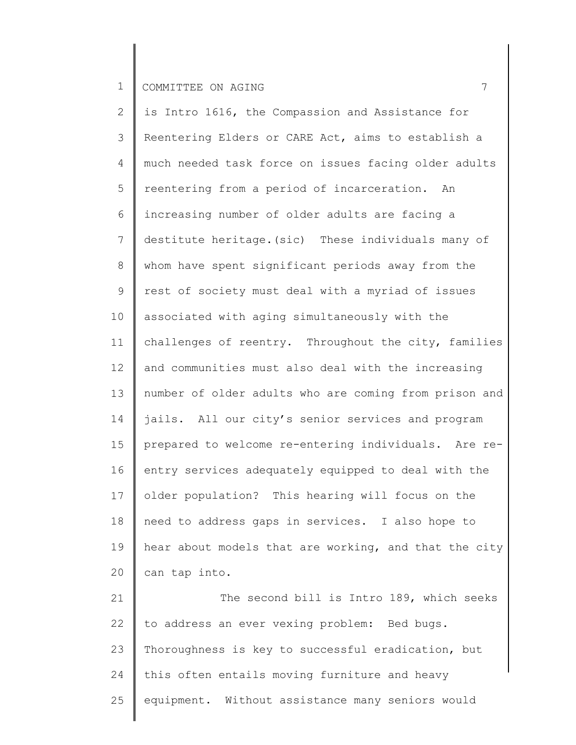2 3 4 5 6 7 8 9 10 11 12 13 14 15 16 17 18 19 20 is Intro 1616, the Compassion and Assistance for Reentering Elders or CARE Act, aims to establish a much needed task force on issues facing older adults reentering from a period of incarceration. An increasing number of older adults are facing a destitute heritage.(sic) These individuals many of whom have spent significant periods away from the rest of society must deal with a myriad of issues associated with aging simultaneously with the challenges of reentry. Throughout the city, families and communities must also deal with the increasing number of older adults who are coming from prison and jails. All our city's senior services and program prepared to welcome re-entering individuals. Are reentry services adequately equipped to deal with the older population? This hearing will focus on the need to address gaps in services. I also hope to hear about models that are working, and that the city can tap into.

21 22 23 24 25 The second bill is Intro 189, which seeks to address an ever vexing problem: Bed bugs. Thoroughness is key to successful eradication, but this often entails moving furniture and heavy equipment. Without assistance many seniors would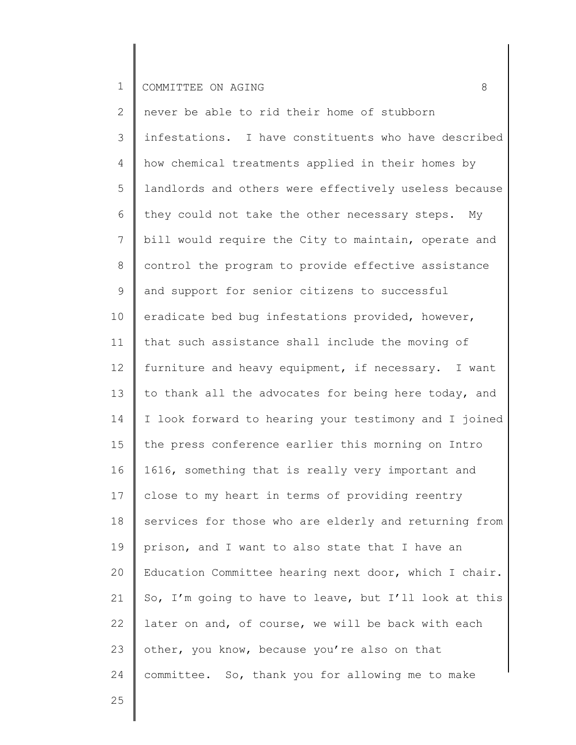2 3 4 5 6 7 8 9 10 11 12 13 14 15 16 17 18 19 20 21 22 23 24 never be able to rid their home of stubborn infestations. I have constituents who have described how chemical treatments applied in their homes by landlords and others were effectively useless because they could not take the other necessary steps. My bill would require the City to maintain, operate and control the program to provide effective assistance and support for senior citizens to successful eradicate bed bug infestations provided, however, that such assistance shall include the moving of furniture and heavy equipment, if necessary. I want to thank all the advocates for being here today, and I look forward to hearing your testimony and I joined the press conference earlier this morning on Intro 1616, something that is really very important and close to my heart in terms of providing reentry services for those who are elderly and returning from prison, and I want to also state that I have an Education Committee hearing next door, which I chair. So, I'm going to have to leave, but I'll look at this later on and, of course, we will be back with each other, you know, because you're also on that committee. So, thank you for allowing me to make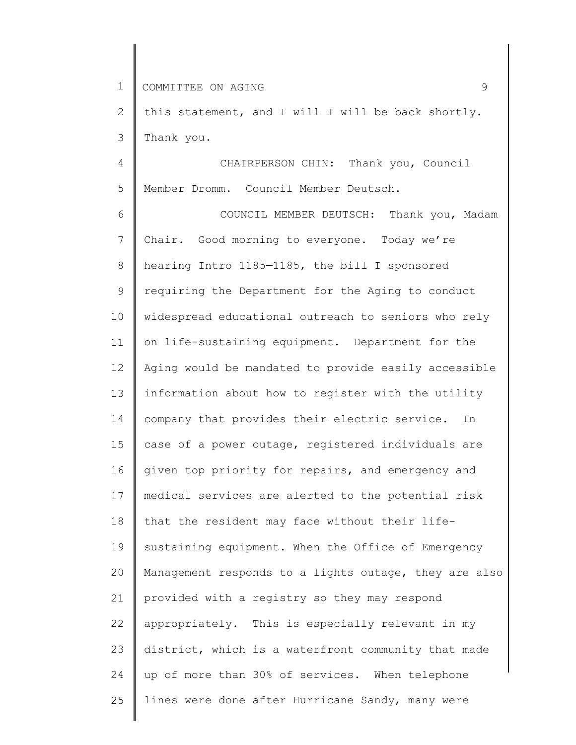1 COMMITTEE ON AGING 1999 COMMITTEE ON AGING

2 3 this statement, and I will—I will be back shortly. Thank you.

4 5 CHAIRPERSON CHIN: Thank you, Council Member Dromm. Council Member Deutsch.

6 7 8 9 10 11 12 13 14 15 16 17 18 19 20 21 22 23 24 25 COUNCIL MEMBER DEUTSCH: Thank you, Madam Chair. Good morning to everyone. Today we're hearing Intro 1185—1185, the bill I sponsored requiring the Department for the Aging to conduct widespread educational outreach to seniors who rely on life-sustaining equipment. Department for the Aging would be mandated to provide easily accessible information about how to register with the utility company that provides their electric service. In case of a power outage, registered individuals are given top priority for repairs, and emergency and medical services are alerted to the potential risk that the resident may face without their lifesustaining equipment. When the Office of Emergency Management responds to a lights outage, they are also provided with a registry so they may respond appropriately. This is especially relevant in my district, which is a waterfront community that made up of more than 30% of services. When telephone lines were done after Hurricane Sandy, many were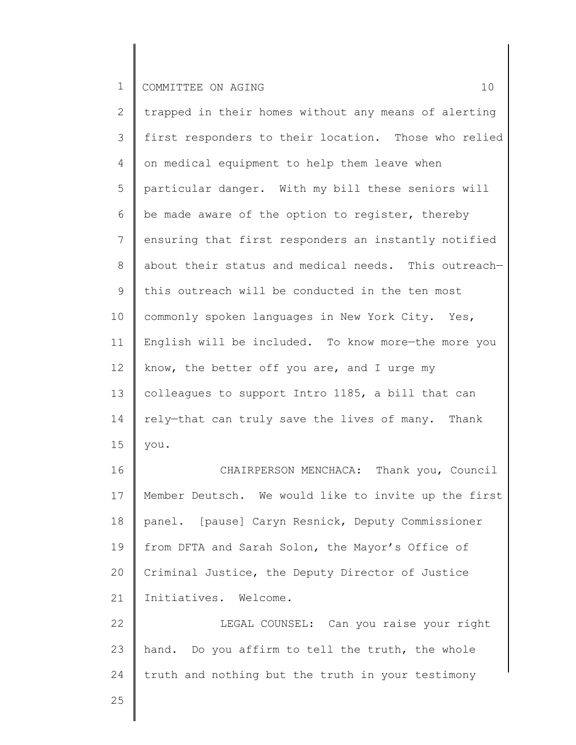2 3 4 5 6 7 8 9 10 11 12 13 14 15 16 17 18 19 20 21 trapped in their homes without any means of alerting first responders to their location. Those who relied on medical equipment to help them leave when particular danger. With my bill these seniors will be made aware of the option to register, thereby ensuring that first responders an instantly notified about their status and medical needs. This outreach this outreach will be conducted in the ten most commonly spoken languages in New York City. Yes, English will be included. To know more—the more you know, the better off you are, and I urge my colleagues to support Intro 1185, a bill that can rely—that can truly save the lives of many. Thank you. CHAIRPERSON MENCHACA: Thank you, Council Member Deutsch. We would like to invite up the first panel. [pause] Caryn Resnick, Deputy Commissioner from DFTA and Sarah Solon, the Mayor's Office of Criminal Justice, the Deputy Director of Justice Initiatives. Welcome.

22 23 24 LEGAL COUNSEL: Can you raise your right hand. Do you affirm to tell the truth, the whole truth and nothing but the truth in your testimony

25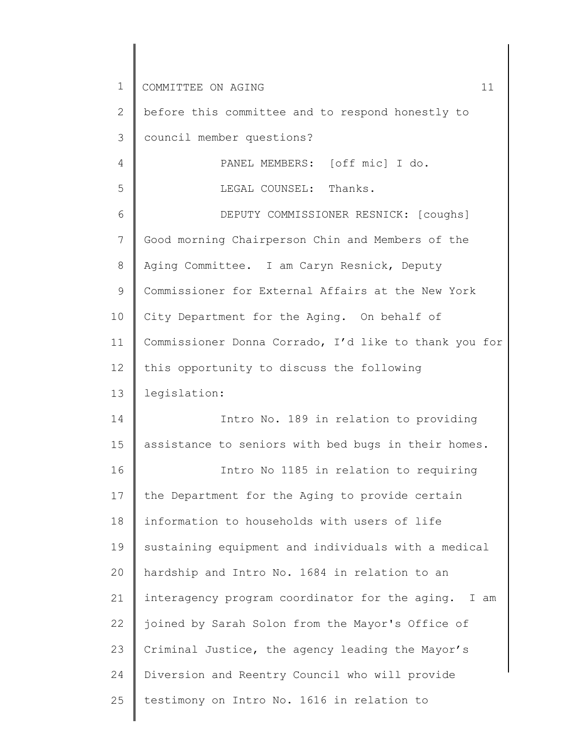1 2 3 4 5 6 7 8 9 10 11 12 13 14 15 16 17 18 19 20 21 22 23 24 25 COMMITTEE ON AGING 11 before this committee and to respond honestly to council member questions? PANEL MEMBERS: [off mic] I do. LEGAL COUNSEL: Thanks. DEPUTY COMMISSIONER RESNICK: [coughs] Good morning Chairperson Chin and Members of the Aging Committee. I am Caryn Resnick, Deputy Commissioner for External Affairs at the New York City Department for the Aging. On behalf of Commissioner Donna Corrado, I'd like to thank you for this opportunity to discuss the following legislation: Intro No. 189 in relation to providing assistance to seniors with bed bugs in their homes. Intro No 1185 in relation to requiring the Department for the Aging to provide certain information to households with users of life sustaining equipment and individuals with a medical hardship and Intro No. 1684 in relation to an interagency program coordinator for the aging. I am joined by Sarah Solon from the Mayor's Office of Criminal Justice, the agency leading the Mayor's Diversion and Reentry Council who will provide testimony on Intro No. 1616 in relation to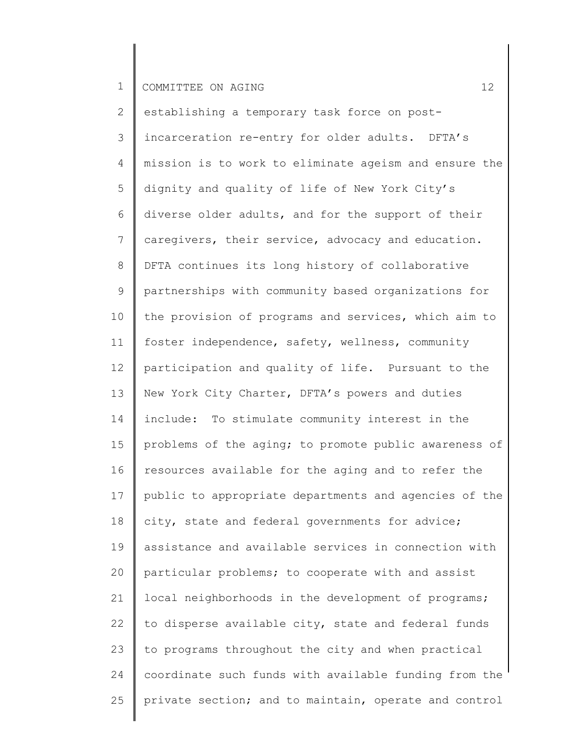2 3 4 5 6 7 8 9 10 11 12 13 14 15 16 17 18 19 20 21 22 23 24 25 establishing a temporary task force on postincarceration re-entry for older adults. DFTA's mission is to work to eliminate ageism and ensure the dignity and quality of life of New York City's diverse older adults, and for the support of their caregivers, their service, advocacy and education. DFTA continues its long history of collaborative partnerships with community based organizations for the provision of programs and services, which aim to foster independence, safety, wellness, community participation and quality of life. Pursuant to the New York City Charter, DFTA's powers and duties include: To stimulate community interest in the problems of the aging; to promote public awareness of resources available for the aging and to refer the public to appropriate departments and agencies of the city, state and federal governments for advice; assistance and available services in connection with particular problems; to cooperate with and assist local neighborhoods in the development of programs; to disperse available city, state and federal funds to programs throughout the city and when practical coordinate such funds with available funding from the private section; and to maintain, operate and control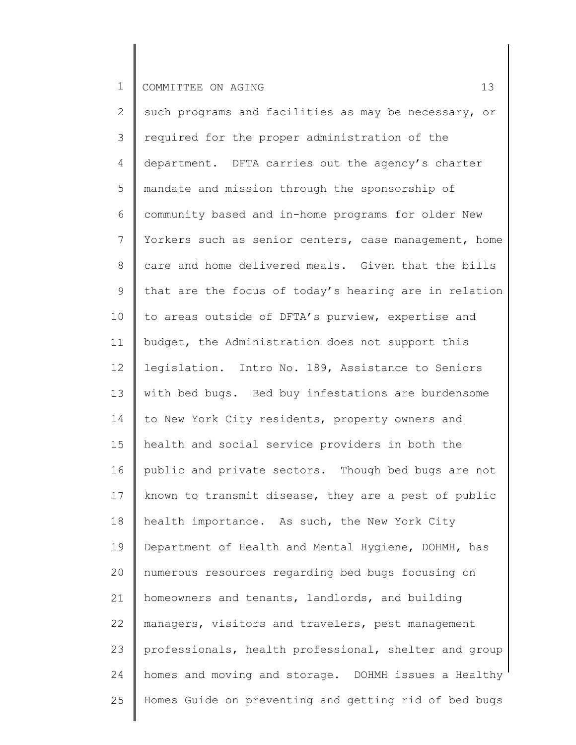2 3 4 5 6 7 8 9 10 11 12 13 14 15 16 17 18 19 20 21 22 23 24 25 such programs and facilities as may be necessary, or required for the proper administration of the department. DFTA carries out the agency's charter mandate and mission through the sponsorship of community based and in-home programs for older New Yorkers such as senior centers, case management, home care and home delivered meals. Given that the bills that are the focus of today's hearing are in relation to areas outside of DFTA's purview, expertise and budget, the Administration does not support this legislation. Intro No. 189, Assistance to Seniors with bed bugs. Bed buy infestations are burdensome to New York City residents, property owners and health and social service providers in both the public and private sectors. Though bed bugs are not known to transmit disease, they are a pest of public health importance. As such, the New York City Department of Health and Mental Hygiene, DOHMH, has numerous resources regarding bed bugs focusing on homeowners and tenants, landlords, and building managers, visitors and travelers, pest management professionals, health professional, shelter and group homes and moving and storage. DOHMH issues a Healthy Homes Guide on preventing and getting rid of bed bugs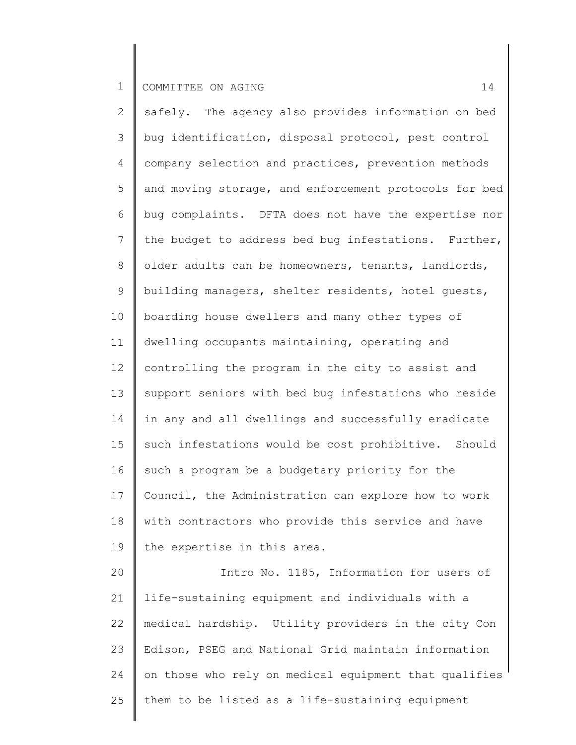25

2 3 4 5 6 7 8 9 10 11 12 13 14 15 16 17 18 19 20 21 22 23 24 safely. The agency also provides information on bed bug identification, disposal protocol, pest control company selection and practices, prevention methods and moving storage, and enforcement protocols for bed bug complaints. DFTA does not have the expertise nor the budget to address bed bug infestations. Further, older adults can be homeowners, tenants, landlords, building managers, shelter residents, hotel guests, boarding house dwellers and many other types of dwelling occupants maintaining, operating and controlling the program in the city to assist and support seniors with bed bug infestations who reside in any and all dwellings and successfully eradicate such infestations would be cost prohibitive. Should such a program be a budgetary priority for the Council, the Administration can explore how to work with contractors who provide this service and have the expertise in this area. Intro No. 1185, Information for users of life-sustaining equipment and individuals with a medical hardship. Utility providers in the city Con Edison, PSEG and National Grid maintain information on those who rely on medical equipment that qualifies

them to be listed as a life-sustaining equipment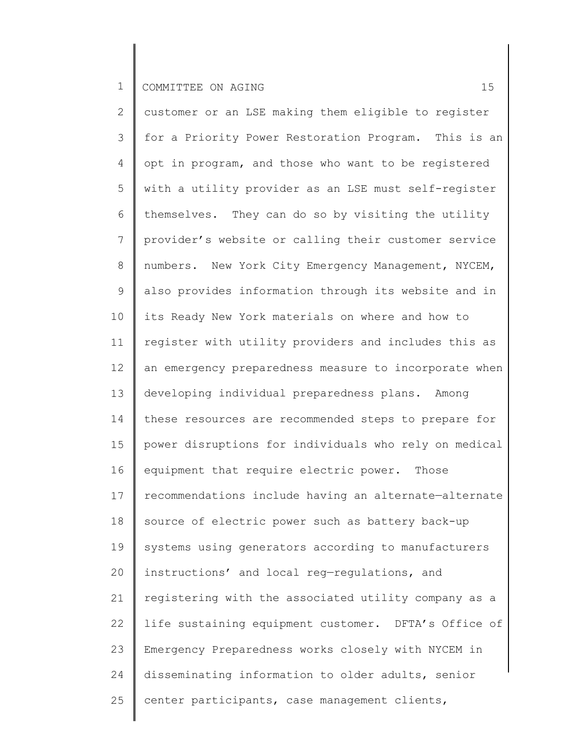2 3 4 5 6 7 8 9 10 11 12 13 14 15 16 17 18 19 20 21 22 23 24 25 customer or an LSE making them eligible to register for a Priority Power Restoration Program. This is an opt in program, and those who want to be registered with a utility provider as an LSE must self-register themselves. They can do so by visiting the utility provider's website or calling their customer service numbers. New York City Emergency Management, NYCEM, also provides information through its website and in its Ready New York materials on where and how to register with utility providers and includes this as an emergency preparedness measure to incorporate when developing individual preparedness plans. Among these resources are recommended steps to prepare for power disruptions for individuals who rely on medical equipment that require electric power. Those recommendations include having an alternate—alternate source of electric power such as battery back-up systems using generators according to manufacturers instructions' and local reg—regulations, and registering with the associated utility company as a life sustaining equipment customer. DFTA's Office of Emergency Preparedness works closely with NYCEM in disseminating information to older adults, senior center participants, case management clients,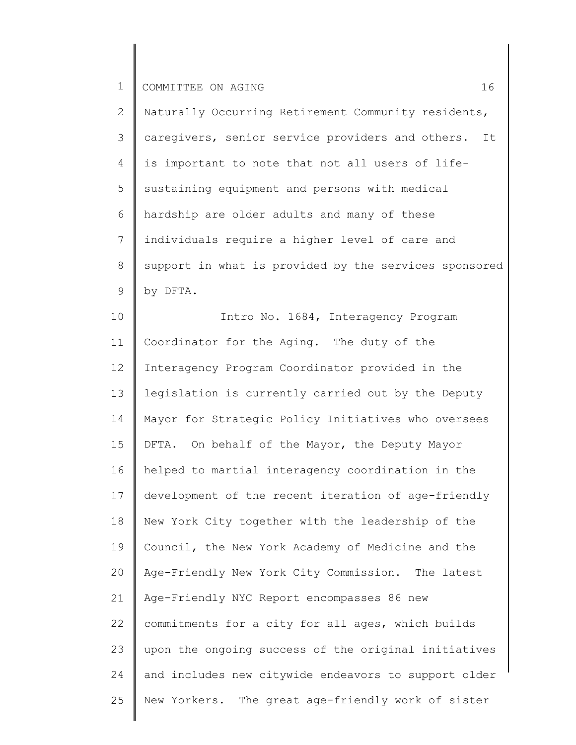2 3 4 5 6 7 8 9 Naturally Occurring Retirement Community residents, caregivers, senior service providers and others. It is important to note that not all users of lifesustaining equipment and persons with medical hardship are older adults and many of these individuals require a higher level of care and support in what is provided by the services sponsored by DFTA.

10 11 12 13 14 15 16 17 18 19 20 21 22 23 24 25 Intro No. 1684, Interagency Program Coordinator for the Aging. The duty of the Interagency Program Coordinator provided in the legislation is currently carried out by the Deputy Mayor for Strategic Policy Initiatives who oversees DFTA. On behalf of the Mayor, the Deputy Mayor helped to martial interagency coordination in the development of the recent iteration of age-friendly New York City together with the leadership of the Council, the New York Academy of Medicine and the Age-Friendly New York City Commission. The latest Age-Friendly NYC Report encompasses 86 new commitments for a city for all ages, which builds upon the ongoing success of the original initiatives and includes new citywide endeavors to support older New Yorkers. The great age-friendly work of sister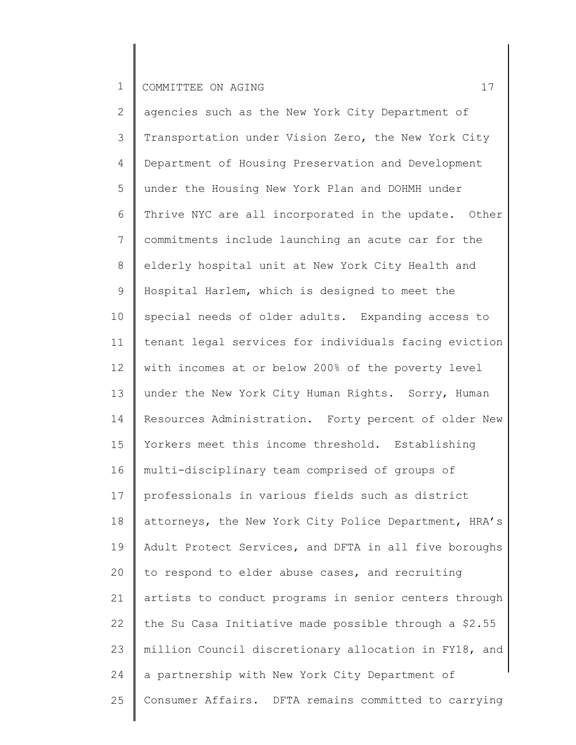2 3 4 5 6 7 8 9 10 11 12 13 14 15 16 17 18 19 20 21 22 23 24 25 agencies such as the New York City Department of Transportation under Vision Zero, the New York City Department of Housing Preservation and Development under the Housing New York Plan and DOHMH under Thrive NYC are all incorporated in the update. Other commitments include launching an acute car for the elderly hospital unit at New York City Health and Hospital Harlem, which is designed to meet the special needs of older adults. Expanding access to tenant legal services for individuals facing eviction with incomes at or below 200% of the poverty level under the New York City Human Rights. Sorry, Human Resources Administration. Forty percent of older New Yorkers meet this income threshold. Establishing multi-disciplinary team comprised of groups of professionals in various fields such as district attorneys, the New York City Police Department, HRA's Adult Protect Services, and DFTA in all five boroughs to respond to elder abuse cases, and recruiting artists to conduct programs in senior centers through the Su Casa Initiative made possible through a \$2.55 million Council discretionary allocation in FY18, and a partnership with New York City Department of Consumer Affairs. DFTA remains committed to carrying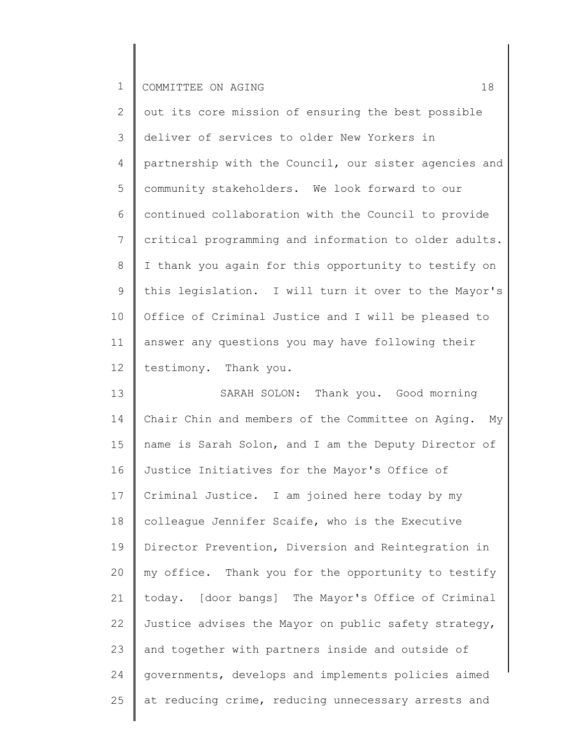2 3 4 5 6 7 8 9 10 11 12 out its core mission of ensuring the best possible deliver of services to older New Yorkers in partnership with the Council, our sister agencies and community stakeholders. We look forward to our continued collaboration with the Council to provide critical programming and information to older adults. I thank you again for this opportunity to testify on this legislation. I will turn it over to the Mayor's Office of Criminal Justice and I will be pleased to answer any questions you may have following their testimony. Thank you.

13 14 15 16 17 18 19 20 21 22 23 24 25 SARAH SOLON: Thank you. Good morning Chair Chin and members of the Committee on Aging. My name is Sarah Solon, and I am the Deputy Director of Justice Initiatives for the Mayor's Office of Criminal Justice. I am joined here today by my colleague Jennifer Scaife, who is the Executive Director Prevention, Diversion and Reintegration in my office. Thank you for the opportunity to testify today. [door bangs] The Mayor's Office of Criminal Justice advises the Mayor on public safety strategy, and together with partners inside and outside of governments, develops and implements policies aimed at reducing crime, reducing unnecessary arrests and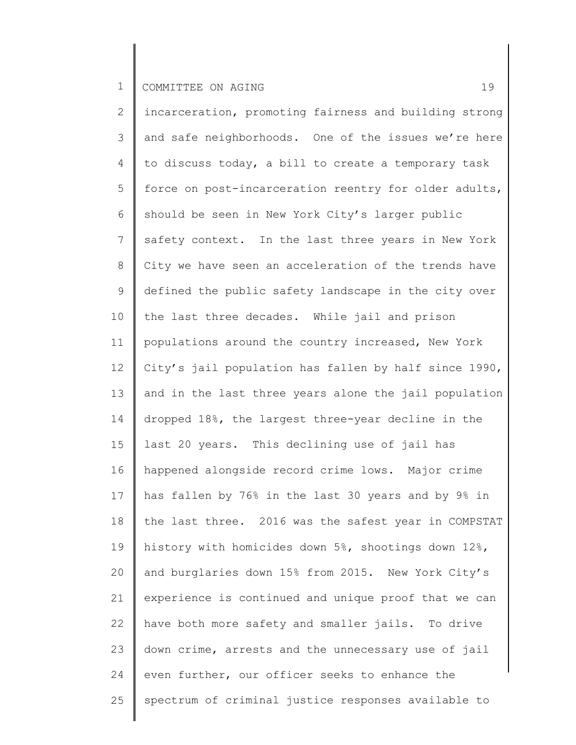2 3 4 5 6 7 8 9 10 11 12 13 14 15 16 17 18 19 20 21 22 23 24 25 incarceration, promoting fairness and building strong and safe neighborhoods. One of the issues we're here to discuss today, a bill to create a temporary task force on post-incarceration reentry for older adults, should be seen in New York City's larger public safety context. In the last three years in New York City we have seen an acceleration of the trends have defined the public safety landscape in the city over the last three decades. While jail and prison populations around the country increased, New York City's jail population has fallen by half since 1990, and in the last three years alone the jail population dropped 18%, the largest three-year decline in the last 20 years. This declining use of jail has happened alongside record crime lows. Major crime has fallen by 76% in the last 30 years and by 9% in the last three. 2016 was the safest year in COMPSTAT history with homicides down 5%, shootings down 12%, and burglaries down 15% from 2015. New York City's experience is continued and unique proof that we can have both more safety and smaller jails. To drive down crime, arrests and the unnecessary use of jail even further, our officer seeks to enhance the spectrum of criminal justice responses available to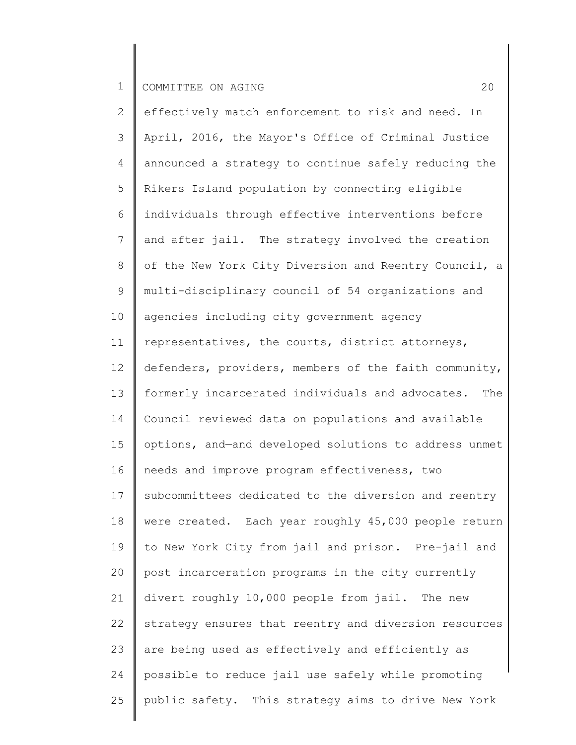2 3 4 5 6 7 8 9 10 11 12 13 14 15 16 17 18 19 20 21 22 23 24 25 effectively match enforcement to risk and need. In April, 2016, the Mayor's Office of Criminal Justice announced a strategy to continue safely reducing the Rikers Island population by connecting eligible individuals through effective interventions before and after jail. The strategy involved the creation of the New York City Diversion and Reentry Council, a multi-disciplinary council of 54 organizations and agencies including city government agency representatives, the courts, district attorneys, defenders, providers, members of the faith community, formerly incarcerated individuals and advocates. The Council reviewed data on populations and available options, and—and developed solutions to address unmet needs and improve program effectiveness, two subcommittees dedicated to the diversion and reentry were created. Each year roughly 45,000 people return to New York City from jail and prison. Pre-jail and post incarceration programs in the city currently divert roughly 10,000 people from jail. The new strategy ensures that reentry and diversion resources are being used as effectively and efficiently as possible to reduce jail use safely while promoting public safety. This strategy aims to drive New York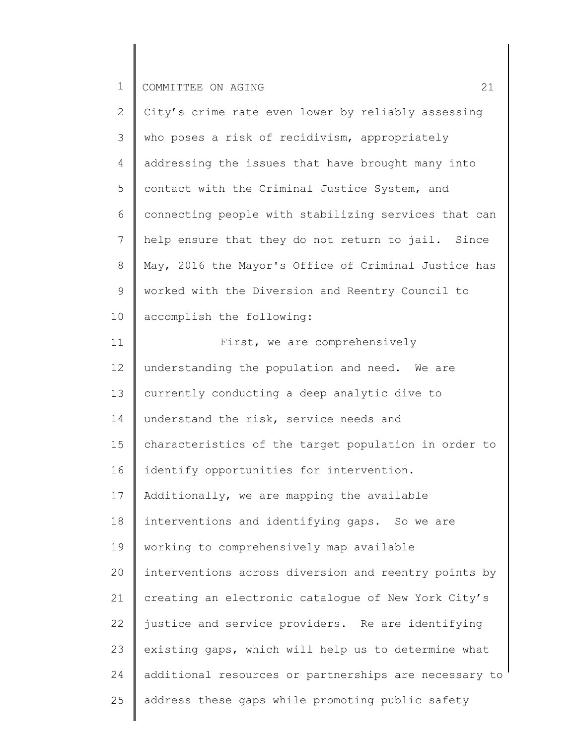2 3 4 5 6 7 8 9 10 City's crime rate even lower by reliably assessing who poses a risk of recidivism, appropriately addressing the issues that have brought many into contact with the Criminal Justice System, and connecting people with stabilizing services that can help ensure that they do not return to jail. Since May, 2016 the Mayor's Office of Criminal Justice has worked with the Diversion and Reentry Council to accomplish the following:

11 12 13 14 15 16 17 18 19 20 21 22 23 24 25 First, we are comprehensively understanding the population and need. We are currently conducting a deep analytic dive to understand the risk, service needs and characteristics of the target population in order to identify opportunities for intervention. Additionally, we are mapping the available interventions and identifying gaps. So we are working to comprehensively map available interventions across diversion and reentry points by creating an electronic catalogue of New York City's justice and service providers. Re are identifying existing gaps, which will help us to determine what additional resources or partnerships are necessary to address these gaps while promoting public safety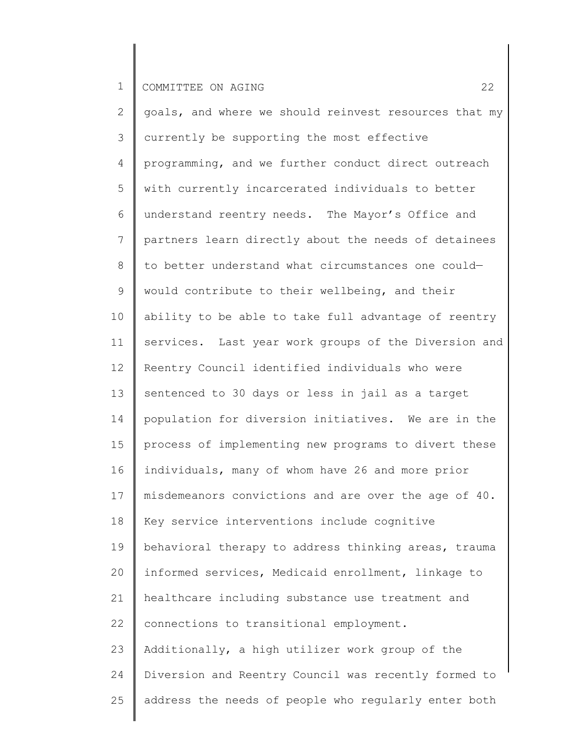2 3 4 5 6 7 8 9 10 11 12 13 14 15 16 17 18 19 20 21 22 23 24 25 goals, and where we should reinvest resources that my currently be supporting the most effective programming, and we further conduct direct outreach with currently incarcerated individuals to better understand reentry needs. The Mayor's Office and partners learn directly about the needs of detainees to better understand what circumstances one could would contribute to their wellbeing, and their ability to be able to take full advantage of reentry services. Last year work groups of the Diversion and Reentry Council identified individuals who were sentenced to 30 days or less in jail as a target population for diversion initiatives. We are in the process of implementing new programs to divert these individuals, many of whom have 26 and more prior misdemeanors convictions and are over the age of 40. Key service interventions include cognitive behavioral therapy to address thinking areas, trauma informed services, Medicaid enrollment, linkage to healthcare including substance use treatment and connections to transitional employment. Additionally, a high utilizer work group of the Diversion and Reentry Council was recently formed to address the needs of people who regularly enter both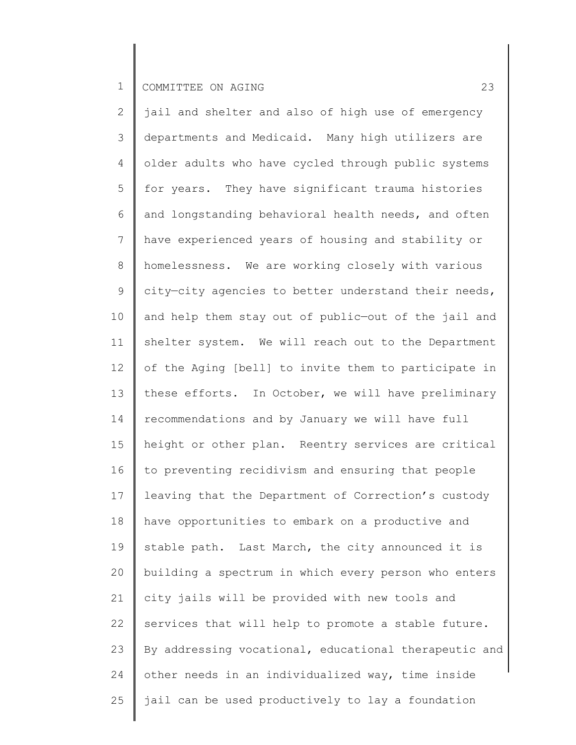2 3 4 5 6 7 8 9 10 11 12 13 14 15 16 17 18 19 20 21 22 23 24 25 jail and shelter and also of high use of emergency departments and Medicaid. Many high utilizers are older adults who have cycled through public systems for years. They have significant trauma histories and longstanding behavioral health needs, and often have experienced years of housing and stability or homelessness. We are working closely with various city—city agencies to better understand their needs, and help them stay out of public—out of the jail and shelter system. We will reach out to the Department of the Aging [bell] to invite them to participate in these efforts. In October, we will have preliminary recommendations and by January we will have full height or other plan. Reentry services are critical to preventing recidivism and ensuring that people leaving that the Department of Correction's custody have opportunities to embark on a productive and stable path. Last March, the city announced it is building a spectrum in which every person who enters city jails will be provided with new tools and services that will help to promote a stable future. By addressing vocational, educational therapeutic and other needs in an individualized way, time inside jail can be used productively to lay a foundation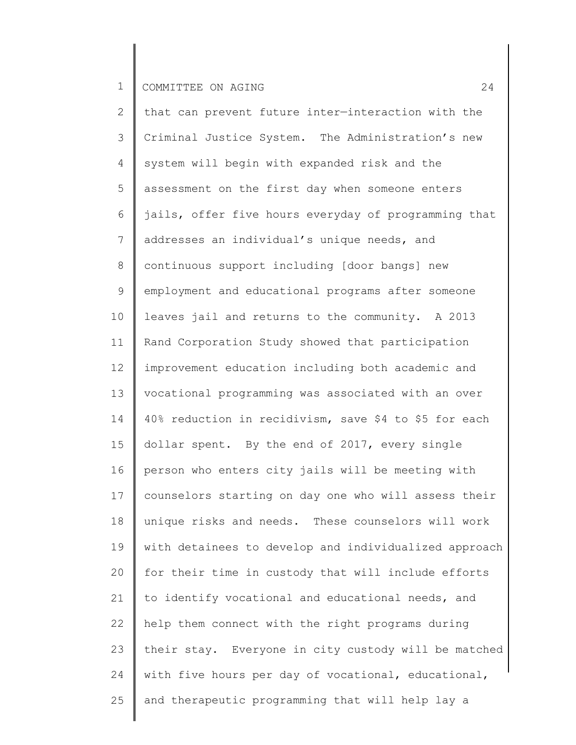2 3 4 5 6 7 8 9 10 11 12 13 14 15 16 17 18 19 20 21 22 23 24 25 that can prevent future inter—interaction with the Criminal Justice System. The Administration's new system will begin with expanded risk and the assessment on the first day when someone enters jails, offer five hours everyday of programming that addresses an individual's unique needs, and continuous support including [door bangs] new employment and educational programs after someone leaves jail and returns to the community. A 2013 Rand Corporation Study showed that participation improvement education including both academic and vocational programming was associated with an over 40% reduction in recidivism, save \$4 to \$5 for each dollar spent. By the end of 2017, every single person who enters city jails will be meeting with counselors starting on day one who will assess their unique risks and needs. These counselors will work with detainees to develop and individualized approach for their time in custody that will include efforts to identify vocational and educational needs, and help them connect with the right programs during their stay. Everyone in city custody will be matched with five hours per day of vocational, educational, and therapeutic programming that will help lay a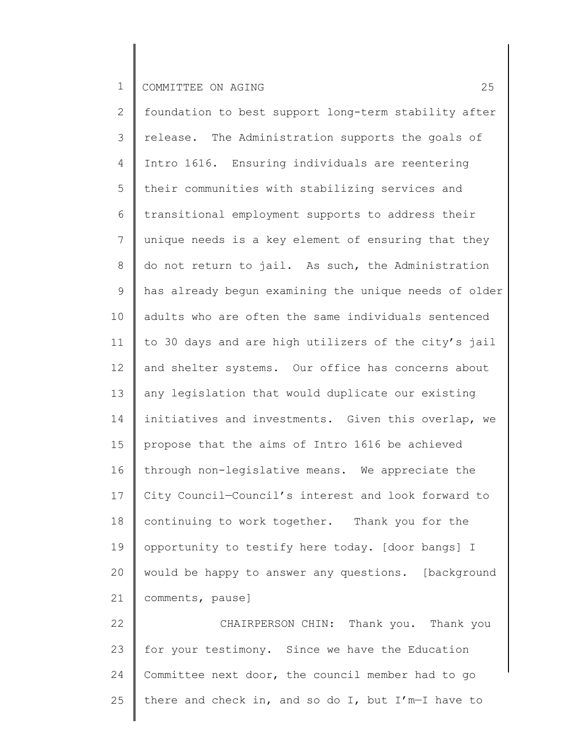2 3 4 5 6 7 8 9 10 11 12 13 14 15 16 17 18 19 20 21 22 23 foundation to best support long-term stability after release. The Administration supports the goals of Intro 1616. Ensuring individuals are reentering their communities with stabilizing services and transitional employment supports to address their unique needs is a key element of ensuring that they do not return to jail. As such, the Administration has already begun examining the unique needs of older adults who are often the same individuals sentenced to 30 days and are high utilizers of the city's jail and shelter systems. Our office has concerns about any legislation that would duplicate our existing initiatives and investments. Given this overlap, we propose that the aims of Intro 1616 be achieved through non-legislative means. We appreciate the City Council—Council's interest and look forward to continuing to work together. Thank you for the opportunity to testify here today. [door bangs] I would be happy to answer any questions. [background comments, pause] CHAIRPERSON CHIN: Thank you. Thank you for your testimony. Since we have the Education

24 25 Committee next door, the council member had to go there and check in, and so do I, but I'm—I have to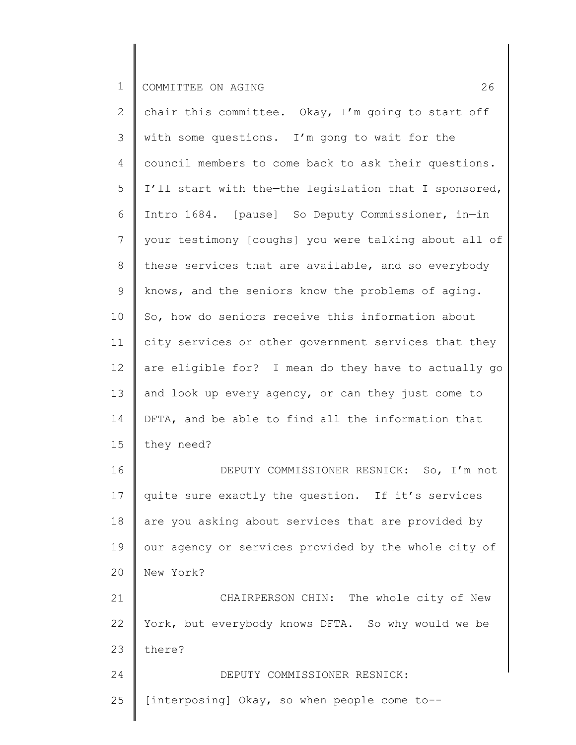2 3 4 5 6 7 8 9 10 11 12 13 14 15 16 17 18 19 20 21 22 23 24 chair this committee. Okay, I'm going to start off with some questions. I'm gong to wait for the council members to come back to ask their questions. I'll start with the—the legislation that I sponsored, Intro 1684. [pause] So Deputy Commissioner, in—in your testimony [coughs] you were talking about all of these services that are available, and so everybody knows, and the seniors know the problems of aging. So, how do seniors receive this information about city services or other government services that they are eligible for? I mean do they have to actually go and look up every agency, or can they just come to DFTA, and be able to find all the information that they need? DEPUTY COMMISSIONER RESNICK: So, I'm not quite sure exactly the question. If it's services are you asking about services that are provided by our agency or services provided by the whole city of New York? CHAIRPERSON CHIN: The whole city of New York, but everybody knows DFTA. So why would we be there? DEPUTY COMMISSIONER RESNICK:

25 [interposing] Okay, so when people come to--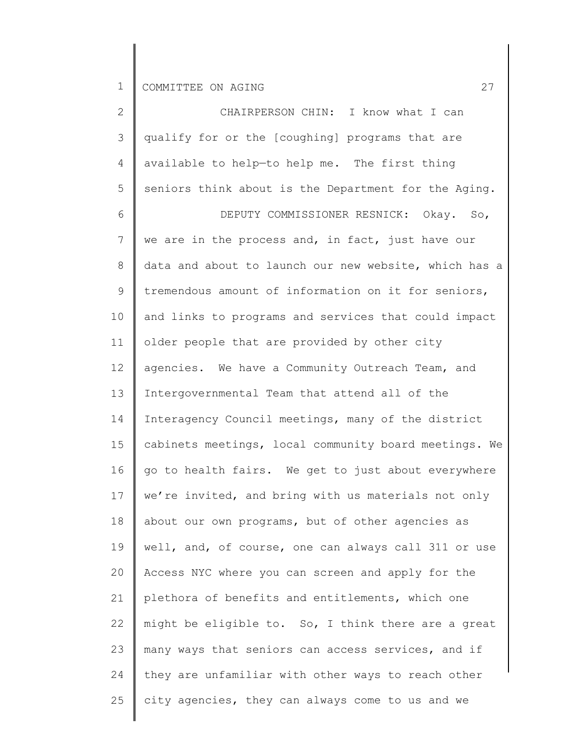2 3 4 5 6 7 8 9 10 11 12 13 14 15 16 17 18 19 20 21 22 23 24 25 CHAIRPERSON CHIN: I know what I can qualify for or the [coughing] programs that are available to help—to help me. The first thing seniors think about is the Department for the Aging. DEPUTY COMMISSIONER RESNICK: Okay. So, we are in the process and, in fact, just have our data and about to launch our new website, which has a tremendous amount of information on it for seniors, and links to programs and services that could impact older people that are provided by other city agencies. We have a Community Outreach Team, and Intergovernmental Team that attend all of the Interagency Council meetings, many of the district cabinets meetings, local community board meetings. We go to health fairs. We get to just about everywhere we're invited, and bring with us materials not only about our own programs, but of other agencies as well, and, of course, one can always call 311 or use Access NYC where you can screen and apply for the plethora of benefits and entitlements, which one might be eligible to. So, I think there are a great many ways that seniors can access services, and if they are unfamiliar with other ways to reach other city agencies, they can always come to us and we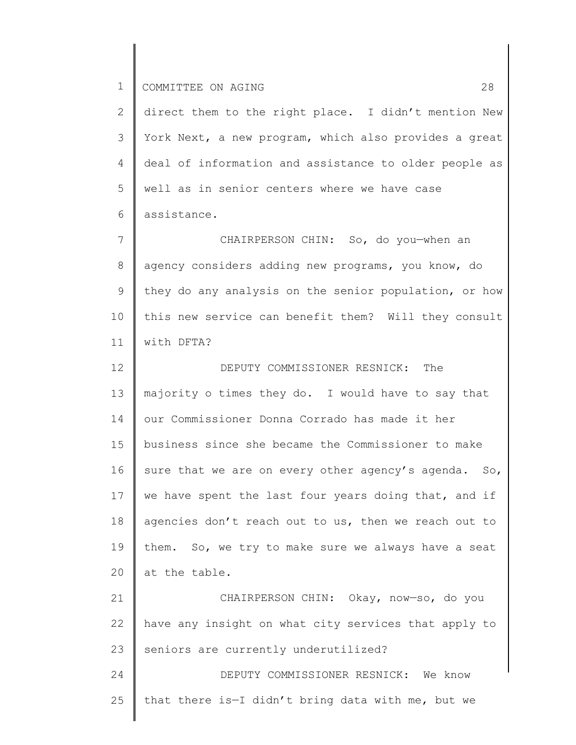2 3 4 5 6 direct them to the right place. I didn't mention New York Next, a new program, which also provides a great deal of information and assistance to older people as well as in senior centers where we have case assistance.

7 8 9 10 11 CHAIRPERSON CHIN: So, do you—when an agency considers adding new programs, you know, do they do any analysis on the senior population, or how this new service can benefit them? Will they consult with DFTA?

12 13 14 15 16 17 18 19 20 DEPUTY COMMISSIONER RESNICK: The majority o times they do. I would have to say that our Commissioner Donna Corrado has made it her business since she became the Commissioner to make sure that we are on every other agency's agenda. So, we have spent the last four years doing that, and if agencies don't reach out to us, then we reach out to them. So, we try to make sure we always have a seat at the table.

21 22 23 CHAIRPERSON CHIN: Okay, now—so, do you have any insight on what city services that apply to seniors are currently underutilized?

24 25 DEPUTY COMMISSIONER RESNICK: We know that there is—I didn't bring data with me, but we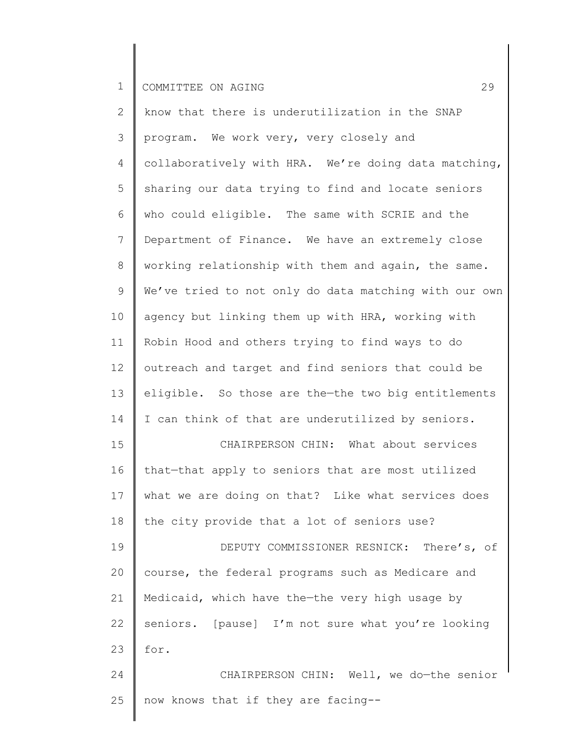| $\mathbf{2}$   | know that there is underutilization in the SNAP       |
|----------------|-------------------------------------------------------|
| 3              | program. We work very, very closely and               |
| 4              | collaboratively with HRA. We're doing data matching,  |
| 5              | sharing our data trying to find and locate seniors    |
| 6              | who could eligible. The same with SCRIE and the       |
| $7\phantom{.}$ | Department of Finance. We have an extremely close     |
| $\,8\,$        | working relationship with them and again, the same.   |
| 9              | We've tried to not only do data matching with our own |
| 10             | agency but linking them up with HRA, working with     |
| 11             | Robin Hood and others trying to find ways to do       |
| 12             | outreach and target and find seniors that could be    |
| 13             | eligible. So those are the-the two big entitlements   |
| 14             | I can think of that are underutilized by seniors.     |
| 15             | CHAIRPERSON CHIN: What about services                 |
| 16             | that-that apply to seniors that are most utilized     |
| 17             | what we are doing on that? Like what services does    |
| 18             | the city provide that a lot of seniors use?           |
| 19             | DEPUTY COMMISSIONER RESNICK: There's, of              |
| 20             | course, the federal programs such as Medicare and     |
| 21             | Medicaid, which have the-the very high usage by       |
| 22             | seniors. [pause] I'm not sure what you're looking     |
| 23             | for.                                                  |
| 24             | CHAIRPERSON CHIN: Well, we do-the senior              |
| 25             | now knows that if they are facing--                   |
|                |                                                       |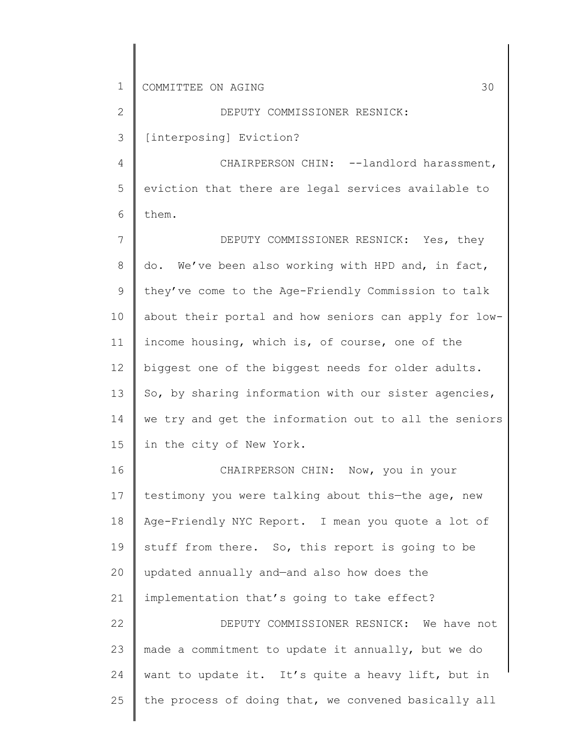2

DEPUTY COMMISSIONER RESNICK:

3 [interposing] Eviction?

4 5 6 CHAIRPERSON CHIN: --landlord harassment, eviction that there are legal services available to them.

7 8 9 10 11 12 13 14 15 DEPUTY COMMISSIONER RESNICK: Yes, they do. We've been also working with HPD and, in fact, they've come to the Age-Friendly Commission to talk about their portal and how seniors can apply for lowincome housing, which is, of course, one of the biggest one of the biggest needs for older adults. So, by sharing information with our sister agencies, we try and get the information out to all the seniors in the city of New York.

16 17 18 19 20 21 22 23 24 25 CHAIRPERSON CHIN: Now, you in your testimony you were talking about this—the age, new Age-Friendly NYC Report. I mean you quote a lot of stuff from there. So, this report is going to be updated annually and—and also how does the implementation that's going to take effect? DEPUTY COMMISSIONER RESNICK: We have not made a commitment to update it annually, but we do want to update it. It's quite a heavy lift, but in the process of doing that, we convened basically all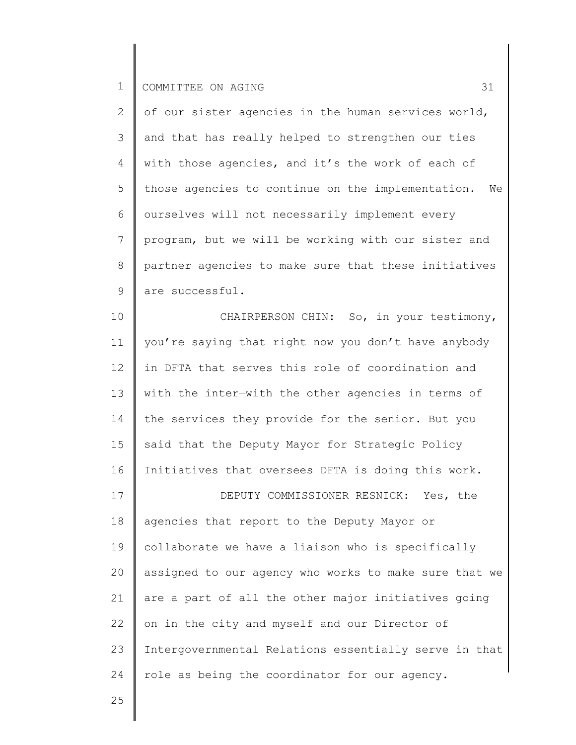2 3 4 5 6 7 8 9 of our sister agencies in the human services world, and that has really helped to strengthen our ties with those agencies, and it's the work of each of those agencies to continue on the implementation. We ourselves will not necessarily implement every program, but we will be working with our sister and partner agencies to make sure that these initiatives are successful.

10 11 12 13 14 15 16 CHAIRPERSON CHIN: So, in your testimony, you're saying that right now you don't have anybody in DFTA that serves this role of coordination and with the inter—with the other agencies in terms of the services they provide for the senior. But you said that the Deputy Mayor for Strategic Policy Initiatives that oversees DFTA is doing this work.

17 18 19 20 21 22 23 24 DEPUTY COMMISSIONER RESNICK: Yes, the agencies that report to the Deputy Mayor or collaborate we have a liaison who is specifically assigned to our agency who works to make sure that we are a part of all the other major initiatives going on in the city and myself and our Director of Intergovernmental Relations essentially serve in that role as being the coordinator for our agency.

25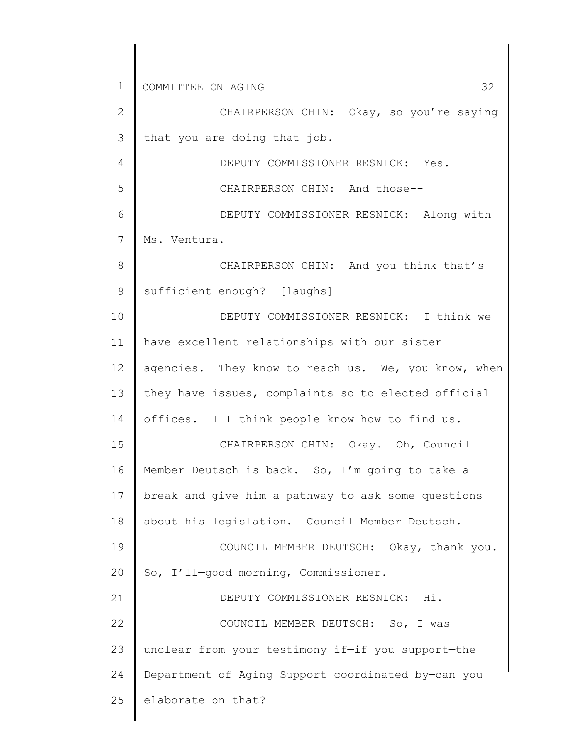1 2 3 4 5 6 7 8 9 10 11 12 13 14 15 16 17 18 19 20 21 22 23 24 25 COMMITTEE ON AGING 32 CHAIRPERSON CHIN: Okay, so you're saying that you are doing that job. DEPUTY COMMISSIONER RESNICK: Yes. CHAIRPERSON CHIN: And those-- DEPUTY COMMISSIONER RESNICK: Along with Ms. Ventura. CHAIRPERSON CHIN: And you think that's sufficient enough? [laughs] DEPUTY COMMISSIONER RESNICK: I think we have excellent relationships with our sister agencies. They know to reach us. We, you know, when they have issues, complaints so to elected official offices. I—I think people know how to find us. CHAIRPERSON CHIN: Okay. Oh, Council Member Deutsch is back. So, I'm going to take a break and give him a pathway to ask some questions about his legislation. Council Member Deutsch. COUNCIL MEMBER DEUTSCH: Okay, thank you. So, I'll—good morning, Commissioner. DEPUTY COMMISSIONER RESNICK: Hi. COUNCIL MEMBER DEUTSCH: So, I was unclear from your testimony if—if you support—the Department of Aging Support coordinated by—can you elaborate on that?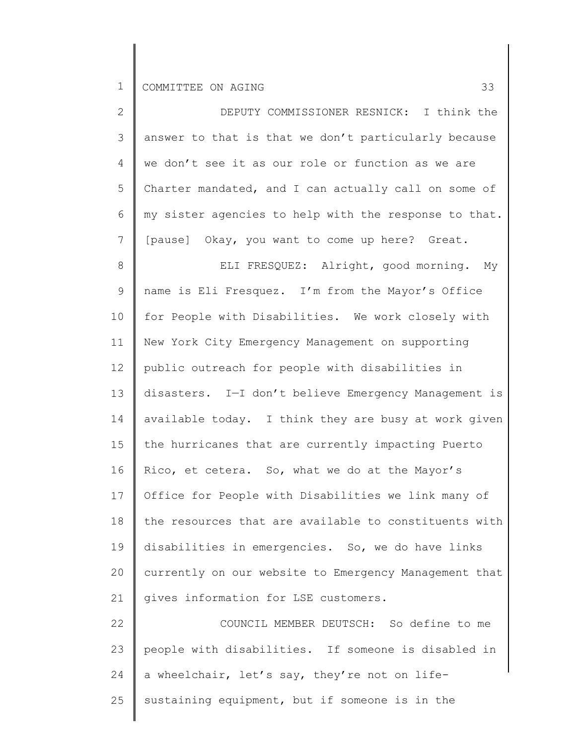| $\mathbf{2}$    | DEPUTY COMMISSIONER RESNICK: I think the              |
|-----------------|-------------------------------------------------------|
| 3               | answer to that is that we don't particularly because  |
| 4               | we don't see it as our role or function as we are     |
| 5               | Charter mandated, and I can actually call on some of  |
| 6               | my sister agencies to help with the response to that. |
| $7\phantom{.0}$ | [pause] Okay, you want to come up here? Great.        |
| 8               | ELI FRESQUEZ: Alright, good morning. My               |
| 9               | name is Eli Fresquez. I'm from the Mayor's Office     |
| 10              | for People with Disabilities. We work closely with    |
| 11              | New York City Emergency Management on supporting      |
| 12              | public outreach for people with disabilities in       |
| 13              | disasters. I-I don't believe Emergency Management is  |
| 14              | available today. I think they are busy at work given  |
| 15              | the hurricanes that are currently impacting Puerto    |
| 16              | Rico, et cetera. So, what we do at the Mayor's        |
| 17              | Office for People with Disabilities we link many of   |
| 18              | the resources that are available to constituents with |
| 19              | disabilities in emergencies. So, we do have links     |
| 20              | currently on our website to Emergency Management that |
| 21              | gives information for LSE customers.                  |
| 22              | COUNCIL MEMBER DEUTSCH: So define to me               |
| 23              | people with disabilities. If someone is disabled in   |

25 sustaining equipment, but if someone is in the

a wheelchair, let's say, they're not on life-

24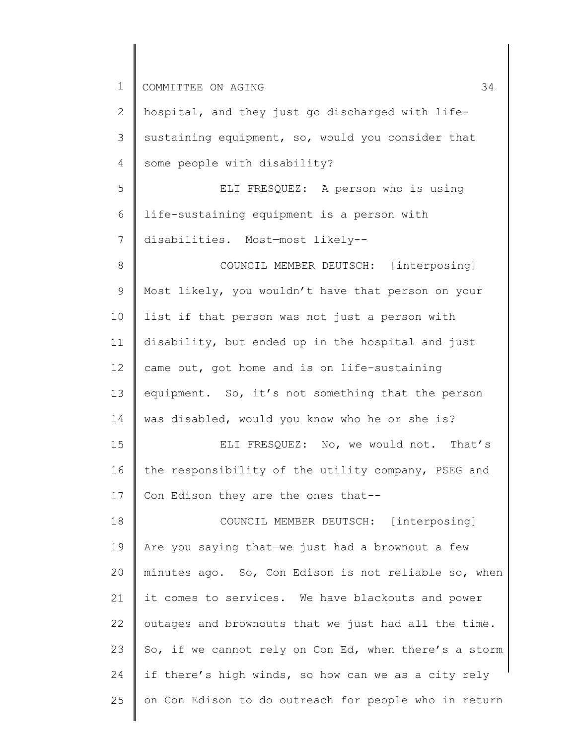1 2 3 4 5 6 7 8 9 10 11 12 13 14 15 16 17 18 19 20 21 22 23 24 25 COMMITTEE ON AGING 24 hospital, and they just go discharged with lifesustaining equipment, so, would you consider that some people with disability? ELI FRESQUEZ: A person who is using life-sustaining equipment is a person with disabilities. Most—most likely-- COUNCIL MEMBER DEUTSCH: [interposing] Most likely, you wouldn't have that person on your list if that person was not just a person with disability, but ended up in the hospital and just came out, got home and is on life-sustaining equipment. So, it's not something that the person was disabled, would you know who he or she is? ELI FRESQUEZ: No, we would not. That's the responsibility of the utility company, PSEG and Con Edison they are the ones that-- COUNCIL MEMBER DEUTSCH: [interposing] Are you saying that—we just had a brownout a few minutes ago. So, Con Edison is not reliable so, when it comes to services. We have blackouts and power outages and brownouts that we just had all the time. So, if we cannot rely on Con Ed, when there's a storm if there's high winds, so how can we as a city rely on Con Edison to do outreach for people who in return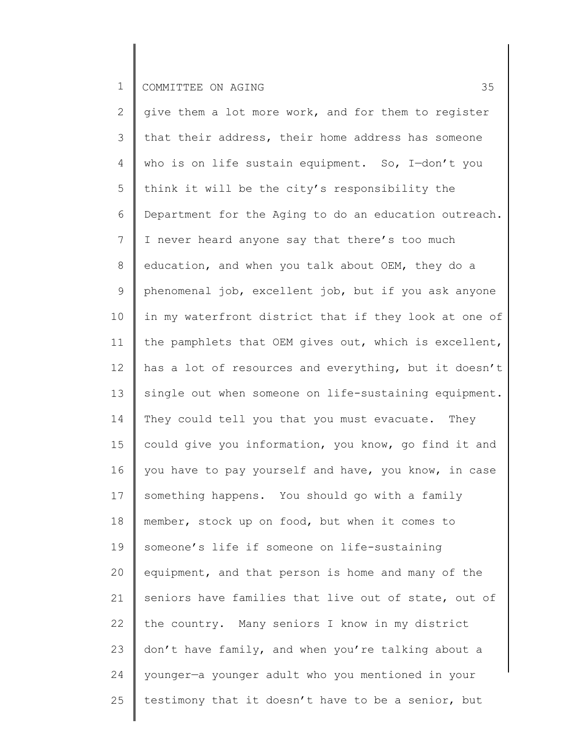2 3 4 5 6 7 8 9 10 11 12 13 14 15 16 17 18 19 20 21 22 23 24 25 give them a lot more work, and for them to register that their address, their home address has someone who is on life sustain equipment. So, I—don't you think it will be the city's responsibility the Department for the Aging to do an education outreach. I never heard anyone say that there's too much education, and when you talk about OEM, they do a phenomenal job, excellent job, but if you ask anyone in my waterfront district that if they look at one of the pamphlets that OEM gives out, which is excellent, has a lot of resources and everything, but it doesn't single out when someone on life-sustaining equipment. They could tell you that you must evacuate. They could give you information, you know, go find it and you have to pay yourself and have, you know, in case something happens. You should go with a family member, stock up on food, but when it comes to someone's life if someone on life-sustaining equipment, and that person is home and many of the seniors have families that live out of state, out of the country. Many seniors I know in my district don't have family, and when you're talking about a younger—a younger adult who you mentioned in your testimony that it doesn't have to be a senior, but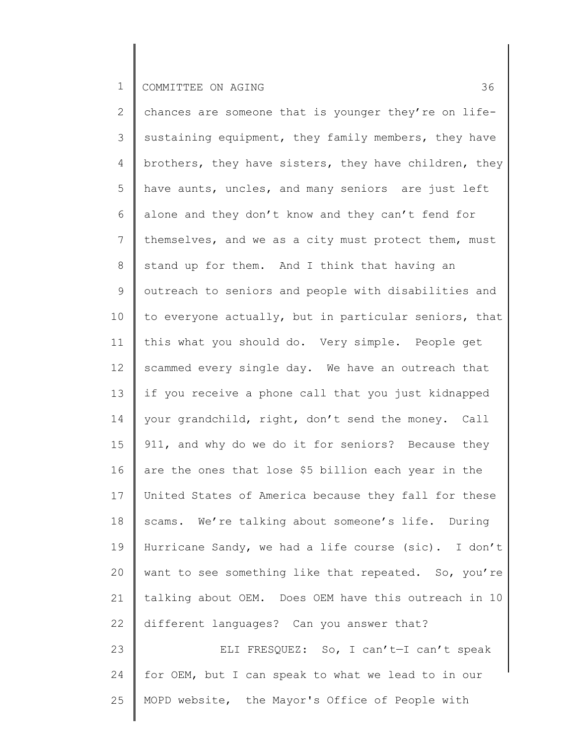2 3 4 5 6 7 8 9 10 11 12 13 14 15 16 17 18 19 20 21 22 23 24 25 chances are someone that is younger they're on lifesustaining equipment, they family members, they have brothers, they have sisters, they have children, they have aunts, uncles, and many seniors are just left alone and they don't know and they can't fend for themselves, and we as a city must protect them, must stand up for them. And I think that having an outreach to seniors and people with disabilities and to everyone actually, but in particular seniors, that this what you should do. Very simple. People get scammed every single day. We have an outreach that if you receive a phone call that you just kidnapped your grandchild, right, don't send the money. Call 911, and why do we do it for seniors? Because they are the ones that lose \$5 billion each year in the United States of America because they fall for these scams. We're talking about someone's life. During Hurricane Sandy, we had a life course (sic). I don't want to see something like that repeated. So, you're talking about OEM. Does OEM have this outreach in 10 different languages? Can you answer that? ELI FRESQUEZ: So, I can't—I can't speak for OEM, but I can speak to what we lead to in our MOPD website, the Mayor's Office of People with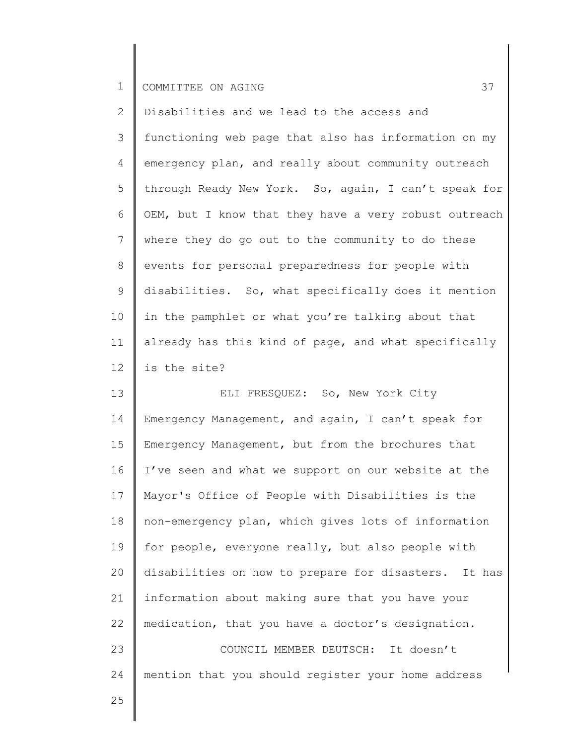2 3 4 5 6 7 8 9 10 11 12 Disabilities and we lead to the access and functioning web page that also has information on my emergency plan, and really about community outreach through Ready New York. So, again, I can't speak for OEM, but I know that they have a very robust outreach where they do go out to the community to do these events for personal preparedness for people with disabilities. So, what specifically does it mention in the pamphlet or what you're talking about that already has this kind of page, and what specifically is the site?

13 14 15 16 17 18 19 20 21 22 23 24 ELI FRESQUEZ: So, New York City Emergency Management, and again, I can't speak for Emergency Management, but from the brochures that I've seen and what we support on our website at the Mayor's Office of People with Disabilities is the non-emergency plan, which gives lots of information for people, everyone really, but also people with disabilities on how to prepare for disasters. It has information about making sure that you have your medication, that you have a doctor's designation. COUNCIL MEMBER DEUTSCH: It doesn't mention that you should register your home address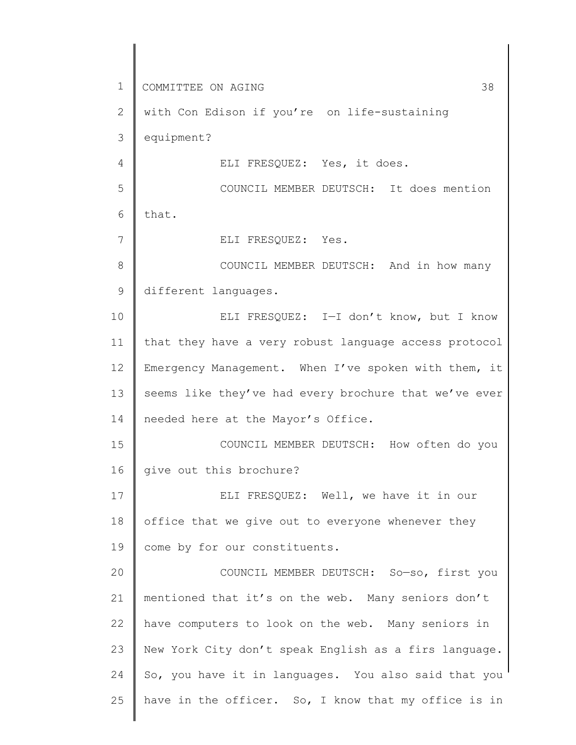1 2 3 4 5 6 7 8 9 10 11 12 13 14 15 16 17 18 19 20 21 22 23 24 25 COMMITTEE ON AGING 28 with Con Edison if you're on life-sustaining equipment? ELI FRESQUEZ: Yes, it does. COUNCIL MEMBER DEUTSCH: It does mention that. ELI FRESQUEZ: Yes. COUNCIL MEMBER DEUTSCH: And in how many different languages. ELI FRESQUEZ: I—I don't know, but I know that they have a very robust language access protocol Emergency Management. When I've spoken with them, it seems like they've had every brochure that we've ever needed here at the Mayor's Office. COUNCIL MEMBER DEUTSCH: How often do you give out this brochure? ELI FRESQUEZ: Well, we have it in our office that we give out to everyone whenever they come by for our constituents. COUNCIL MEMBER DEUTSCH: So—so, first you mentioned that it's on the web. Many seniors don't have computers to look on the web. Many seniors in New York City don't speak English as a firs language. So, you have it in languages. You also said that you have in the officer. So, I know that my office is in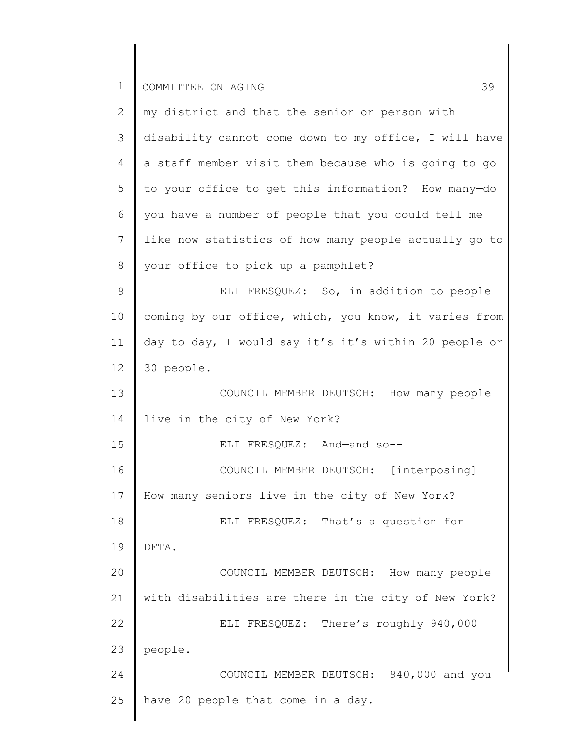| 1<br>ᅩ | COMMITTEE ON AGING |  |
|--------|--------------------|--|

| $\mathbf{2}$ | my district and that the senior or person with        |
|--------------|-------------------------------------------------------|
| 3            | disability cannot come down to my office, I will have |
| 4            | a staff member visit them because who is going to go  |
| 5            | to your office to get this information? How many-do   |
| 6            | you have a number of people that you could tell me    |
| 7            | like now statistics of how many people actually go to |
| 8            | your office to pick up a pamphlet?                    |
| 9            | ELI FRESQUEZ: So, in addition to people               |
| 10           | coming by our office, which, you know, it varies from |
| 11           | day to day, I would say it's-it's within 20 people or |
| 12           | 30 people.                                            |
| 13           | COUNCIL MEMBER DEUTSCH: How many people               |
| 14           | live in the city of New York?                         |
| 15           | ELI FRESQUEZ: And-and so--                            |
| 16           | COUNCIL MEMBER DEUTSCH: [interposing]                 |
| 17           | How many seniors live in the city of New York?        |
| 18           | ELI FRESQUEZ: That's a question for                   |
| 19           | DFTA.                                                 |
| 20           | COUNCIL MEMBER DEUTSCH: How many people               |
| 21           | with disabilities are there in the city of New York?  |
| 22           | ELI FRESQUEZ: There's roughly 940,000                 |
| 23           | people.                                               |
| 24           | COUNCIL MEMBER DEUTSCH: 940,000 and you               |
| 25           | have 20 people that come in a day.                    |
|              |                                                       |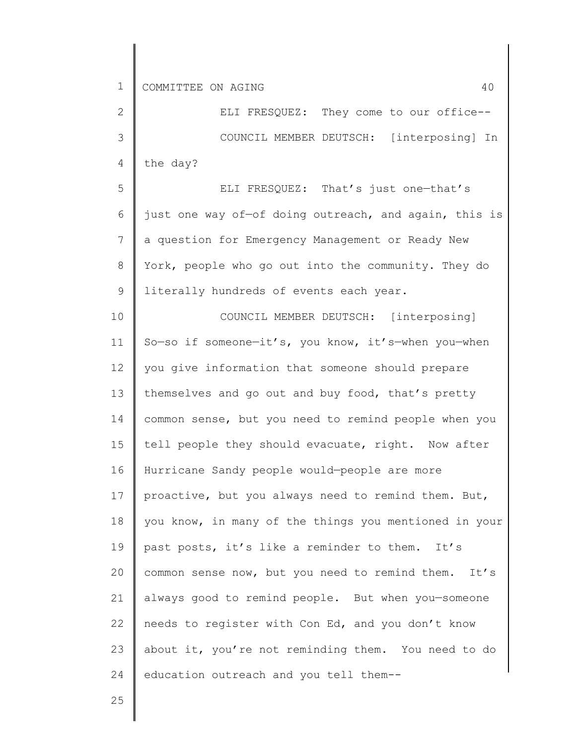2 3 4 ELI FRESQUEZ: They come to our office-- COUNCIL MEMBER DEUTSCH: [interposing] In the day?

5 6 7 8 9 ELI FRESQUEZ: That's just one—that's just one way of—of doing outreach, and again, this is a question for Emergency Management or Ready New York, people who go out into the community. They do literally hundreds of events each year.

10 11 12 13 14 15 16 17 18 19 20 21 22 23 24 COUNCIL MEMBER DEUTSCH: [interposing] So—so if someone—it's, you know, it's—when you—when you give information that someone should prepare themselves and go out and buy food, that's pretty common sense, but you need to remind people when you tell people they should evacuate, right. Now after Hurricane Sandy people would—people are more proactive, but you always need to remind them. But, you know, in many of the things you mentioned in your past posts, it's like a reminder to them. It's common sense now, but you need to remind them. It's always good to remind people. But when you—someone needs to register with Con Ed, and you don't know about it, you're not reminding them. You need to do education outreach and you tell them--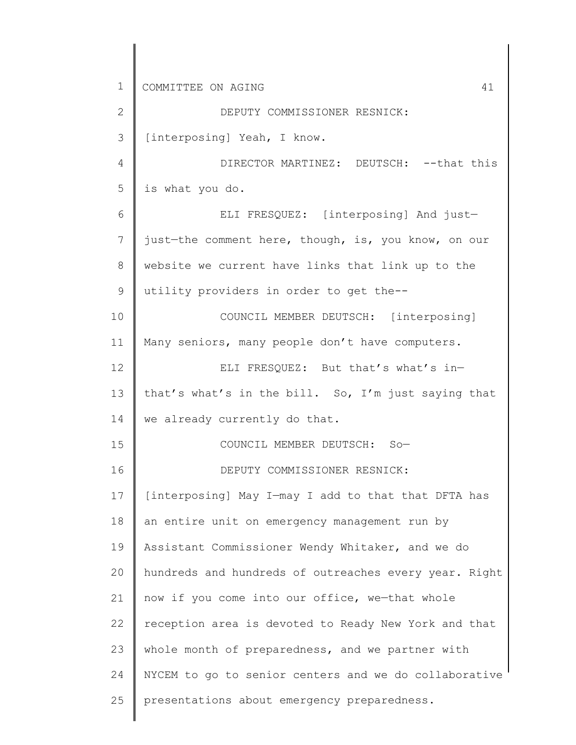1 2 3 4 5 6 7 8 9 10 11 12 13 14 15 16 17 18 19 20 21 22 23 24 25 COMMITTEE ON AGING 41 DEPUTY COMMISSIONER RESNICK: [interposing] Yeah, I know. DIRECTOR MARTINEZ: DEUTSCH: --that this is what you do. ELI FRESQUEZ: [interposing] And just just—the comment here, though, is, you know, on our website we current have links that link up to the utility providers in order to get the-- COUNCIL MEMBER DEUTSCH: [interposing] Many seniors, many people don't have computers. ELI FRESQUEZ: But that's what's in that's what's in the bill. So, I'm just saying that we already currently do that. COUNCIL MEMBER DEUTSCH: So— DEPUTY COMMISSIONER RESNICK: [interposing] May I—may I add to that that DFTA has an entire unit on emergency management run by Assistant Commissioner Wendy Whitaker, and we do hundreds and hundreds of outreaches every year. Right now if you come into our office, we—that whole reception area is devoted to Ready New York and that whole month of preparedness, and we partner with NYCEM to go to senior centers and we do collaborative presentations about emergency preparedness.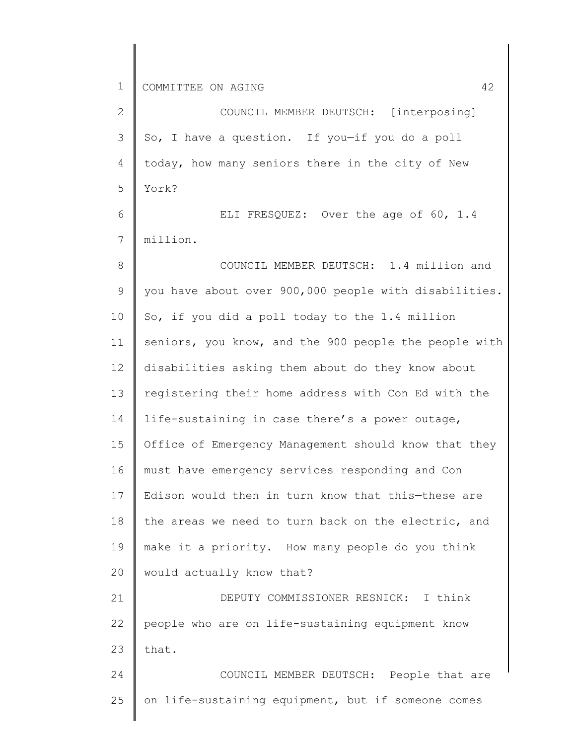| $\mathbf{2}$ | COUNCIL MEMBER DEUTSCH: [interposing]                 |
|--------------|-------------------------------------------------------|
| 3            | So, I have a question. If you-if you do a poll        |
| 4            | today, how many seniors there in the city of New      |
| 5            | York?                                                 |
| 6            | ELI FRESQUEZ: Over the age of 60, 1.4                 |
| 7            | million.                                              |
| 8            | COUNCIL MEMBER DEUTSCH: 1.4 million and               |
| 9            | you have about over 900,000 people with disabilities. |
| 10           | So, if you did a poll today to the 1.4 million        |
| 11           | seniors, you know, and the 900 people the people with |
| 12           | disabilities asking them about do they know about     |
| 13           | registering their home address with Con Ed with the   |
| 14           | life-sustaining in case there's a power outage,       |
| 15           | Office of Emergency Management should know that they  |
| 16           | must have emergency services responding and Con       |
| 17           | Edison would then in turn know that this-these are    |
| 18           | the areas we need to turn back on the electric, and   |
| 19           | make it a priority. How many people do you think      |
| 20           | would actually know that?                             |
| 21           | DEPUTY COMMISSIONER RESNICK: I think                  |
| 22           | people who are on life-sustaining equipment know      |
| 23           | that.                                                 |
| 24           | COUNCIL MEMBER DEUTSCH: People that are               |
| 25           | on life-sustaining equipment, but if someone comes    |
|              |                                                       |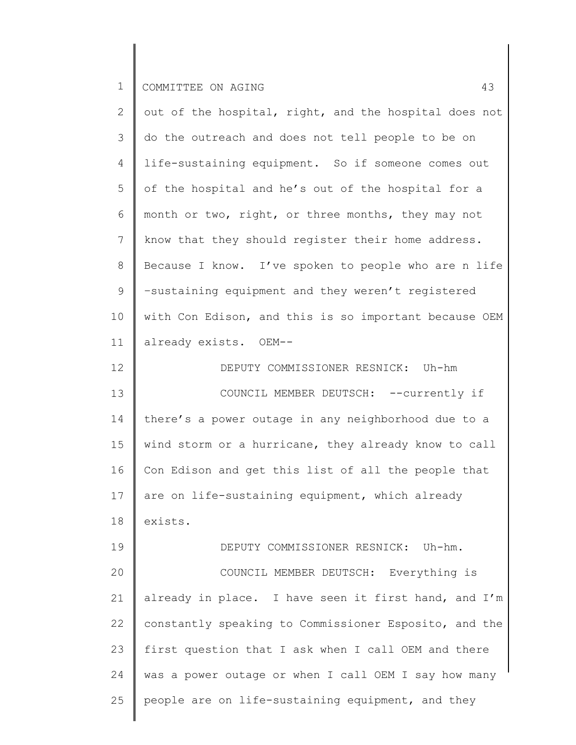| $\overline{2}$ | out of the hospital, right, and the hospital does not |
|----------------|-------------------------------------------------------|
| 3              | do the outreach and does not tell people to be on     |
| $\overline{4}$ | life-sustaining equipment. So if someone comes out    |
| 5              | of the hospital and he's out of the hospital for a    |
| 6              | month or two, right, or three months, they may not    |
| 7              | know that they should register their home address.    |
| $\,8\,$        | Because I know. I've spoken to people who are n life  |
| $\mathsf 9$    | -sustaining equipment and they weren't registered     |
| 10             | with Con Edison, and this is so important because OEM |
| 11             | already exists. OEM--                                 |
| 12             | DEPUTY COMMISSIONER RESNICK: Uh-hm                    |
| 13             | COUNCIL MEMBER DEUTSCH: -- currently if               |
| 14             | there's a power outage in any neighborhood due to a   |
| 15             | wind storm or a hurricane, they already know to call  |
| 16             | Con Edison and get this list of all the people that   |
| 17             | are on life-sustaining equipment, which already       |
| 18             | exists                                                |
| 19             | DEPUTY COMMISSIONER RESNICK: Uh-hm.                   |
| 20             | COUNCIL MEMBER DEUTSCH: Everything is                 |
| 21             | already in place. I have seen it first hand, and I'm  |
| 22             | constantly speaking to Commissioner Esposito, and the |
| 23             | first question that I ask when I call OEM and there   |
| 24             | was a power outage or when I call OEM I say how many  |
| 25             | people are on life-sustaining equipment, and they     |
|                |                                                       |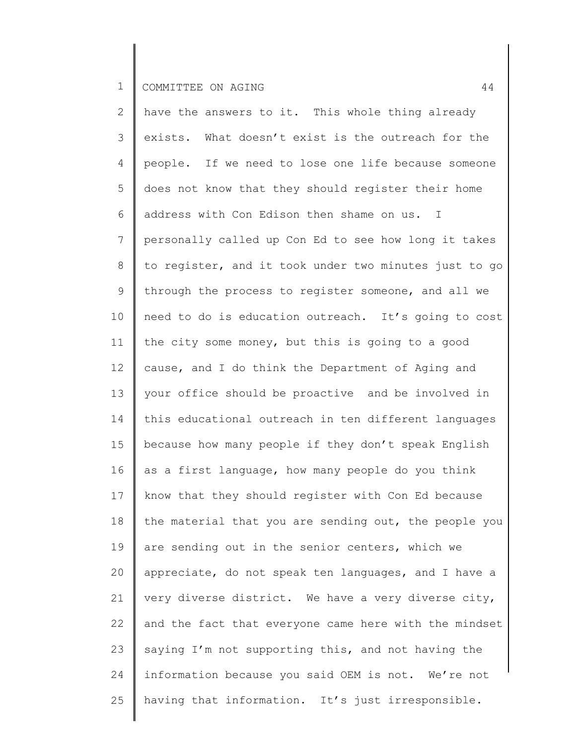2 3 4 5 6 7 8 9 10 11 12 13 14 15 16 17 18 19 20 21 22 23 24 25 have the answers to it. This whole thing already exists. What doesn't exist is the outreach for the people. If we need to lose one life because someone does not know that they should register their home address with Con Edison then shame on us. I personally called up Con Ed to see how long it takes to register, and it took under two minutes just to go through the process to register someone, and all we need to do is education outreach. It's going to cost the city some money, but this is going to a good cause, and I do think the Department of Aging and your office should be proactive and be involved in this educational outreach in ten different languages because how many people if they don't speak English as a first language, how many people do you think know that they should register with Con Ed because the material that you are sending out, the people you are sending out in the senior centers, which we appreciate, do not speak ten languages, and I have a very diverse district. We have a very diverse city, and the fact that everyone came here with the mindset saying I'm not supporting this, and not having the information because you said OEM is not. We're not having that information. It's just irresponsible.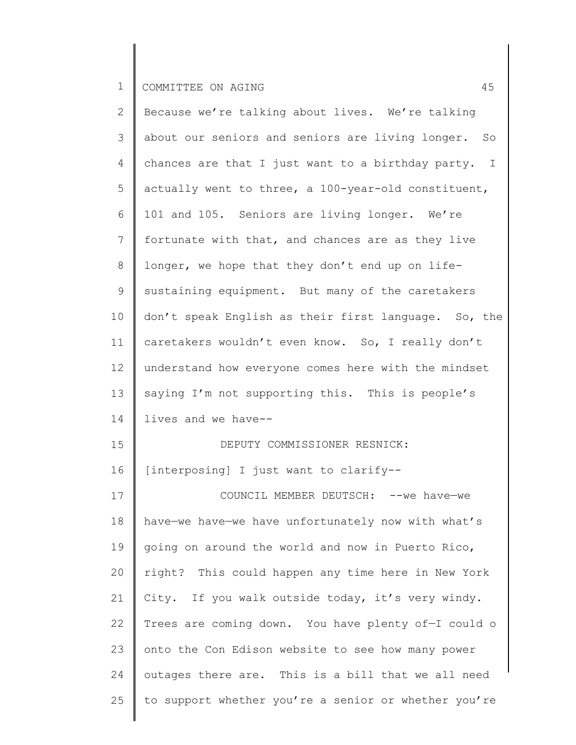| $\mathbf{2}$    | Because we're talking about lives. We're talking     |
|-----------------|------------------------------------------------------|
| 3               | about our seniors and seniors are living longer. So  |
| 4               | chances are that I just want to a birthday party. I  |
| 5               | actually went to three, a 100-year-old constituent,  |
| 6               | 101 and 105. Seniors are living longer. We're        |
| $7\phantom{.0}$ | fortunate with that, and chances are as they live    |
| 8               | longer, we hope that they don't end up on life-      |
| 9               | sustaining equipment. But many of the caretakers     |
| 10              | don't speak English as their first language. So, the |
| 11              | caretakers wouldn't even know. So, I really don't    |
| 12              | understand how everyone comes here with the mindset  |
| 13              | saying I'm not supporting this. This is people's     |
| 14              | lives and we have--                                  |
| 15              | DEPUTY COMMISSIONER RESNICK:                         |
| 16              | [interposing] I just want to clarify--               |
| 17              | COUNCIL MEMBER DEUTSCH: -- we have-we                |
| 18              | have-we have-we have unfortunately now with what's   |
| 19              | going on around the world and now in Puerto Rico,    |
| 20              | right? This could happen any time here in New York   |
| 21              | City. If you walk outside today, it's very windy.    |
| 22              | Trees are coming down. You have plenty of-I could o  |
| 23              | onto the Con Edison website to see how many power    |
| 24              | outages there are. This is a bill that we all need   |
| 25              | to support whether you're a senior or whether you're |
|                 |                                                      |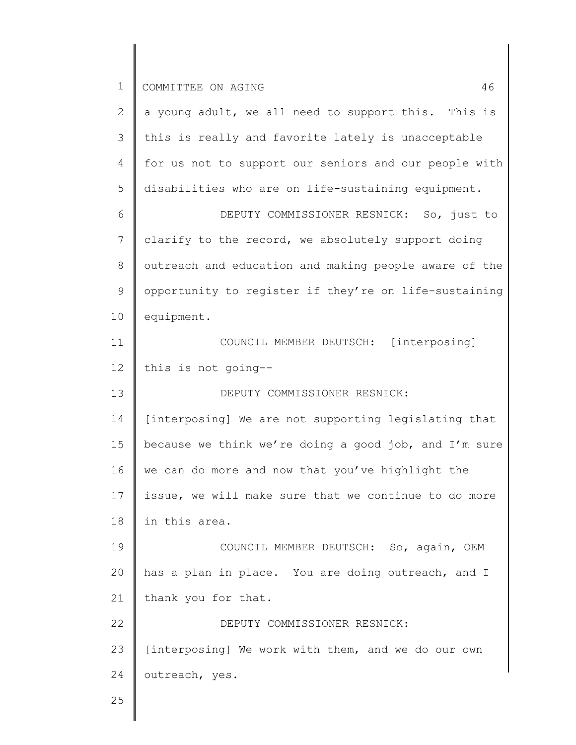| $\mathbf{2}$   | a young adult, we all need to support this. This is-  |
|----------------|-------------------------------------------------------|
| 3              | this is really and favorite lately is unacceptable    |
| $\overline{4}$ | for us not to support our seniors and our people with |
| 5              | disabilities who are on life-sustaining equipment.    |
| 6              | DEPUTY COMMISSIONER RESNICK: So, just to              |
| $7\phantom{.}$ | clarify to the record, we absolutely support doing    |
| $8\,$          | outreach and education and making people aware of the |
| 9              | opportunity to register if they're on life-sustaining |
| 10             | equipment.                                            |
| 11             | COUNCIL MEMBER DEUTSCH: [interposing]                 |
| 12             | this is not going--                                   |
| 13             | DEPUTY COMMISSIONER RESNICK:                          |
| 14             | [interposing] We are not supporting legislating that  |
| 15             | because we think we're doing a good job, and I'm sure |
| 16             | we can do more and now that you've highlight the      |
| 17             | issue, we will make sure that we continue to do more  |
| 18             | in this area.                                         |
| 19             | COUNCIL MEMBER DEUTSCH: So, again, OEM                |
| 20             | has a plan in place. You are doing outreach, and I    |
| 21             | thank you for that.                                   |
| 22             | DEPUTY COMMISSIONER RESNICK:                          |
| 23             | [interposing] We work with them, and we do our own    |
| 24             | outreach, yes.                                        |
| 25             |                                                       |
|                |                                                       |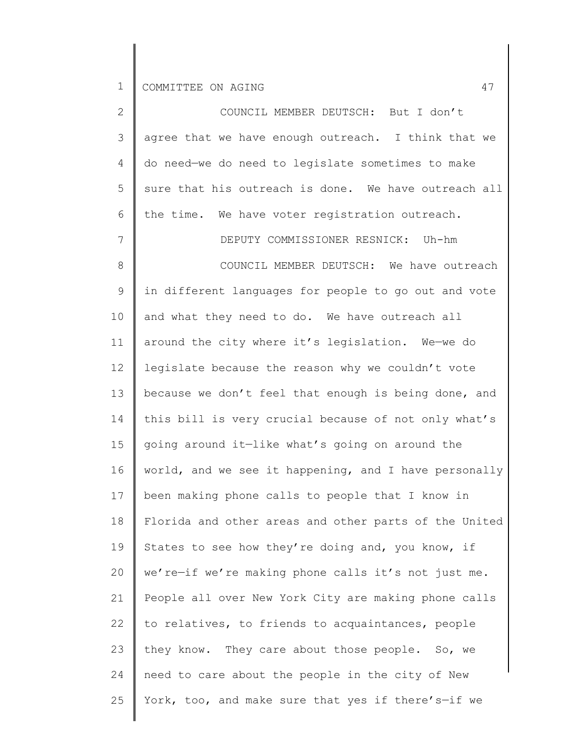| 2              | COUNCIL MEMBER DEUTSCH: But I don't                   |
|----------------|-------------------------------------------------------|
| $\mathfrak{Z}$ | agree that we have enough outreach. I think that we   |
| 4              | do need-we do need to legislate sometimes to make     |
| 5              | sure that his outreach is done. We have outreach all  |
| 6              | the time. We have voter registration outreach.        |
| $7\phantom{.}$ | DEPUTY COMMISSIONER RESNICK: Uh-hm                    |
| $\,8\,$        | COUNCIL MEMBER DEUTSCH: We have outreach              |
| $\mathsf 9$    | in different languages for people to go out and vote  |
| 10             | and what they need to do. We have outreach all        |
| 11             | around the city where it's legislation. We-we do      |
| 12             | legislate because the reason why we couldn't vote     |
| 13             | because we don't feel that enough is being done, and  |
| 14             | this bill is very crucial because of not only what's  |
| 15             | going around it-like what's going on around the       |
| 16             | world, and we see it happening, and I have personally |
| 17             | been making phone calls to people that I know in      |
| 18             | Florida and other areas and other parts of the United |
| 19             | States to see how they're doing and, you know, if     |
| 20             | we're-if we're making phone calls it's not just me.   |
| 21             | People all over New York City are making phone calls  |
| 22             | to relatives, to friends to acquaintances, people     |
| 23             | they know. They care about those people. So, we       |
| 24             | need to care about the people in the city of New      |
| 25             | York, too, and make sure that yes if there's-if we    |
|                |                                                       |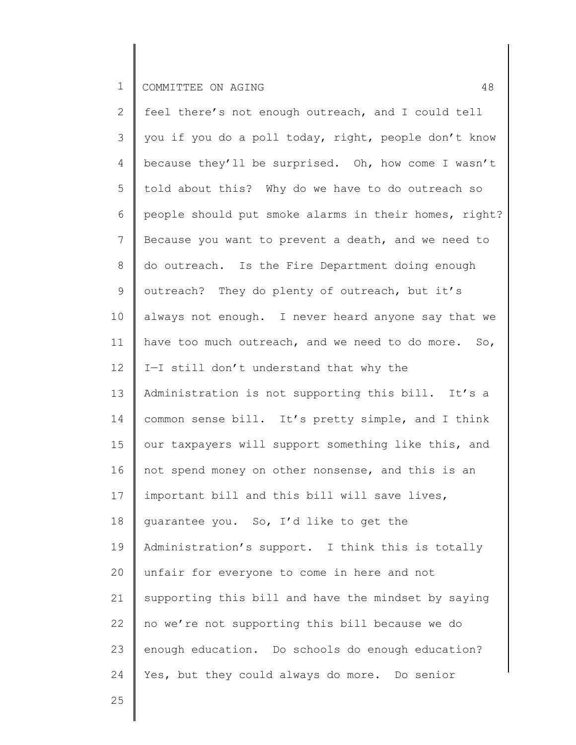| feel there's not enough outreach, and I could tell    |
|-------------------------------------------------------|
| you if you do a poll today, right, people don't know  |
| because they'll be surprised. Oh, how come I wasn't   |
| told about this? Why do we have to do outreach so     |
| people should put smoke alarms in their homes, right? |
| Because you want to prevent a death, and we need to   |
| do outreach. Is the Fire Department doing enough      |
| outreach? They do plenty of outreach, but it's        |
| always not enough. I never heard anyone say that we   |
| have too much outreach, and we need to do more. So,   |
| I-I still don't understand that why the               |
| Administration is not supporting this bill. It's a    |
| common sense bill. It's pretty simple, and I think    |
| our taxpayers will support something like this, and   |
| not spend money on other nonsense, and this is an     |
| important bill and this bill will save lives,         |
| guarantee you. So, I'd like to get the                |
| Administration's support. I think this is totally     |
| unfair for everyone to come in here and not           |
| supporting this bill and have the mindset by saying   |
| no we're not supporting this bill because we do       |
| enough education. Do schools do enough education?     |
| Yes, but they could always do more. Do senior         |
|                                                       |

25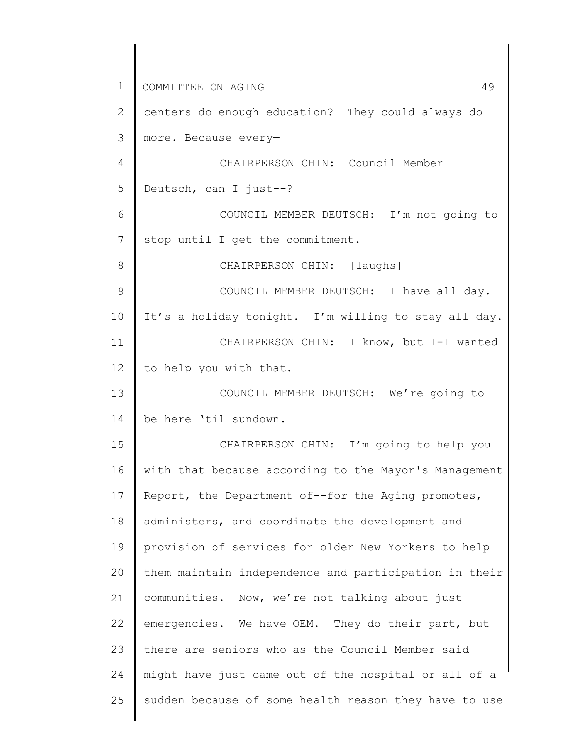1 2 3 4 5 6 7 8 9 10 11 12 13 14 15 16 17 18 19 20 21 22 23 24 25 COMMITTEE ON AGING 49 centers do enough education? They could always do more. Because every— CHAIRPERSON CHIN: Council Member Deutsch, can I just--? COUNCIL MEMBER DEUTSCH: I'm not going to stop until I get the commitment. CHAIRPERSON CHIN: [laughs] COUNCIL MEMBER DEUTSCH: I have all day. It's a holiday tonight. I'm willing to stay all day. CHAIRPERSON CHIN: I know, but I-I wanted to help you with that. COUNCIL MEMBER DEUTSCH: We're going to be here 'til sundown. CHAIRPERSON CHIN: I'm going to help you with that because according to the Mayor's Management Report, the Department of--for the Aging promotes, administers, and coordinate the development and provision of services for older New Yorkers to help them maintain independence and participation in their communities. Now, we're not talking about just emergencies. We have OEM. They do their part, but there are seniors who as the Council Member said might have just came out of the hospital or all of a sudden because of some health reason they have to use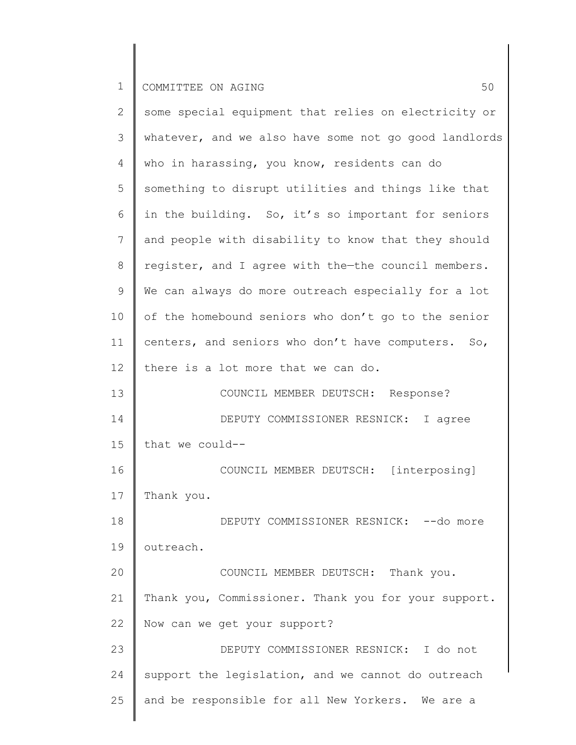| $\overline{2}$ | some special equipment that relies on electricity or  |
|----------------|-------------------------------------------------------|
| 3              | whatever, and we also have some not go good landlords |
| 4              | who in harassing, you know, residents can do          |
| 5              | something to disrupt utilities and things like that   |
| 6              | in the building. So, it's so important for seniors    |
| 7              | and people with disability to know that they should   |
| 8              | register, and I agree with the-the council members.   |
| 9              | We can always do more outreach especially for a lot   |
| 10             | of the homebound seniors who don't go to the senior   |
| 11             | centers, and seniors who don't have computers. So,    |
| 12             | there is a lot more that we can do.                   |
| 13             | COUNCIL MEMBER DEUTSCH: Response?                     |
| 14             | DEPUTY COMMISSIONER RESNICK: I agree                  |
| 15             | that we could--                                       |
| 16             | COUNCIL MEMBER DEUTSCH: [interposing]                 |
| 17             | Thank you.                                            |
| 18             | DEPUTY COMMISSIONER RESNICK: -- do more               |
| 19             | outreach.                                             |
| 20             | COUNCIL MEMBER DEUTSCH: Thank you.                    |
| 21             | Thank you, Commissioner. Thank you for your support.  |
| 22             | Now can we get your support?                          |
| 23             | DEPUTY COMMISSIONER RESNICK: I do not                 |
| 24             | support the legislation, and we cannot do outreach    |
| 25             | and be responsible for all New Yorkers. We are a      |
|                |                                                       |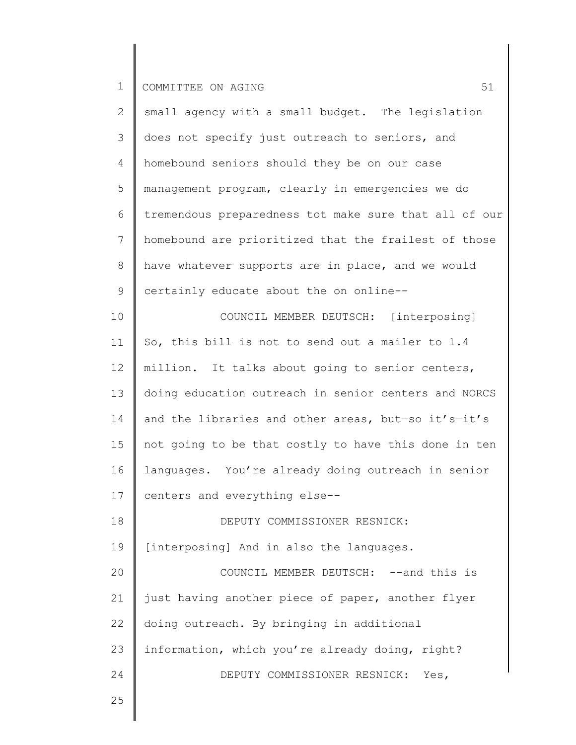| 2           | small agency with a small budget. The legislation     |
|-------------|-------------------------------------------------------|
| 3           | does not specify just outreach to seniors, and        |
| 4           | homebound seniors should they be on our case          |
| 5           | management program, clearly in emergencies we do      |
| 6           | tremendous preparedness tot make sure that all of our |
| 7           | homebound are prioritized that the frailest of those  |
| $8\,$       | have whatever supports are in place, and we would     |
| $\mathsf 9$ | certainly educate about the on online--               |
| 10          | COUNCIL MEMBER DEUTSCH: [interposing]                 |
| 11          | So, this bill is not to send out a mailer to 1.4      |
| 12          | million. It talks about going to senior centers,      |
| 13          | doing education outreach in senior centers and NORCS  |
| 14          | and the libraries and other areas, but-so it's-it's   |
| 15          | not going to be that costly to have this done in ten  |
| 16          | languages. You're already doing outreach in senior    |
| 17          | centers and everything else--                         |
| 18          | DEPUTY COMMISSIONER RESNICK:                          |
| 19          | [interposing] And in also the languages.              |
| 20          | COUNCIL MEMBER DEUTSCH: -- and this is                |
| 21          | just having another piece of paper, another flyer     |
| 22          | doing outreach. By bringing in additional             |
| 23          | information, which you're already doing, right?       |
| 24          | DEPUTY COMMISSIONER RESNICK: Yes,                     |
| 25          |                                                       |
|             |                                                       |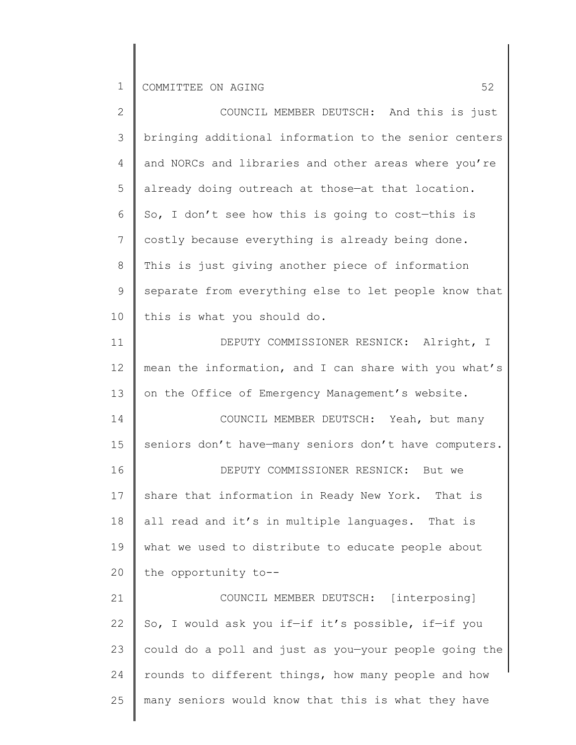| $\overline{2}$ | COUNCIL MEMBER DEUTSCH: And this is just              |
|----------------|-------------------------------------------------------|
| 3              | bringing additional information to the senior centers |
| 4              | and NORCs and libraries and other areas where you're  |
| 5              | already doing outreach at those-at that location.     |
| 6              | So, I don't see how this is going to cost-this is     |
| $7\phantom{.}$ | costly because everything is already being done.      |
| 8              | This is just giving another piece of information      |
| 9              | separate from everything else to let people know that |
| 10             | this is what you should do.                           |
| 11             | DEPUTY COMMISSIONER RESNICK: Alright, I               |
| 12             | mean the information, and I can share with you what's |
| 13             | on the Office of Emergency Management's website.      |
| 14             | COUNCIL MEMBER DEUTSCH: Yeah, but many                |
| 15             | seniors don't have-many seniors don't have computers. |
| 16             | DEPUTY COMMISSIONER RESNICK: But we                   |
| 17             | share that information in Ready New York. That is     |
| 18             | all read and it's in multiple languages. That is      |
| 19             | what we used to distribute to educate people about    |
| 20             | the opportunity to--                                  |
| 21             | COUNCIL MEMBER DEUTSCH: [interposing]                 |
| 22             | So, I would ask you if-if it's possible, if-if you    |
| 23             | could do a poll and just as you-your people going the |
| 24             | rounds to different things, how many people and how   |
| 25             | many seniors would know that this is what they have   |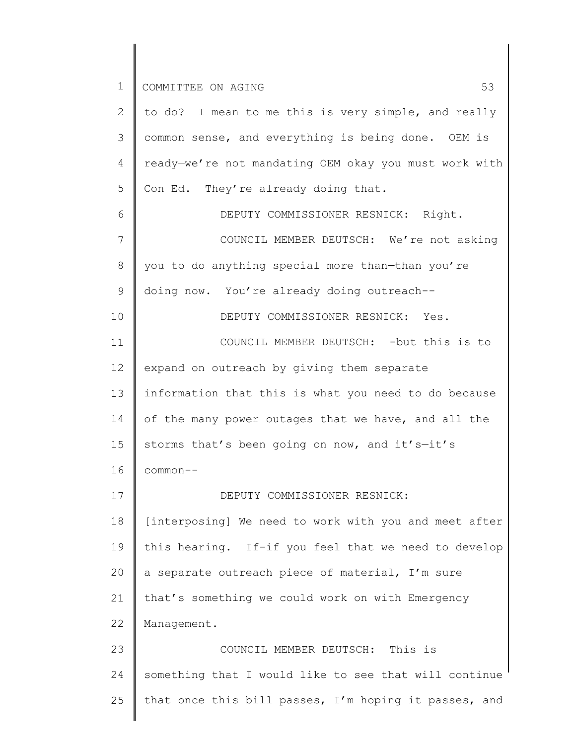2 3 4 5 6 7 8 9 10 11 12 13 14 15 16 17 18 19 20 21 22 23 24 25 to do? I mean to me this is very simple, and really common sense, and everything is being done. OEM is ready—we're not mandating OEM okay you must work with Con Ed. They're already doing that. DEPUTY COMMISSIONER RESNICK: Right. COUNCIL MEMBER DEUTSCH: We're not asking you to do anything special more than—than you're doing now. You're already doing outreach-- DEPUTY COMMISSIONER RESNICK: Yes. COUNCIL MEMBER DEUTSCH: -but this is to expand on outreach by giving them separate information that this is what you need to do because of the many power outages that we have, and all the storms that's been going on now, and it's—it's common-- DEPUTY COMMISSIONER RESNICK: [interposing] We need to work with you and meet after this hearing. If-if you feel that we need to develop a separate outreach piece of material, I'm sure that's something we could work on with Emergency Management. COUNCIL MEMBER DEUTSCH: This is something that I would like to see that will continue that once this bill passes, I'm hoping it passes, and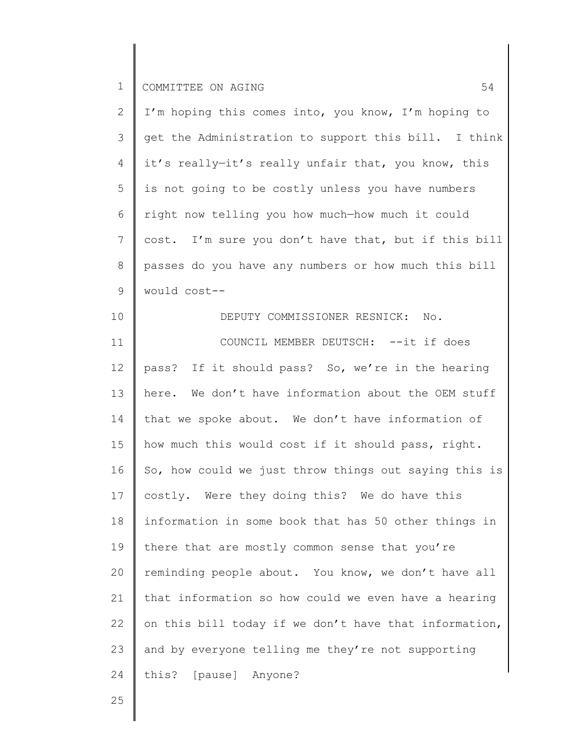| $\overline{2}$ | I'm hoping this comes into, you know, I'm hoping to   |
|----------------|-------------------------------------------------------|
| $\mathcal{S}$  | get the Administration to support this bill. I think  |
| 4              | it's really-it's really unfair that, you know, this   |
| 5              | is not going to be costly unless you have numbers     |
| 6              | right now telling you how much-how much it could      |
| 7              | cost. I'm sure you don't have that, but if this bill  |
| $\,8\,$        | passes do you have any numbers or how much this bill  |
| $\mathsf 9$    | would cost--                                          |
| 10             | DEPUTY COMMISSIONER RESNICK:<br>No.                   |
| 11             | COUNCIL MEMBER DEUTSCH: -- it if does                 |
| 12             | pass? If it should pass? So, we're in the hearing     |
| 13             | here. We don't have information about the OEM stuff   |
| 14             | that we spoke about. We don't have information of     |
| 15             | how much this would cost if it should pass, right.    |
| 16             | So, how could we just throw things out saying this is |
| 17             | costly. Were they doing this? We do have this         |
| 18             | information in some book that has 50 other things in  |
| 19             | there that are mostly common sense that you're        |
| 20             | reminding people about. You know, we don't have all   |
| 21             | that information so how could we even have a hearing  |
| 22             | on this bill today if we don't have that information, |
| 23             | and by everyone telling me they're not supporting     |
| 24             | this? [pause] Anyone?                                 |
|                |                                                       |

25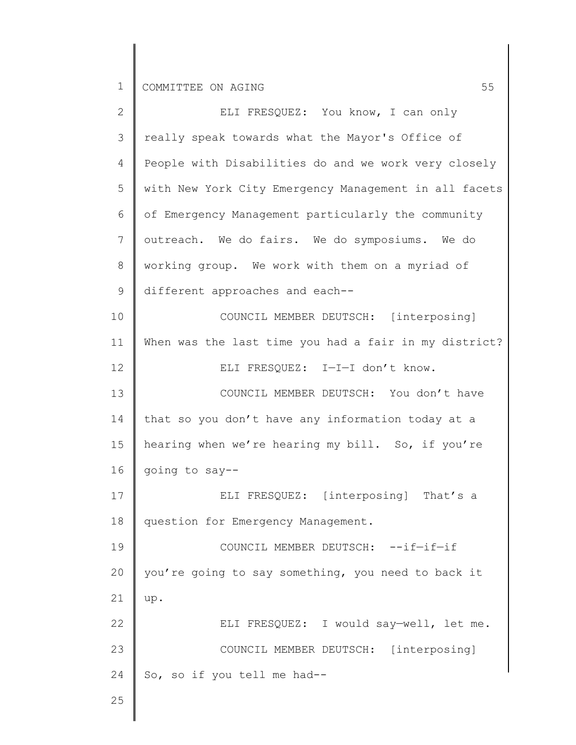| $\overline{2}$ | ELI FRESQUEZ: You know, I can only                    |
|----------------|-------------------------------------------------------|
| 3              | really speak towards what the Mayor's Office of       |
| 4              | People with Disabilities do and we work very closely  |
| 5              | with New York City Emergency Management in all facets |
| 6              | of Emergency Management particularly the community    |
| 7              | outreach. We do fairs. We do symposiums. We do        |
| 8              | working group. We work with them on a myriad of       |
| $\mathsf 9$    | different approaches and each--                       |
| 10             | COUNCIL MEMBER DEUTSCH: [interposing]                 |
| 11             | When was the last time you had a fair in my district? |
| 12             | ELI FRESQUEZ: I-I-I don't know.                       |
| 13             | COUNCIL MEMBER DEUTSCH: You don't have                |
| 14             | that so you don't have any information today at a     |
| 15             | hearing when we're hearing my bill. So, if you're     |
| 16             | going to say--                                        |
| 17             | ELI FRESQUEZ: [interposing] That's a                  |
| 18             | question for Emergency Management.                    |
| 19             | COUNCIL MEMBER DEUTSCH: --if-if-if                    |
| 20             | you're going to say something, you need to back it    |
| 21             | up.                                                   |
| 22             | ELI FRESQUEZ: I would say-well, let me.               |
| 23             | COUNCIL MEMBER DEUTSCH: [interposing]                 |
| 24             | So, so if you tell me had--                           |
| 25             |                                                       |
|                |                                                       |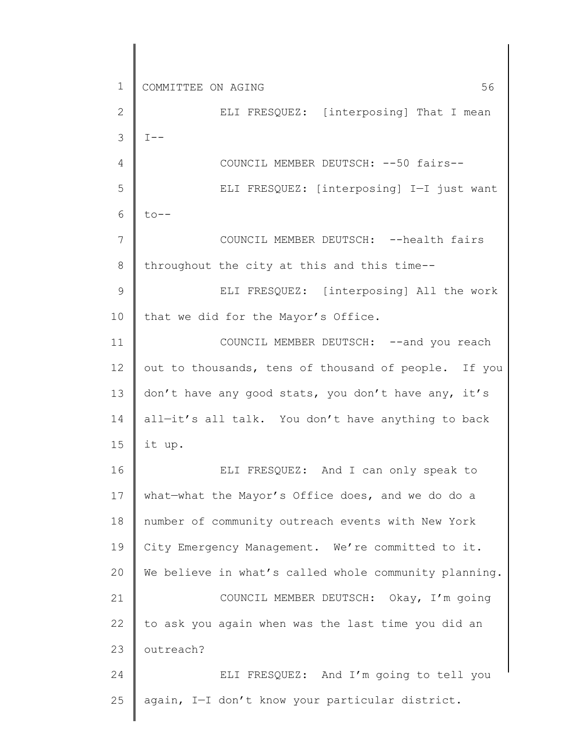1 2 3 4 5 6 7 8 9 10 11 12 13 14 15 16 17 18 19 20 21 22 23 24 25 COMMITTEE ON AGING 66 ELI FRESQUEZ: [interposing] That I mean  $I - -$ COUNCIL MEMBER DEUTSCH: --50 fairs-- ELI FRESQUEZ: [interposing] I—I just want  $to --$ COUNCIL MEMBER DEUTSCH: --health fairs throughout the city at this and this time-- ELI FRESQUEZ: [interposing] All the work that we did for the Mayor's Office. COUNCIL MEMBER DEUTSCH: --and you reach out to thousands, tens of thousand of people. If you don't have any good stats, you don't have any, it's all—it's all talk. You don't have anything to back it up. ELI FRESQUEZ: And I can only speak to what—what the Mayor's Office does, and we do do a number of community outreach events with New York City Emergency Management. We're committed to it. We believe in what's called whole community planning. COUNCIL MEMBER DEUTSCH: Okay, I'm going to ask you again when was the last time you did an outreach? ELI FRESQUEZ: And I'm going to tell you again, I—I don't know your particular district.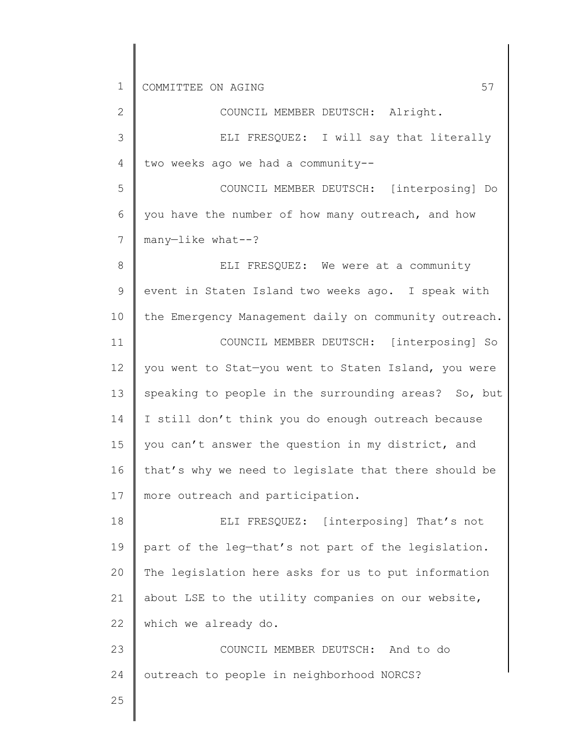25

2 3 4 5 6 7 8 9 10 11 12 13 14 15 16 17 18 19 20 21 22 23 24 COUNCIL MEMBER DEUTSCH: Alright. ELI FRESQUEZ: I will say that literally two weeks ago we had a community-- COUNCIL MEMBER DEUTSCH: [interposing] Do you have the number of how many outreach, and how many—like what--? ELI FRESQUEZ: We were at a community event in Staten Island two weeks ago. I speak with the Emergency Management daily on community outreach. COUNCIL MEMBER DEUTSCH: [interposing] So you went to Stat—you went to Staten Island, you were speaking to people in the surrounding areas? So, but I still don't think you do enough outreach because you can't answer the question in my district, and that's why we need to legislate that there should be more outreach and participation. ELI FRESQUEZ: [interposing] That's not part of the leg-that's not part of the legislation. The legislation here asks for us to put information about LSE to the utility companies on our website, which we already do. COUNCIL MEMBER DEUTSCH: And to do outreach to people in neighborhood NORCS?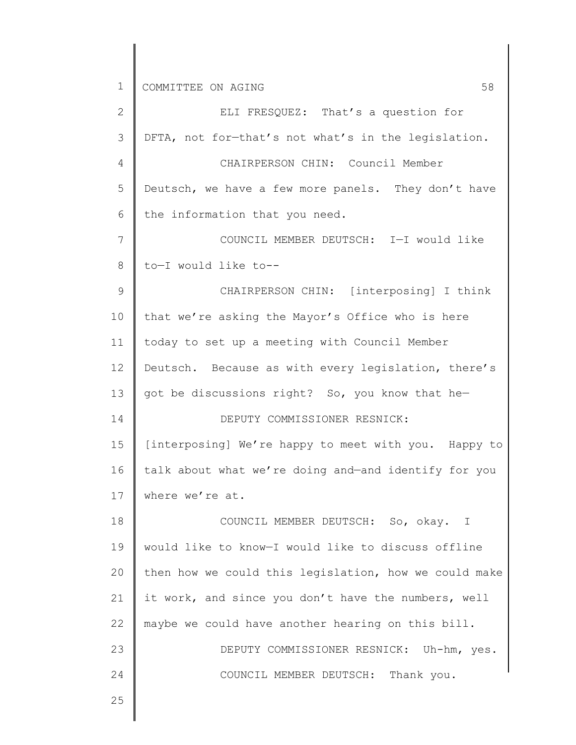2 3 4 5 6 7 8 9 10 11 12 13 14 15 16 17 18 19 20 21 22 23 24 ELI FRESQUEZ: That's a question for DFTA, not for—that's not what's in the legislation. CHAIRPERSON CHIN: Council Member Deutsch, we have a few more panels. They don't have the information that you need. COUNCIL MEMBER DEUTSCH: I—I would like to—I would like to-- CHAIRPERSON CHIN: [interposing] I think that we're asking the Mayor's Office who is here today to set up a meeting with Council Member Deutsch. Because as with every legislation, there's got be discussions right? So, you know that he— DEPUTY COMMISSIONER RESNICK: [interposing] We're happy to meet with you. Happy to talk about what we're doing and—and identify for you where we're at. COUNCIL MEMBER DEUTSCH: So, okay. I would like to know—I would like to discuss offline then how we could this legislation, how we could make it work, and since you don't have the numbers, well maybe we could have another hearing on this bill. DEPUTY COMMISSIONER RESNICK: Uh-hm, yes. COUNCIL MEMBER DEUTSCH: Thank you.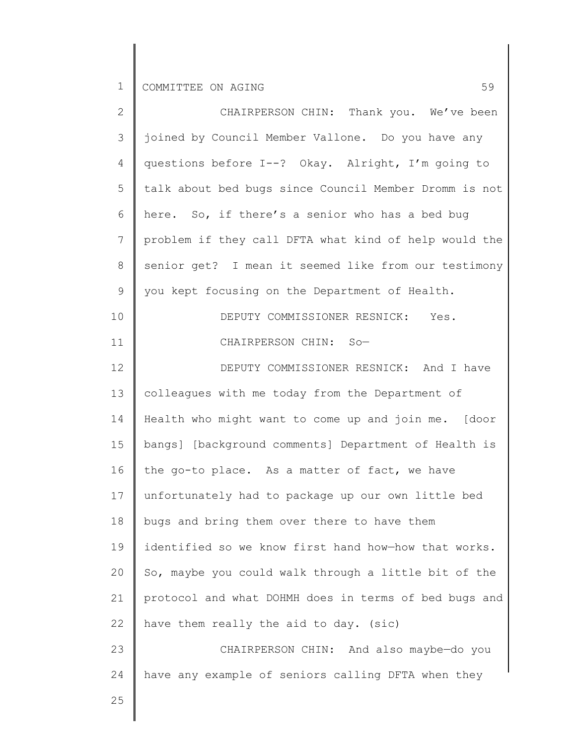| $\overline{2}$ | CHAIRPERSON CHIN: Thank you. We've been               |
|----------------|-------------------------------------------------------|
| $\mathcal{S}$  | joined by Council Member Vallone. Do you have any     |
| 4              | questions before I--? Okay. Alright, I'm going to     |
| 5              | talk about bed bugs since Council Member Dromm is not |
| 6              | here. So, if there's a senior who has a bed bug       |
| 7              | problem if they call DFTA what kind of help would the |
| 8              | senior get? I mean it seemed like from our testimony  |
| 9              | you kept focusing on the Department of Health.        |
| 10             | DEPUTY COMMISSIONER RESNICK:<br>Yes.                  |
| 11             | CHAIRPERSON CHIN: So-                                 |
| 12             | DEPUTY COMMISSIONER RESNICK: And I have               |
| 13             | colleagues with me today from the Department of       |
| 14             | Health who might want to come up and join me. [door   |
| 15             | bangs] [background comments] Department of Health is  |
| 16             | the go-to place. As a matter of fact, we have         |
| 17             | unfortunately had to package up our own little bed    |
| 18             | bugs and bring them over there to have them           |
| 19             | identified so we know first hand how-how that works.  |
| 20             | So, maybe you could walk through a little bit of the  |
| 21             | protocol and what DOHMH does in terms of bed bugs and |
| 22             | have them really the aid to day. (sic)                |
| 23             | CHAIRPERSON CHIN: And also maybe-do you               |
| 24             | have any example of seniors calling DFTA when they    |
| 25             |                                                       |
|                |                                                       |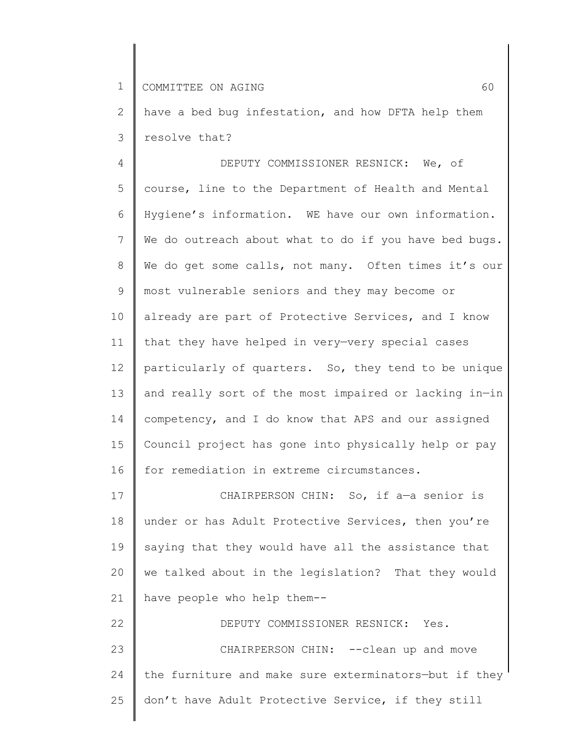2 3 have a bed bug infestation, and how DFTA help them resolve that?

4 5 6 7 8 9 10 11 12 13 14 15 16 DEPUTY COMMISSIONER RESNICK: We, of course, line to the Department of Health and Mental Hygiene's information. WE have our own information. We do outreach about what to do if you have bed bugs. We do get some calls, not many. Often times it's our most vulnerable seniors and they may become or already are part of Protective Services, and I know that they have helped in very—very special cases particularly of quarters. So, they tend to be unique and really sort of the most impaired or lacking in—in competency, and I do know that APS and our assigned Council project has gone into physically help or pay for remediation in extreme circumstances.

17 18 19 20 21 CHAIRPERSON CHIN: So, if a—a senior is under or has Adult Protective Services, then you're saying that they would have all the assistance that we talked about in the legislation? That they would have people who help them--

22 23 24 25 DEPUTY COMMISSIONER RESNICK: Yes. CHAIRPERSON CHIN: --clean up and move the furniture and make sure exterminators—but if they don't have Adult Protective Service, if they still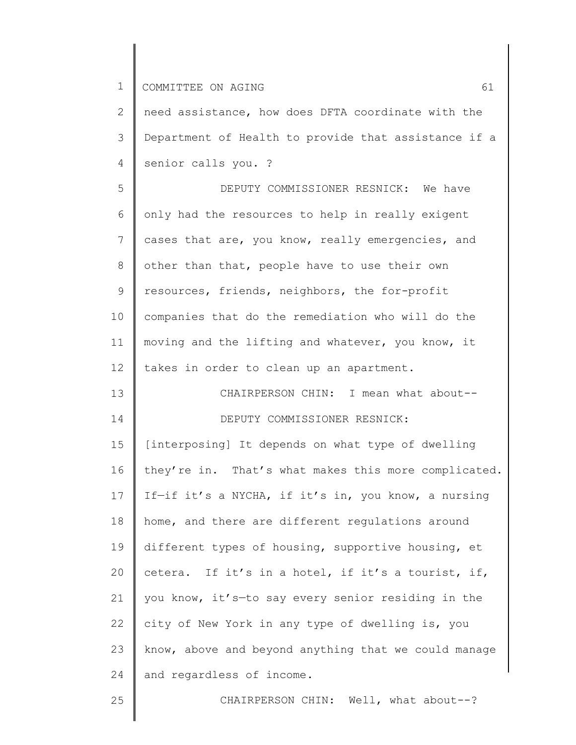25

2 3 4 need assistance, how does DFTA coordinate with the Department of Health to provide that assistance if a senior calls you. ?

5 6 7 8 9 10 11 12 DEPUTY COMMISSIONER RESNICK: We have only had the resources to help in really exigent cases that are, you know, really emergencies, and other than that, people have to use their own resources, friends, neighbors, the for-profit companies that do the remediation who will do the moving and the lifting and whatever, you know, it takes in order to clean up an apartment.

13 14 CHAIRPERSON CHIN: I mean what about-- DEPUTY COMMISSIONER RESNICK:

15 16 17 18 19 20 21 22 23 24 [interposing] It depends on what type of dwelling they're in. That's what makes this more complicated. If—if it's a NYCHA, if it's in, you know, a nursing home, and there are different regulations around different types of housing, supportive housing, et cetera. If it's in a hotel, if it's a tourist, if, you know, it's—to say every senior residing in the city of New York in any type of dwelling is, you know, above and beyond anything that we could manage and regardless of income.

CHAIRPERSON CHIN: Well, what about--?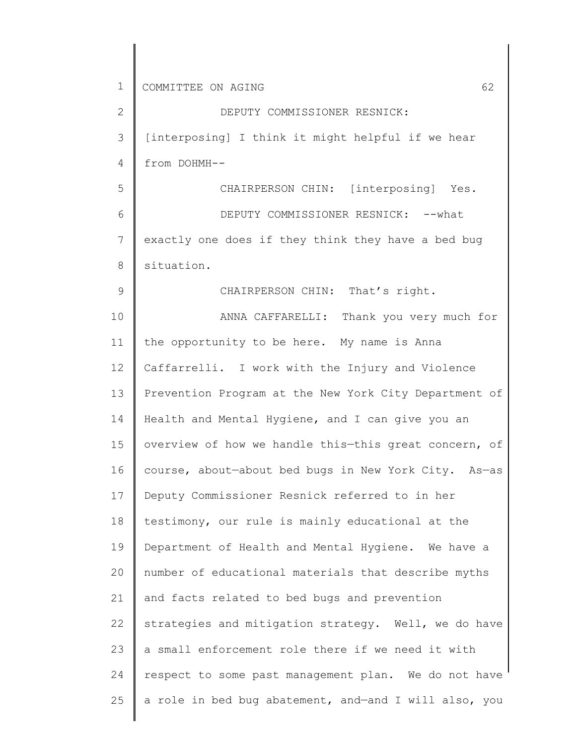| $\mathbf 1$   | COMMITTEE ON AGING<br>62                              |
|---------------|-------------------------------------------------------|
| $\mathbf{2}$  | DEPUTY COMMISSIONER RESNICK:                          |
| 3             | [interposing] I think it might helpful if we hear     |
| 4             | from DOHMH--                                          |
| 5             | CHAIRPERSON CHIN: [interposing] Yes.                  |
| 6             | DEPUTY COMMISSIONER RESNICK: -- what                  |
| 7             | exactly one does if they think they have a bed bug    |
| 8             | situation.                                            |
| $\mathcal{G}$ | CHAIRPERSON CHIN: That's right.                       |
| 10            | ANNA CAFFARELLI: Thank you very much for              |
| 11            | the opportunity to be here. My name is Anna           |
| 12            | Caffarrelli. I work with the Injury and Violence      |
| 13            | Prevention Program at the New York City Department of |
| 14            | Health and Mental Hygiene, and I can give you an      |
| 15            | overview of how we handle this-this great concern, of |
| 16            | course, about-about bed bugs in New York City. As-as  |
| 17            | Deputy Commissioner Resnick referred to in her        |
| 18            | testimony, our rule is mainly educational at the      |
| 19            | Department of Health and Mental Hygiene. We have a    |
| 20            | number of educational materials that describe myths   |
| 21            | and facts related to bed bugs and prevention          |
| 22            | strategies and mitigation strategy. Well, we do have  |
| 23            | a small enforcement role there if we need it with     |
| 24            | respect to some past management plan. We do not have  |
| 25            | a role in bed bug abatement, and-and I will also, you |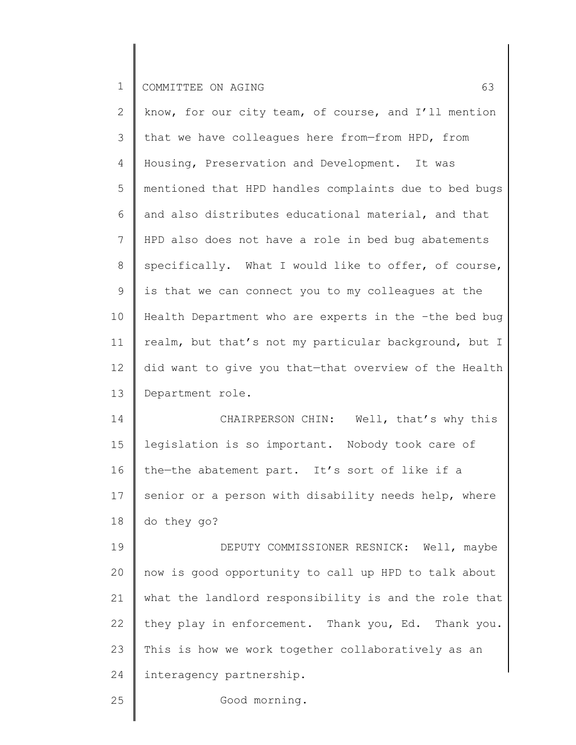∥

| $\overline{2}$ | know, for our city team, of course, and I'll mention  |
|----------------|-------------------------------------------------------|
| 3              | that we have colleagues here from-from HPD, from      |
| 4              | Housing, Preservation and Development. It was         |
| 5              | mentioned that HPD handles complaints due to bed bugs |
| 6              | and also distributes educational material, and that   |
| $7\phantom{.}$ | HPD also does not have a role in bed bug abatements   |
| $8\,$          | specifically. What I would like to offer, of course,  |
| 9              | is that we can connect you to my colleagues at the    |
| 10             | Health Department who are experts in the -the bed bug |
| 11             | realm, but that's not my particular background, but I |
| 12             | did want to give you that-that overview of the Health |
| 13             | Department role.                                      |
|                |                                                       |
| 14             | CHAIRPERSON CHIN: Well, that's why this               |
| 15             | legislation is so important. Nobody took care of      |
| 16             | the-the abatement part. It's sort of like if a        |
|                | senior or a person with disability needs help, where  |
|                | do they go?                                           |
| 19             | DEPUTY COMMISSIONER RESNICK: Well, maybe              |
| 17<br>18<br>20 | now is good opportunity to call up HPD to talk about  |
| 21             | what the landlord responsibility is and the role that |
| 22             | they play in enforcement. Thank you, Ed. Thank you.   |
| 23             | This is how we work together collaboratively as an    |
| 24             | interagency partnership.                              |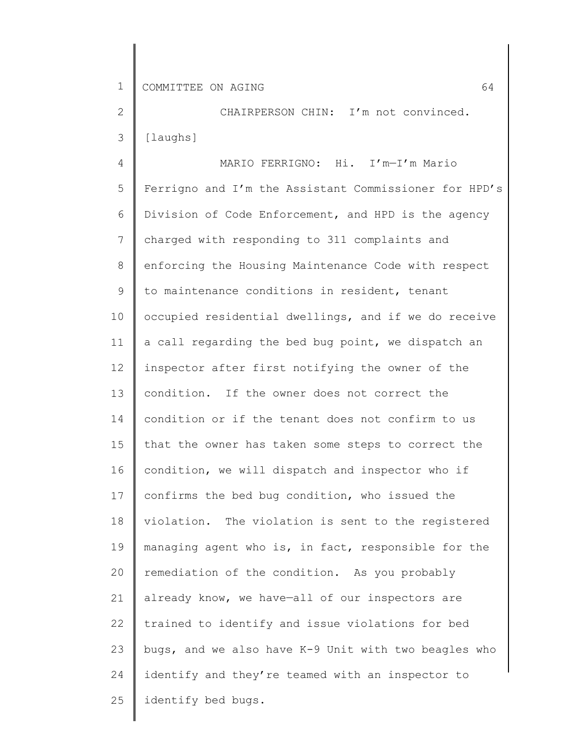2 3 CHAIRPERSON CHIN: I'm not convinced. [laughs]

4 5 6 7 8 9 10 11 12 13 14 15 16 17 18 19 20 21 22 23 24 25 MARIO FERRIGNO: Hi. I'm—I'm Mario Ferrigno and I'm the Assistant Commissioner for HPD's Division of Code Enforcement, and HPD is the agency charged with responding to 311 complaints and enforcing the Housing Maintenance Code with respect to maintenance conditions in resident, tenant occupied residential dwellings, and if we do receive a call regarding the bed bug point, we dispatch an inspector after first notifying the owner of the condition. If the owner does not correct the condition or if the tenant does not confirm to us that the owner has taken some steps to correct the condition, we will dispatch and inspector who if confirms the bed bug condition, who issued the violation. The violation is sent to the registered managing agent who is, in fact, responsible for the remediation of the condition. As you probably already know, we have—all of our inspectors are trained to identify and issue violations for bed bugs, and we also have K-9 Unit with two beagles who identify and they're teamed with an inspector to identify bed bugs.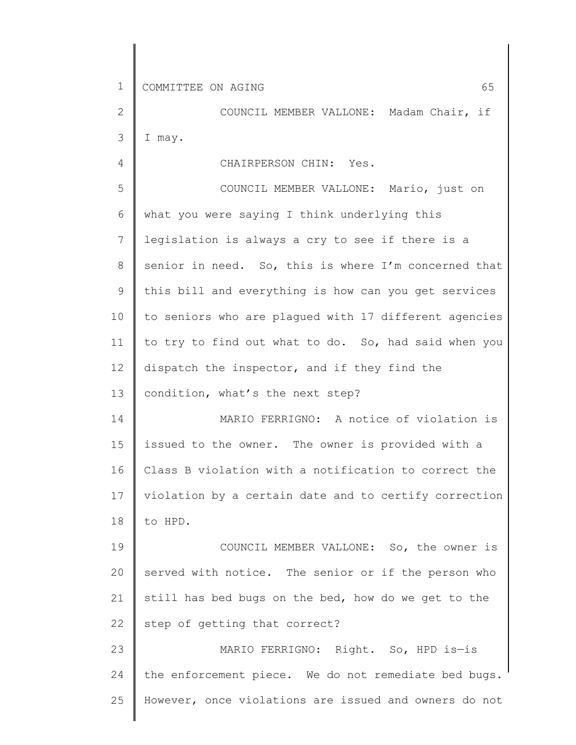4

2 3 COUNCIL MEMBER VALLONE: Madam Chair, if I may.

## CHAIRPERSON CHIN: Yes.

5 6 7 8 9 10 11 12 13 14 15 16 17 18 COUNCIL MEMBER VALLONE: Mario, just on what you were saying I think underlying this legislation is always a cry to see if there is a senior in need. So, this is where I'm concerned that this bill and everything is how can you get services to seniors who are plagued with 17 different agencies to try to find out what to do. So, had said when you dispatch the inspector, and if they find the condition, what's the next step? MARIO FERRIGNO: A notice of violation is issued to the owner. The owner is provided with a Class B violation with a notification to correct the violation by a certain date and to certify correction to HPD.

19 20 21 22 COUNCIL MEMBER VALLONE: So, the owner is served with notice. The senior or if the person who still has bed bugs on the bed, how do we get to the step of getting that correct?

23 24 25 MARIO FERRIGNO: Right. So, HPD is—is the enforcement piece. We do not remediate bed bugs. However, once violations are issued and owners do not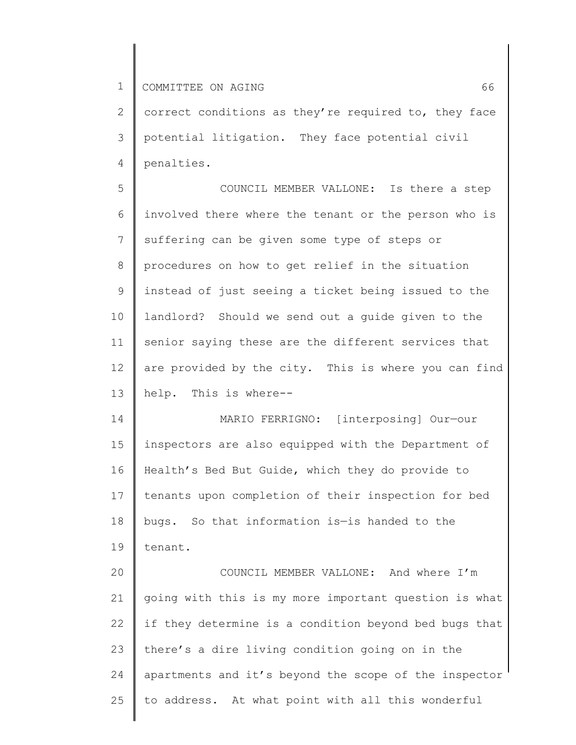2 3 4 correct conditions as they're required to, they face potential litigation. They face potential civil penalties.

5 6 7 8 9 10 11 12 13 COUNCIL MEMBER VALLONE: Is there a step involved there where the tenant or the person who is suffering can be given some type of steps or procedures on how to get relief in the situation instead of just seeing a ticket being issued to the landlord? Should we send out a guide given to the senior saying these are the different services that are provided by the city. This is where you can find help. This is where--

14 15 16 17 18 19 MARIO FERRIGNO: [interposing] Our—our inspectors are also equipped with the Department of Health's Bed But Guide, which they do provide to tenants upon completion of their inspection for bed bugs. So that information is—is handed to the tenant.

20 21 22 23 24 25 COUNCIL MEMBER VALLONE: And where I'm going with this is my more important question is what if they determine is a condition beyond bed bugs that there's a dire living condition going on in the apartments and it's beyond the scope of the inspector to address. At what point with all this wonderful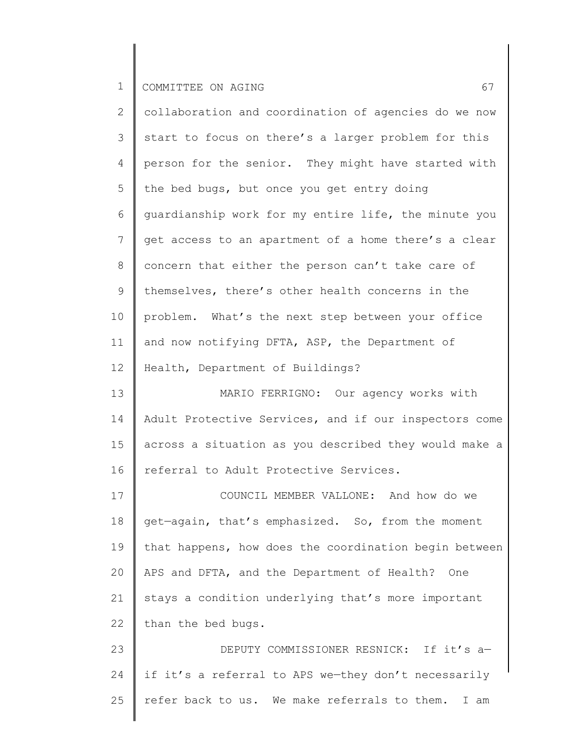| $\overline{2}$  | collaboration and coordination of agencies do we now  |
|-----------------|-------------------------------------------------------|
| 3               | start to focus on there's a larger problem for this   |
| 4               | person for the senior. They might have started with   |
| 5               | the bed bugs, but once you get entry doing            |
| 6               | guardianship work for my entire life, the minute you  |
| 7               | get access to an apartment of a home there's a clear  |
| 8               | concern that either the person can't take care of     |
| 9               | themselves, there's other health concerns in the      |
| 10              | problem. What's the next step between your office     |
| 11              | and now notifying DFTA, ASP, the Department of        |
| 12 <sup>°</sup> | Health, Department of Buildings?                      |
| 13              | MARIO FERRIGNO: Our agency works with                 |
| 14              | Adult Protective Services, and if our inspectors come |
| 15              | across a situation as you described they would make a |
| 16              | referral to Adult Protective Services.                |
| 17              | COUNCIL MEMBER VALLONE: And how do we                 |
| 18              | get-again, that's emphasized. So, from the moment     |
| 19              | that happens, how does the coordination begin between |
| 20              | APS and DFTA, and the Department of Health? One       |
| 21              | stays a condition underlying that's more important    |
| 22              | than the bed bugs.                                    |
| 23              | DEPUTY COMMISSIONER RESNICK: If it's a-               |
| 24              | if it's a referral to APS we-they don't necessarily   |
| 25              | refer back to us. We make referrals to them.<br>I am  |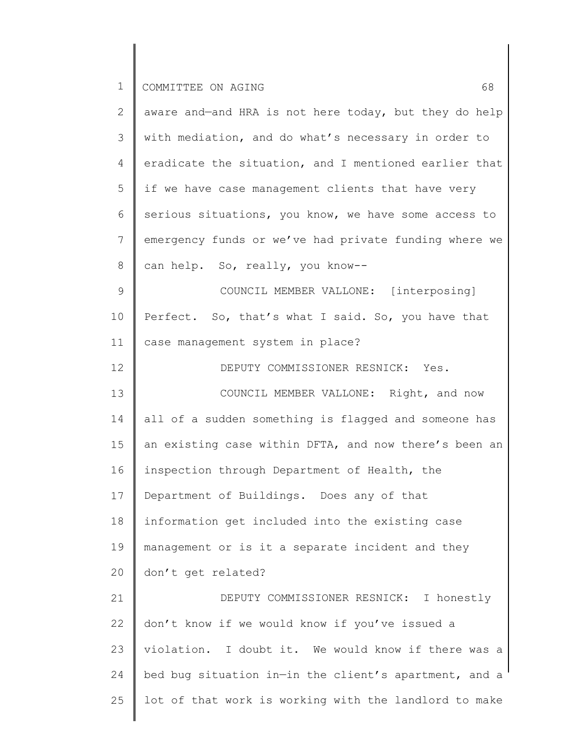| 2  | aware and-and HRA is not here today, but they do help |
|----|-------------------------------------------------------|
| 3  | with mediation, and do what's necessary in order to   |
| 4  | eradicate the situation, and I mentioned earlier that |
| 5  | if we have case management clients that have very     |
| 6  | serious situations, you know, we have some access to  |
| 7  | emergency funds or we've had private funding where we |
| 8  | can help. So, really, you know--                      |
| 9  | COUNCIL MEMBER VALLONE: [interposing]                 |
| 10 | Perfect. So, that's what I said. So, you have that    |
| 11 | case management system in place?                      |
| 12 | DEPUTY COMMISSIONER RESNICK: Yes.                     |
| 13 | COUNCIL MEMBER VALLONE: Right, and now                |
| 14 | all of a sudden something is flagged and someone has  |
| 15 | an existing case within DFTA, and now there's been an |
| 16 | inspection through Department of Health, the          |
| 17 | Department of Buildings. Does any of that             |
| 18 | information get included into the existing case       |
| 19 | management or is it a separate incident and they      |
| 20 | don't get related?                                    |
| 21 | DEPUTY COMMISSIONER RESNICK: I honestly               |
| 22 | don't know if we would know if you've issued a        |
| 23 | violation. I doubt it. We would know if there was a   |
| 24 | bed bug situation in-in the client's apartment, and a |
| 25 | lot of that work is working with the landlord to make |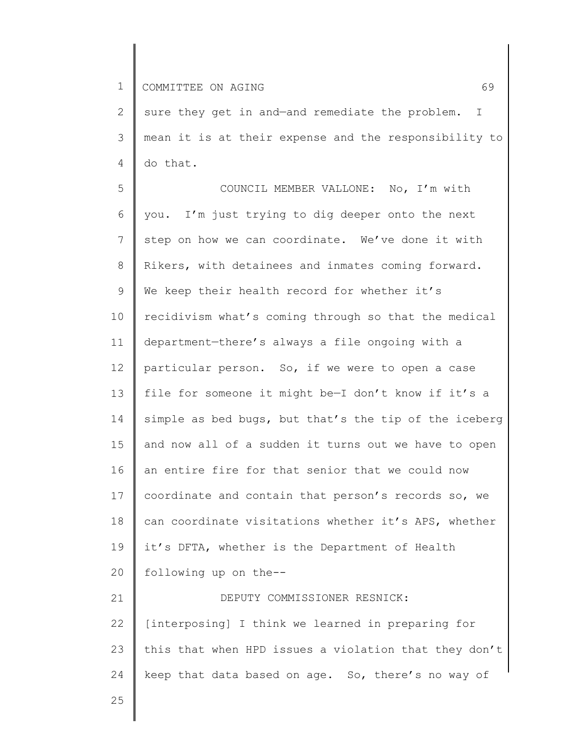2 3 4 sure they get in and—and remediate the problem. I mean it is at their expense and the responsibility to do that.

5 6 7 8 9 10 11 12 13 14 15 16 17 18 19 20 21 22 23 24 COUNCIL MEMBER VALLONE: No, I'm with you. I'm just trying to dig deeper onto the next step on how we can coordinate. We've done it with Rikers, with detainees and inmates coming forward. We keep their health record for whether it's recidivism what's coming through so that the medical department—there's always a file ongoing with a particular person. So, if we were to open a case file for someone it might be—I don't know if it's a simple as bed bugs, but that's the tip of the iceberg and now all of a sudden it turns out we have to open an entire fire for that senior that we could now coordinate and contain that person's records so, we can coordinate visitations whether it's APS, whether it's DFTA, whether is the Department of Health following up on the-- DEPUTY COMMISSIONER RESNICK: [interposing] I think we learned in preparing for this that when HPD issues a violation that they don't keep that data based on age. So, there's no way of

25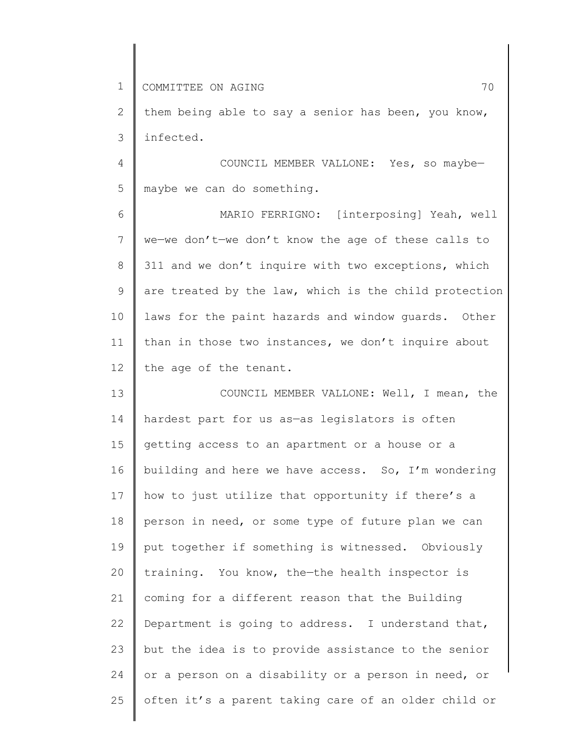2 3 them being able to say a senior has been, you know, infected.

4 5 COUNCIL MEMBER VALLONE: Yes, so maybe maybe we can do something.

6 7 8 9 10 11 12 MARIO FERRIGNO: [interposing] Yeah, well we—we don't—we don't know the age of these calls to 311 and we don't inquire with two exceptions, which are treated by the law, which is the child protection laws for the paint hazards and window guards. Other than in those two instances, we don't inquire about the age of the tenant.

13 14 15 16 17 18 19 20 21 22 23 24 25 COUNCIL MEMBER VALLONE: Well, I mean, the hardest part for us as—as legislators is often getting access to an apartment or a house or a building and here we have access. So, I'm wondering how to just utilize that opportunity if there's a person in need, or some type of future plan we can put together if something is witnessed. Obviously training. You know, the—the health inspector is coming for a different reason that the Building Department is going to address. I understand that, but the idea is to provide assistance to the senior or a person on a disability or a person in need, or often it's a parent taking care of an older child or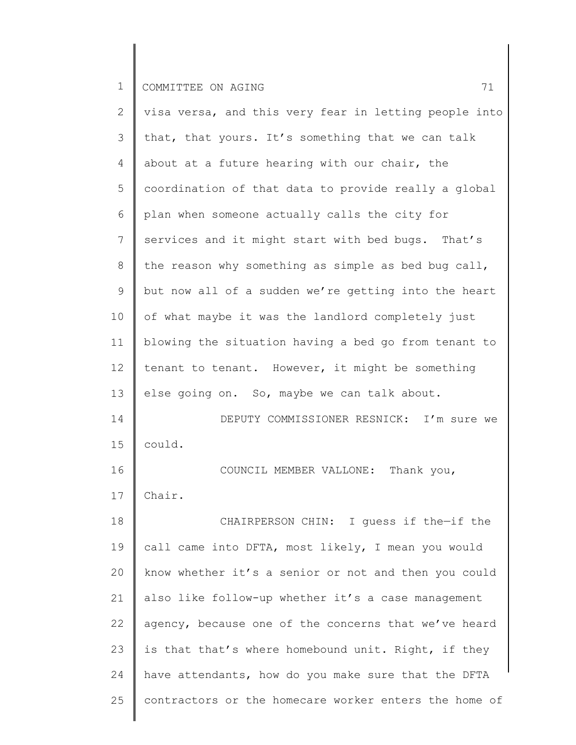2 3 4 5 6 7 8 9 10 11 12 13 14 15 16 17 18 19 20 21 22 23 24 25 visa versa, and this very fear in letting people into that, that yours. It's something that we can talk about at a future hearing with our chair, the coordination of that data to provide really a global plan when someone actually calls the city for services and it might start with bed bugs. That's the reason why something as simple as bed bug call, but now all of a sudden we're getting into the heart of what maybe it was the landlord completely just blowing the situation having a bed go from tenant to tenant to tenant. However, it might be something else going on. So, maybe we can talk about. DEPUTY COMMISSIONER RESNICK: I'm sure we could. COUNCIL MEMBER VALLONE: Thank you, Chair. CHAIRPERSON CHIN: I guess if the—if the call came into DFTA, most likely, I mean you would know whether it's a senior or not and then you could also like follow-up whether it's a case management agency, because one of the concerns that we've heard is that that's where homebound unit. Right, if they have attendants, how do you make sure that the DFTA contractors or the homecare worker enters the home of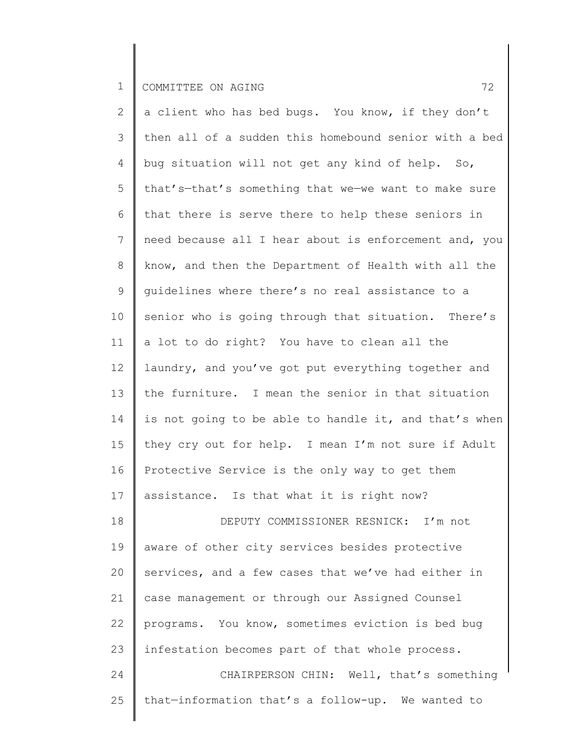2 3 4 5 6 7 8 9 10 11 12 13 14 15 16 17 18 19 20 21 22 23 24 25 a client who has bed bugs. You know, if they don't then all of a sudden this homebound senior with a bed bug situation will not get any kind of help. So, that's—that's something that we—we want to make sure that there is serve there to help these seniors in need because all I hear about is enforcement and, you know, and then the Department of Health with all the guidelines where there's no real assistance to a senior who is going through that situation. There's a lot to do right? You have to clean all the laundry, and you've got put everything together and the furniture. I mean the senior in that situation is not going to be able to handle it, and that's when they cry out for help. I mean I'm not sure if Adult Protective Service is the only way to get them assistance. Is that what it is right now? DEPUTY COMMISSIONER RESNICK: I'm not aware of other city services besides protective services, and a few cases that we've had either in case management or through our Assigned Counsel programs. You know, sometimes eviction is bed bug infestation becomes part of that whole process. CHAIRPERSON CHIN: Well, that's something that—information that's a follow-up. We wanted to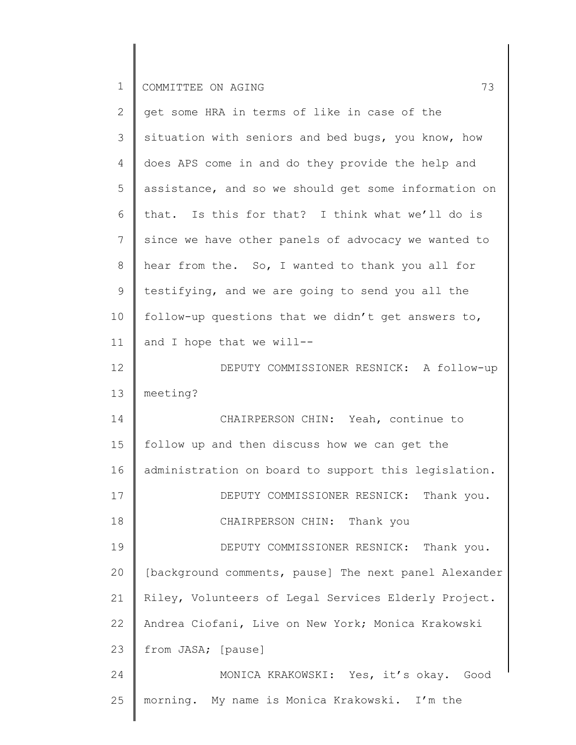| $\mathbf{2}^{\prime}$ | get some HRA in terms of like in case of the          |
|-----------------------|-------------------------------------------------------|
| 3                     | situation with seniors and bed bugs, you know, how    |
| 4                     | does APS come in and do they provide the help and     |
| 5                     | assistance, and so we should get some information on  |
| 6                     | that. Is this for that? I think what we'll do is      |
| $7\phantom{.0}$       | since we have other panels of advocacy we wanted to   |
| 8                     | hear from the. So, I wanted to thank you all for      |
| 9                     | testifying, and we are going to send you all the      |
| 10                    | follow-up questions that we didn't get answers to,    |
| 11                    | and I hope that we will--                             |
| 12                    | DEPUTY COMMISSIONER RESNICK: A follow-up              |
| 13                    | meeting?                                              |
| 14                    | CHAIRPERSON CHIN: Yeah, continue to                   |
| 15                    | follow up and then discuss how we can get the         |
| 16                    | administration on board to support this legislation.  |
| 17                    | DEPUTY COMMISSIONER RESNICK: Thank you.               |
| 18                    | CHAIRPERSON CHIN: Thank you                           |
| 19                    | DEPUTY COMMISSIONER RESNICK: Thank you.               |
| 20                    | [background comments, pause] The next panel Alexander |
| 21                    | Riley, Volunteers of Legal Services Elderly Project.  |
| 22                    | Andrea Ciofani, Live on New York; Monica Krakowski    |
| 23                    | from JASA; [pause]                                    |
| 24                    | MONICA KRAKOWSKI: Yes, it's okay. Good                |
| 25                    | morning. My name is Monica Krakowski. I'm the         |
|                       |                                                       |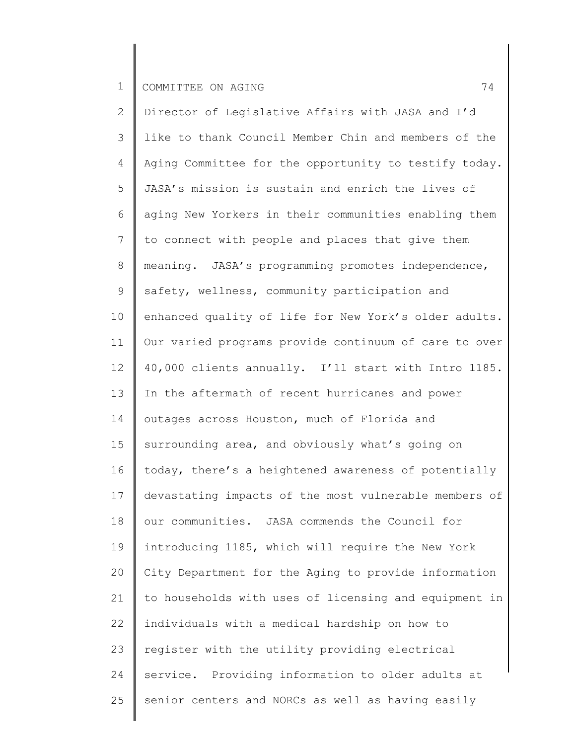2 3 4 5 6 7 8 9 10 11 12 13 14 15 16 17 18 19 20 21 22 23 24 25 Director of Legislative Affairs with JASA and I'd like to thank Council Member Chin and members of the Aging Committee for the opportunity to testify today. JASA's mission is sustain and enrich the lives of aging New Yorkers in their communities enabling them to connect with people and places that give them meaning. JASA's programming promotes independence, safety, wellness, community participation and enhanced quality of life for New York's older adults. Our varied programs provide continuum of care to over 40,000 clients annually. I'll start with Intro 1185. In the aftermath of recent hurricanes and power outages across Houston, much of Florida and surrounding area, and obviously what's going on today, there's a heightened awareness of potentially devastating impacts of the most vulnerable members of our communities. JASA commends the Council for introducing 1185, which will require the New York City Department for the Aging to provide information to households with uses of licensing and equipment in individuals with a medical hardship on how to register with the utility providing electrical service. Providing information to older adults at senior centers and NORCs as well as having easily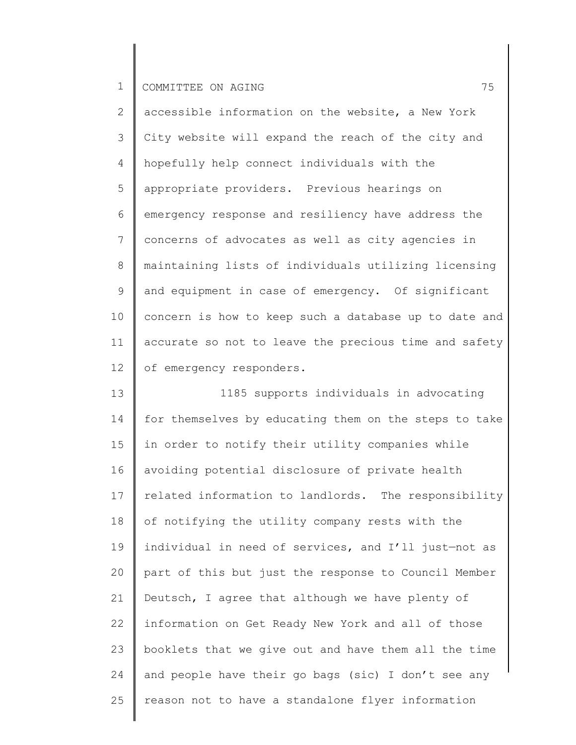2 3 4 5 6 7 8 9 10 11 12 accessible information on the website, a New York City website will expand the reach of the city and hopefully help connect individuals with the appropriate providers. Previous hearings on emergency response and resiliency have address the concerns of advocates as well as city agencies in maintaining lists of individuals utilizing licensing and equipment in case of emergency. Of significant concern is how to keep such a database up to date and accurate so not to leave the precious time and safety of emergency responders.

13 14 15 16 17 18 19 20 21 22 23 24 25 1185 supports individuals in advocating for themselves by educating them on the steps to take in order to notify their utility companies while avoiding potential disclosure of private health related information to landlords. The responsibility of notifying the utility company rests with the individual in need of services, and I'll just—not as part of this but just the response to Council Member Deutsch, I agree that although we have plenty of information on Get Ready New York and all of those booklets that we give out and have them all the time and people have their go bags (sic) I don't see any reason not to have a standalone flyer information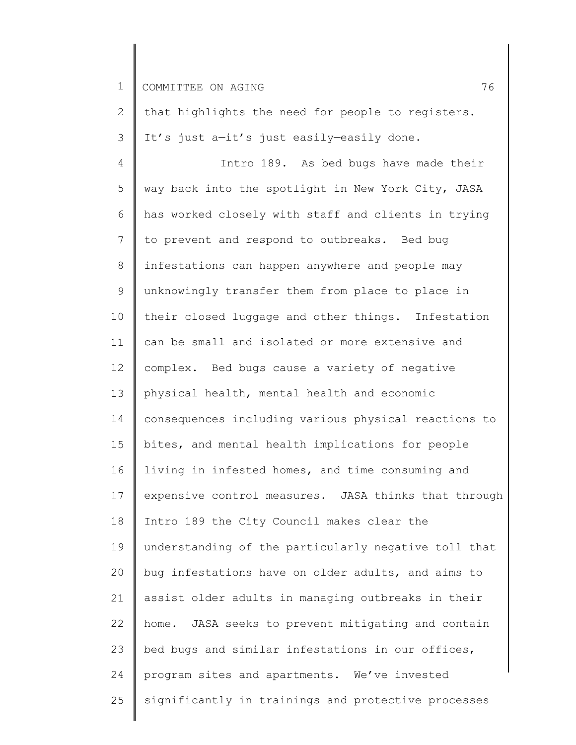1 COMMITTEE ON AGING THE COMMITTEE ON AGING

2 3 that highlights the need for people to registers. It's just a—it's just easily—easily done.

4 5 6 7 8 9 10 11 12 13 14 15 16 17 18 19 20 21 22 23 24 25 Intro 189. As bed bugs have made their way back into the spotlight in New York City, JASA has worked closely with staff and clients in trying to prevent and respond to outbreaks. Bed bug infestations can happen anywhere and people may unknowingly transfer them from place to place in their closed luggage and other things. Infestation can be small and isolated or more extensive and complex. Bed bugs cause a variety of negative physical health, mental health and economic consequences including various physical reactions to bites, and mental health implications for people living in infested homes, and time consuming and expensive control measures. JASA thinks that through Intro 189 the City Council makes clear the understanding of the particularly negative toll that bug infestations have on older adults, and aims to assist older adults in managing outbreaks in their home. JASA seeks to prevent mitigating and contain bed bugs and similar infestations in our offices, program sites and apartments. We've invested significantly in trainings and protective processes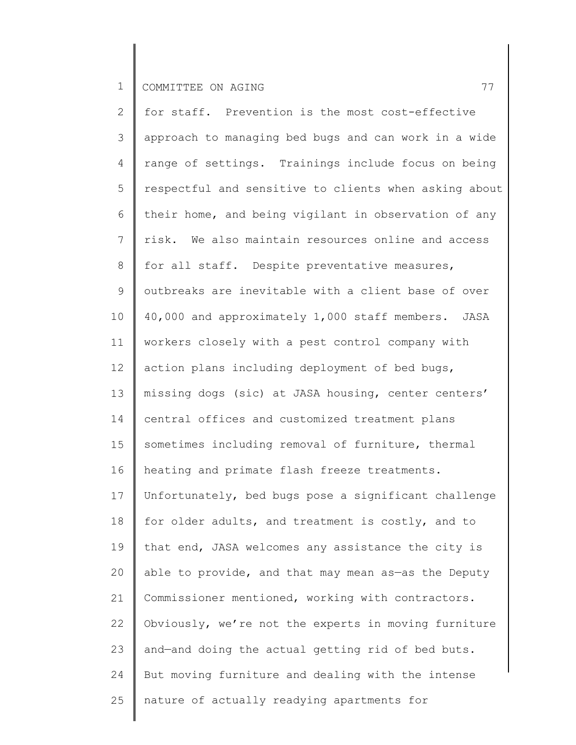2 3 4 5 6 7 8 9 10 11 12 13 14 15 16 17 18 19 20 21 22 23 24 25 for staff. Prevention is the most cost-effective approach to managing bed bugs and can work in a wide range of settings. Trainings include focus on being respectful and sensitive to clients when asking about their home, and being vigilant in observation of any risk. We also maintain resources online and access for all staff. Despite preventative measures, outbreaks are inevitable with a client base of over 40,000 and approximately 1,000 staff members. JASA workers closely with a pest control company with action plans including deployment of bed bugs, missing dogs (sic) at JASA housing, center centers' central offices and customized treatment plans sometimes including removal of furniture, thermal heating and primate flash freeze treatments. Unfortunately, bed bugs pose a significant challenge for older adults, and treatment is costly, and to that end, JASA welcomes any assistance the city is able to provide, and that may mean as—as the Deputy Commissioner mentioned, working with contractors. Obviously, we're not the experts in moving furniture and—and doing the actual getting rid of bed buts. But moving furniture and dealing with the intense nature of actually readying apartments for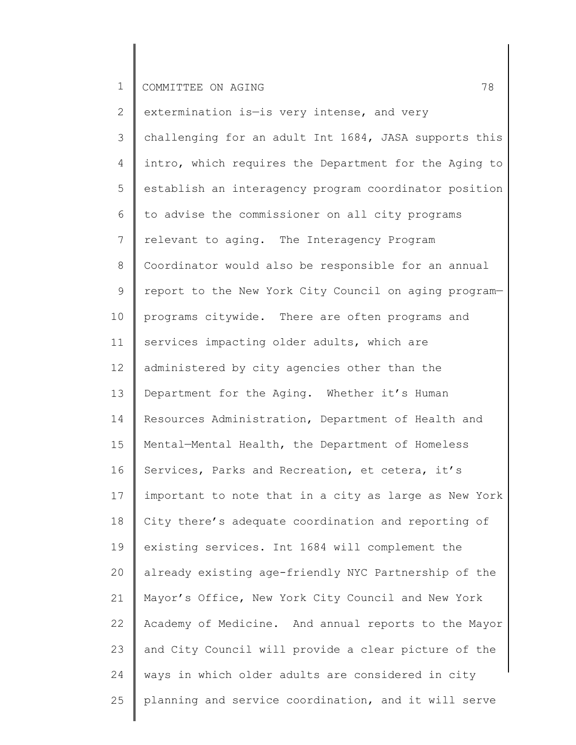1 COMMITTEE ON AGING THE COMMITTEE ON AGING

2 3 4 5 6 7 8 9 10 11 12 13 14 15 16 17 18 19 20 21 22 23 24 25 extermination is—is very intense, and very challenging for an adult Int 1684, JASA supports this intro, which requires the Department for the Aging to establish an interagency program coordinator position to advise the commissioner on all city programs relevant to aging. The Interagency Program Coordinator would also be responsible for an annual report to the New York City Council on aging program programs citywide. There are often programs and services impacting older adults, which are administered by city agencies other than the Department for the Aging. Whether it's Human Resources Administration, Department of Health and Mental—Mental Health, the Department of Homeless Services, Parks and Recreation, et cetera, it's important to note that in a city as large as New York City there's adequate coordination and reporting of existing services. Int 1684 will complement the already existing age-friendly NYC Partnership of the Mayor's Office, New York City Council and New York Academy of Medicine. And annual reports to the Mayor and City Council will provide a clear picture of the ways in which older adults are considered in city planning and service coordination, and it will serve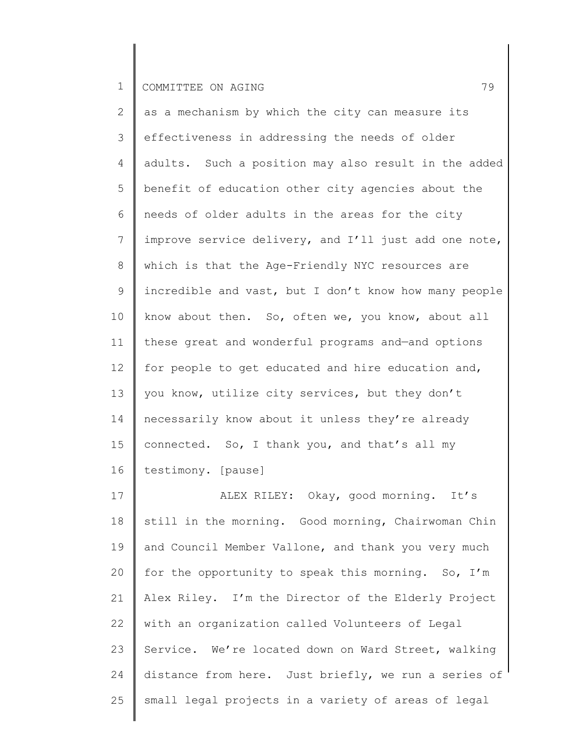25

| $\mathbf{2}$   | as a mechanism by which the city can measure its      |
|----------------|-------------------------------------------------------|
| 3              | effectiveness in addressing the needs of older        |
| 4              | adults. Such a position may also result in the added  |
| 5              | benefit of education other city agencies about the    |
| 6              | needs of older adults in the areas for the city       |
| $7\phantom{.}$ | improve service delivery, and I'll just add one note, |
| 8              | which is that the Age-Friendly NYC resources are      |
| 9              | incredible and vast, but I don't know how many people |
| 10             | know about then. So, often we, you know, about all    |
| 11             | these great and wonderful programs and-and options    |
| 12             | for people to get educated and hire education and,    |
| 13             | you know, utilize city services, but they don't       |
| 14             | necessarily know about it unless they're already      |
| 15             | connected. So, I thank you, and that's all my         |
| 16             | testimony. [pause]                                    |
| 17             | ALEX RILEY: Okay, good morning. It's                  |
| 18             | still in the morning. Good morning, Chairwoman Chin   |
| 19             | and Council Member Vallone, and thank you very much   |
| 20             | for the opportunity to speak this morning. So, I'm    |
| 21             | Alex Riley. I'm the Director of the Elderly Project   |
| 22             | with an organization called Volunteers of Legal       |
| 23             | Service. We're located down on Ward Street, walking   |
| 24             | distance from here. Just briefly, we run a series of  |

small legal projects in a variety of areas of legal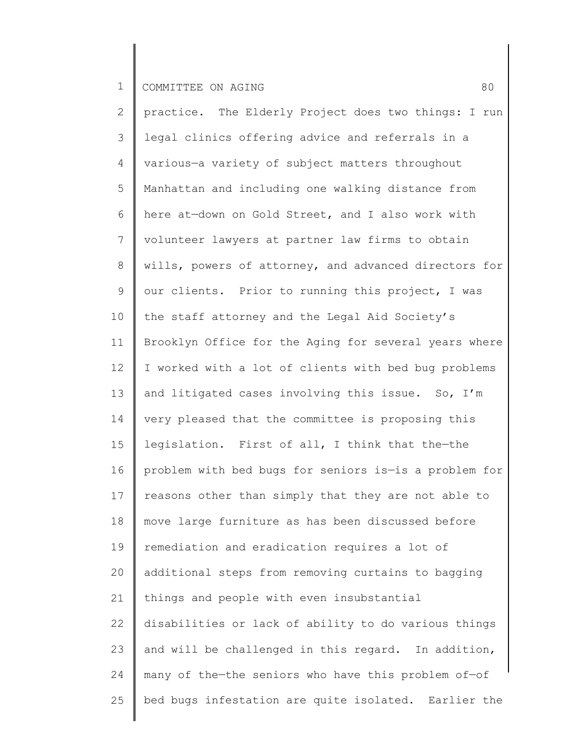2 3 4 5 6 7 8 9 10 11 12 13 14 15 16 17 18 19 20 21 22 23 24 25 practice. The Elderly Project does two things: I run legal clinics offering advice and referrals in a various—a variety of subject matters throughout Manhattan and including one walking distance from here at-down on Gold Street, and I also work with volunteer lawyers at partner law firms to obtain wills, powers of attorney, and advanced directors for our clients. Prior to running this project, I was the staff attorney and the Legal Aid Society's Brooklyn Office for the Aging for several years where I worked with a lot of clients with bed bug problems and litigated cases involving this issue. So, I'm very pleased that the committee is proposing this legislation. First of all, I think that the—the problem with bed bugs for seniors is—is a problem for reasons other than simply that they are not able to move large furniture as has been discussed before remediation and eradication requires a lot of additional steps from removing curtains to bagging things and people with even insubstantial disabilities or lack of ability to do various things and will be challenged in this regard. In addition, many of the—the seniors who have this problem of—of bed bugs infestation are quite isolated. Earlier the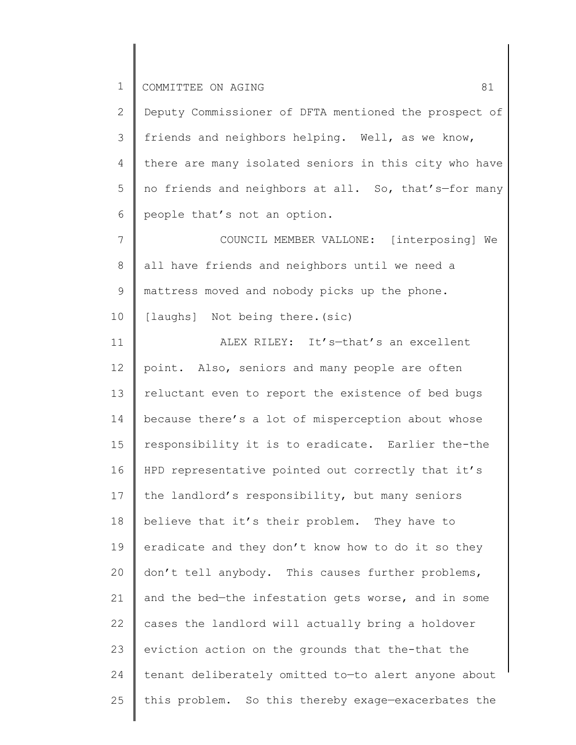2 3 4 5 6 Deputy Commissioner of DFTA mentioned the prospect of friends and neighbors helping. Well, as we know, there are many isolated seniors in this city who have no friends and neighbors at all. So, that's—for many people that's not an option.

7 8 9 10 COUNCIL MEMBER VALLONE: [interposing] We all have friends and neighbors until we need a mattress moved and nobody picks up the phone. [laughs] Not being there.(sic)

11 12 13 14 15 16 17 18 19 20 21 22 23 24 25 ALEX RILEY: It's—that's an excellent point. Also, seniors and many people are often reluctant even to report the existence of bed bugs because there's a lot of misperception about whose responsibility it is to eradicate. Earlier the-the HPD representative pointed out correctly that it's the landlord's responsibility, but many seniors believe that it's their problem. They have to eradicate and they don't know how to do it so they don't tell anybody. This causes further problems, and the bed—the infestation gets worse, and in some cases the landlord will actually bring a holdover eviction action on the grounds that the-that the tenant deliberately omitted to—to alert anyone about this problem. So this thereby exage—exacerbates the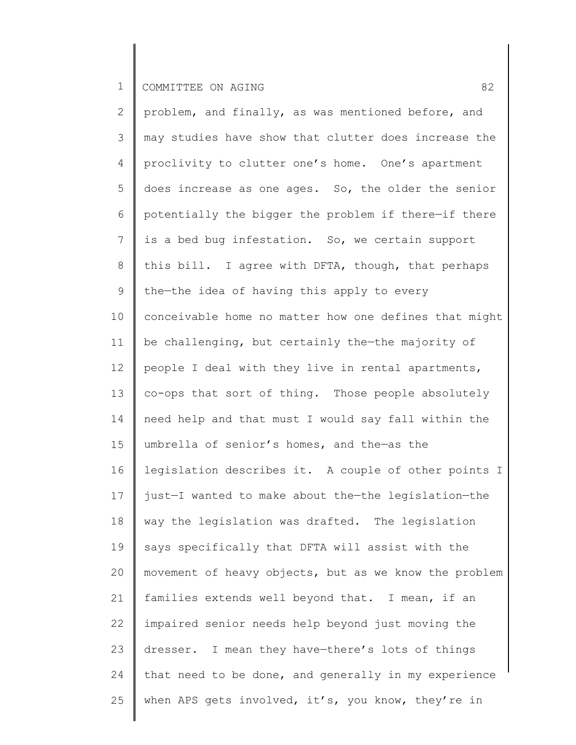2 3 4 5 6 7 8 9 10 11 12 13 14 15 16 17 18 19 20 21 22 23 24 25 problem, and finally, as was mentioned before, and may studies have show that clutter does increase the proclivity to clutter one's home. One's apartment does increase as one ages. So, the older the senior potentially the bigger the problem if there—if there is a bed bug infestation. So, we certain support this bill. I agree with DFTA, though, that perhaps the—the idea of having this apply to every conceivable home no matter how one defines that might be challenging, but certainly the—the majority of people I deal with they live in rental apartments, co-ops that sort of thing. Those people absolutely need help and that must I would say fall within the umbrella of senior's homes, and the—as the legislation describes it. A couple of other points I just—I wanted to make about the—the legislation—the way the legislation was drafted. The legislation says specifically that DFTA will assist with the movement of heavy objects, but as we know the problem families extends well beyond that. I mean, if an impaired senior needs help beyond just moving the dresser. I mean they have—there's lots of things that need to be done, and generally in my experience when APS gets involved, it's, you know, they're in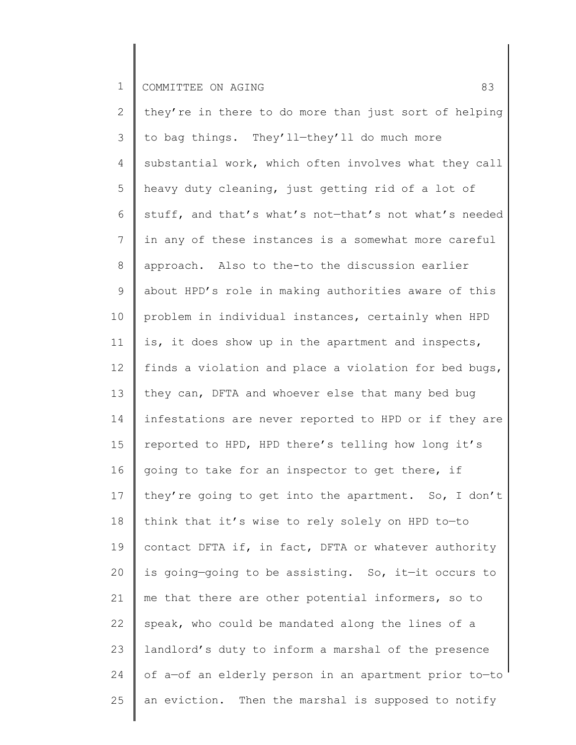2 3 4 5 6 7 8 9 10 11 12 13 14 15 16 17 18 19 20 21 22 23 24 25 they're in there to do more than just sort of helping to bag things. They'll—they'll do much more substantial work, which often involves what they call heavy duty cleaning, just getting rid of a lot of stuff, and that's what's not—that's not what's needed in any of these instances is a somewhat more careful approach. Also to the-to the discussion earlier about HPD's role in making authorities aware of this problem in individual instances, certainly when HPD is, it does show up in the apartment and inspects, finds a violation and place a violation for bed bugs, they can, DFTA and whoever else that many bed bug infestations are never reported to HPD or if they are reported to HPD, HPD there's telling how long it's going to take for an inspector to get there, if they're going to get into the apartment. So, I don't think that it's wise to rely solely on HPD to—to contact DFTA if, in fact, DFTA or whatever authority is going—going to be assisting. So, it—it occurs to me that there are other potential informers, so to speak, who could be mandated along the lines of a landlord's duty to inform a marshal of the presence of a—of an elderly person in an apartment prior to—to an eviction. Then the marshal is supposed to notify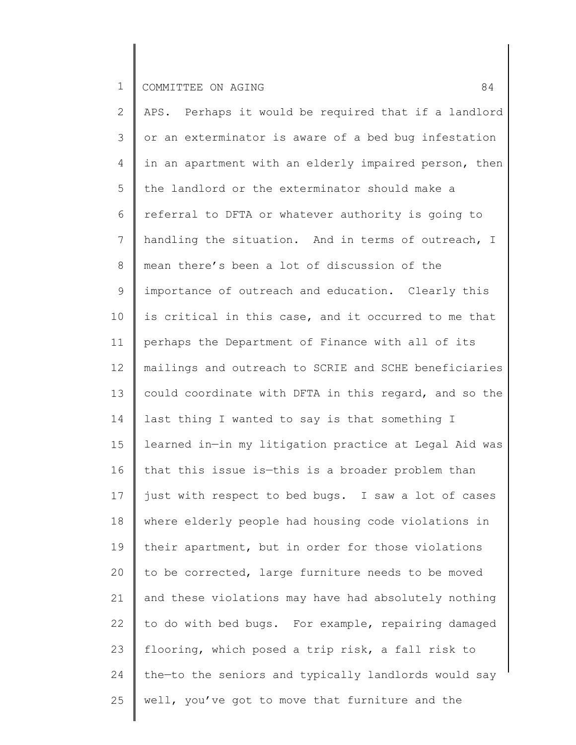2 3 4 5 6 7 8 9 10 11 12 13 14 15 16 17 18 19 20 21 22 23 24 25 APS. Perhaps it would be required that if a landlord or an exterminator is aware of a bed bug infestation in an apartment with an elderly impaired person, then the landlord or the exterminator should make a referral to DFTA or whatever authority is going to handling the situation. And in terms of outreach, I mean there's been a lot of discussion of the importance of outreach and education. Clearly this is critical in this case, and it occurred to me that perhaps the Department of Finance with all of its mailings and outreach to SCRIE and SCHE beneficiaries could coordinate with DFTA in this regard, and so the last thing I wanted to say is that something I learned in—in my litigation practice at Legal Aid was that this issue is—this is a broader problem than just with respect to bed bugs. I saw a lot of cases where elderly people had housing code violations in their apartment, but in order for those violations to be corrected, large furniture needs to be moved and these violations may have had absolutely nothing to do with bed bugs. For example, repairing damaged flooring, which posed a trip risk, a fall risk to the—to the seniors and typically landlords would say well, you've got to move that furniture and the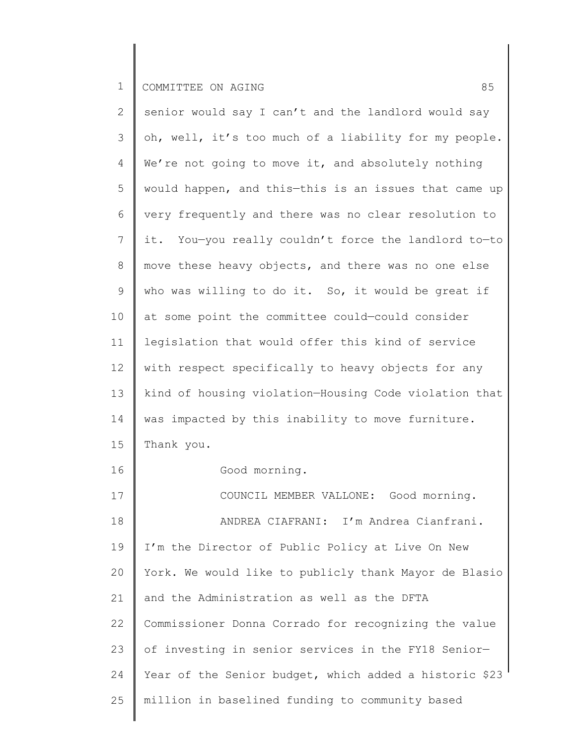| $\mathbf{2}^{\prime}$ | senior would say I can't and the landlord would say    |
|-----------------------|--------------------------------------------------------|
| 3                     | oh, well, it's too much of a liability for my people.  |
| 4                     | We're not going to move it, and absolutely nothing     |
| 5                     | would happen, and this-this is an issues that came up  |
| 6                     | very frequently and there was no clear resolution to   |
| $7\phantom{.0}$       | it. You-you really couldn't force the landlord to-to   |
| 8                     | move these heavy objects, and there was no one else    |
| $\mathsf 9$           | who was willing to do it. So, it would be great if     |
| 10                    | at some point the committee could-could consider       |
| 11                    | legislation that would offer this kind of service      |
| 12                    | with respect specifically to heavy objects for any     |
| 13                    | kind of housing violation-Housing Code violation that  |
| 14                    | was impacted by this inability to move furniture.      |
| 15                    | Thank you.                                             |
| 16                    | Good morning.                                          |
| 17                    | COUNCIL MEMBER VALLONE: Good morning.                  |
| 18                    | ANDREA CIAFRANI: I'm Andrea Cianfrani                  |
| 19                    | I'm the Director of Public Policy at Live On New       |
| 20                    | York. We would like to publicly thank Mayor de Blasio  |
| 21                    | and the Administration as well as the DFTA             |
| 22                    | Commissioner Donna Corrado for recognizing the value   |
| 23                    | of investing in senior services in the FY18 Senior-    |
| 24                    | Year of the Senior budget, which added a historic \$23 |
| 25                    | million in baselined funding to community based        |
|                       |                                                        |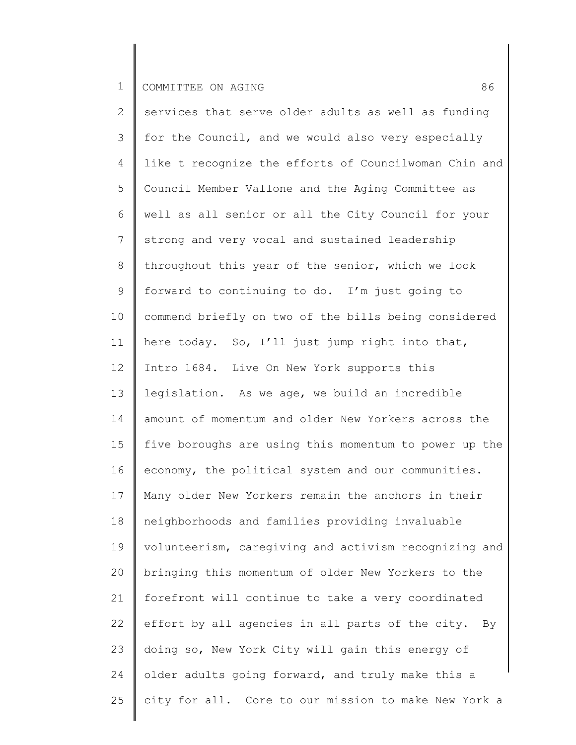2 3 4 5 6 7 8 9 10 11 12 13 14 15 16 17 18 19 20 21 22 23 24 25 services that serve older adults as well as funding for the Council, and we would also very especially like t recognize the efforts of Councilwoman Chin and Council Member Vallone and the Aging Committee as well as all senior or all the City Council for your strong and very vocal and sustained leadership throughout this year of the senior, which we look forward to continuing to do. I'm just going to commend briefly on two of the bills being considered here today. So, I'll just jump right into that, Intro 1684. Live On New York supports this legislation. As we age, we build an incredible amount of momentum and older New Yorkers across the five boroughs are using this momentum to power up the economy, the political system and our communities. Many older New Yorkers remain the anchors in their neighborhoods and families providing invaluable volunteerism, caregiving and activism recognizing and bringing this momentum of older New Yorkers to the forefront will continue to take a very coordinated effort by all agencies in all parts of the city. By doing so, New York City will gain this energy of older adults going forward, and truly make this a city for all. Core to our mission to make New York a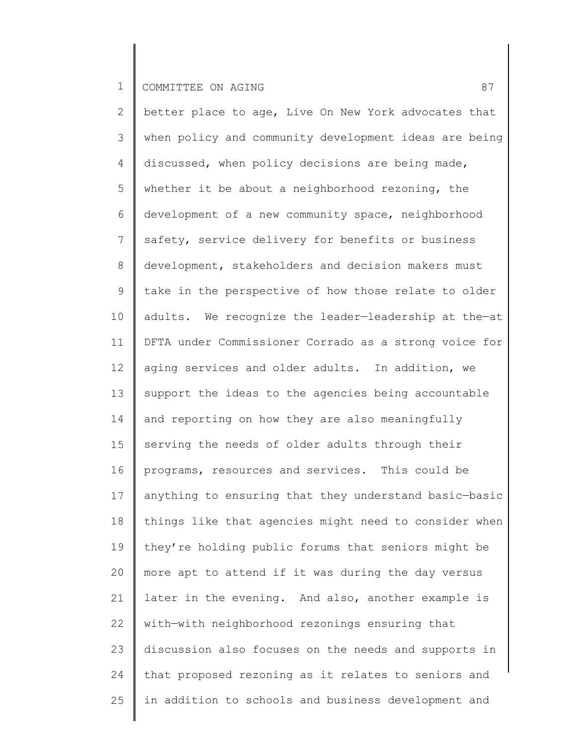2 3 4 5 6 7 8 9 10 11 12 13 14 15 16 17 18 19 20 21 22 23 24 25 better place to age, Live On New York advocates that when policy and community development ideas are being discussed, when policy decisions are being made, whether it be about a neighborhood rezoning, the development of a new community space, neighborhood safety, service delivery for benefits or business development, stakeholders and decision makers must take in the perspective of how those relate to older adults. We recognize the leader—leadership at the—at DFTA under Commissioner Corrado as a strong voice for aging services and older adults. In addition, we support the ideas to the agencies being accountable and reporting on how they are also meaningfully serving the needs of older adults through their programs, resources and services. This could be anything to ensuring that they understand basic—basic things like that agencies might need to consider when they're holding public forums that seniors might be more apt to attend if it was during the day versus later in the evening. And also, another example is with—with neighborhood rezonings ensuring that discussion also focuses on the needs and supports in that proposed rezoning as it relates to seniors and in addition to schools and business development and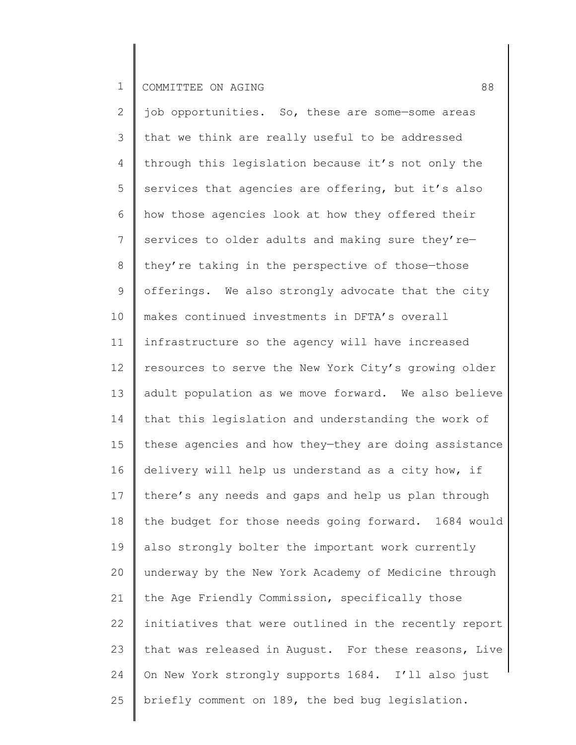2 3 4 5 6 7 8 9 10 11 12 13 14 15 16 17 18 19 20 21 22 23 24 25 job opportunities. So, these are some—some areas that we think are really useful to be addressed through this legislation because it's not only the services that agencies are offering, but it's also how those agencies look at how they offered their services to older adults and making sure they'rethey're taking in the perspective of those—those offerings. We also strongly advocate that the city makes continued investments in DFTA's overall infrastructure so the agency will have increased resources to serve the New York City's growing older adult population as we move forward. We also believe that this legislation and understanding the work of these agencies and how they—they are doing assistance delivery will help us understand as a city how, if there's any needs and gaps and help us plan through the budget for those needs going forward. 1684 would also strongly bolter the important work currently underway by the New York Academy of Medicine through the Age Friendly Commission, specifically those initiatives that were outlined in the recently report that was released in August. For these reasons, Live On New York strongly supports 1684. I'll also just briefly comment on 189, the bed bug legislation.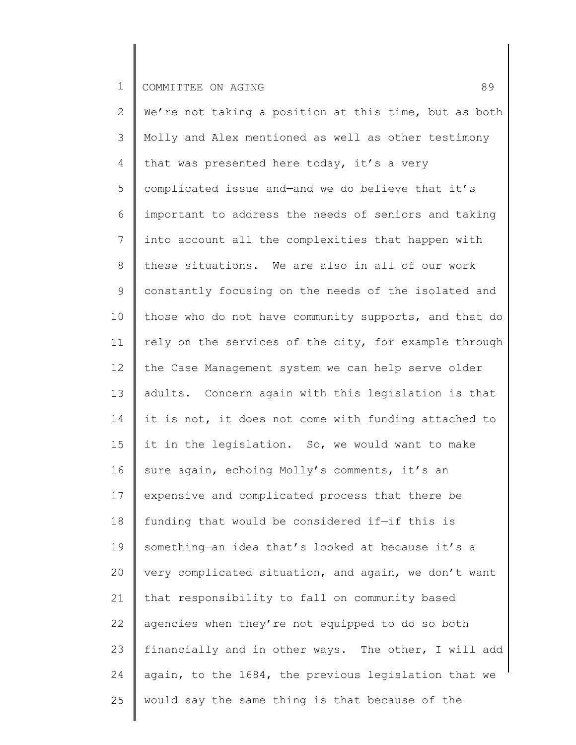2 3 4 5 6 7 8 9 10 11 12 13 14 15 16 17 18 19 20 21 22 23 24 25 We're not taking a position at this time, but as both Molly and Alex mentioned as well as other testimony that was presented here today, it's a very complicated issue and—and we do believe that it's important to address the needs of seniors and taking into account all the complexities that happen with these situations. We are also in all of our work constantly focusing on the needs of the isolated and those who do not have community supports, and that do rely on the services of the city, for example through the Case Management system we can help serve older adults. Concern again with this legislation is that it is not, it does not come with funding attached to it in the legislation. So, we would want to make sure again, echoing Molly's comments, it's an expensive and complicated process that there be funding that would be considered if—if this is something—an idea that's looked at because it's a very complicated situation, and again, we don't want that responsibility to fall on community based agencies when they're not equipped to do so both financially and in other ways. The other, I will add again, to the 1684, the previous legislation that we would say the same thing is that because of the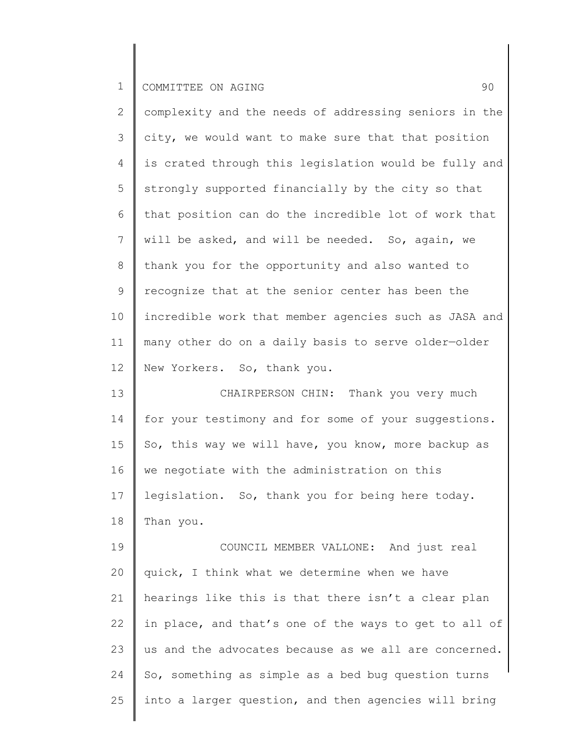| $\overline{2}$  | complexity and the needs of addressing seniors in the |
|-----------------|-------------------------------------------------------|
| 3               | city, we would want to make sure that that position   |
| $\overline{4}$  | is crated through this legislation would be fully and |
| 5               | strongly supported financially by the city so that    |
| 6               | that position can do the incredible lot of work that  |
| $7\phantom{.0}$ | will be asked, and will be needed. So, again, we      |
| 8               | thank you for the opportunity and also wanted to      |
| $\mathsf 9$     | recognize that at the senior center has been the      |
| 10              | incredible work that member agencies such as JASA and |
| 11              | many other do on a daily basis to serve older-older   |
| 12              | New Yorkers. So, thank you.                           |
| 13              | CHAIRPERSON CHIN: Thank you very much                 |
| 14              | for your testimony and for some of your suggestions.  |
| 15              | So, this way we will have, you know, more backup as   |
| 16              | we negotiate with the administration on this          |
| 17              | legislation. So, thank you for being here today.      |
| 18              | Than you.                                             |
| 19              | COUNCIL MEMBER VALLONE: And just real                 |
| 20              | quick, I think what we determine when we have         |
| 21              | hearings like this is that there isn't a clear plan   |
| 22              | in place, and that's one of the ways to get to all of |
| 23              | us and the advocates because as we all are concerned. |
| 24              | So, something as simple as a bed bug question turns   |
| 25              | into a larger question, and then agencies will bring  |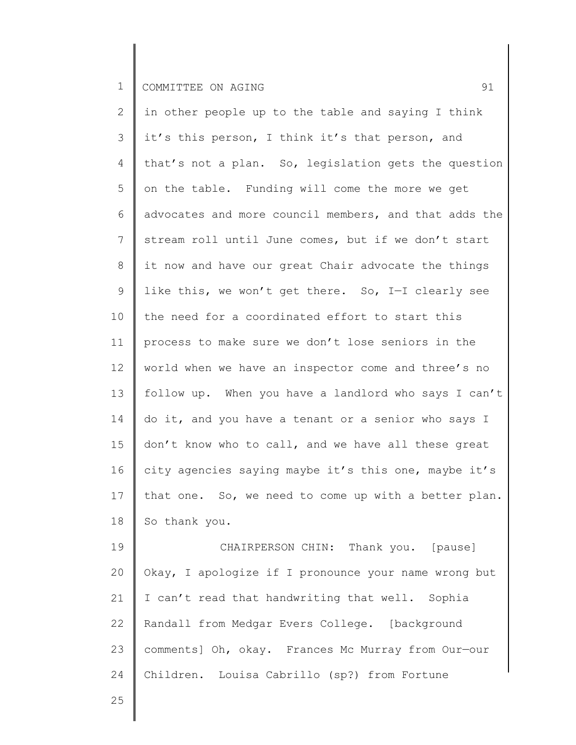1 COMMITTEE ON AGING 600 and 500 million of the 191

2 3 4 5 6 7 8 9 10 11 12 13 14 15 16 17 18 19 20 in other people up to the table and saying I think it's this person, I think it's that person, and that's not a plan. So, legislation gets the question on the table. Funding will come the more we get advocates and more council members, and that adds the stream roll until June comes, but if we don't start it now and have our great Chair advocate the things like this, we won't get there. So, I—I clearly see the need for a coordinated effort to start this process to make sure we don't lose seniors in the world when we have an inspector come and three's no follow up. When you have a landlord who says I can't do it, and you have a tenant or a senior who says I don't know who to call, and we have all these great city agencies saying maybe it's this one, maybe it's that one. So, we need to come up with a better plan. So thank you. CHAIRPERSON CHIN: Thank you. [pause] Okay, I apologize if I pronounce your name wrong but

21 22 23 24 I can't read that handwriting that well. Sophia Randall from Medgar Evers College. [background comments] Oh, okay. Frances Mc Murray from Our—our Children. Louisa Cabrillo (sp?) from Fortune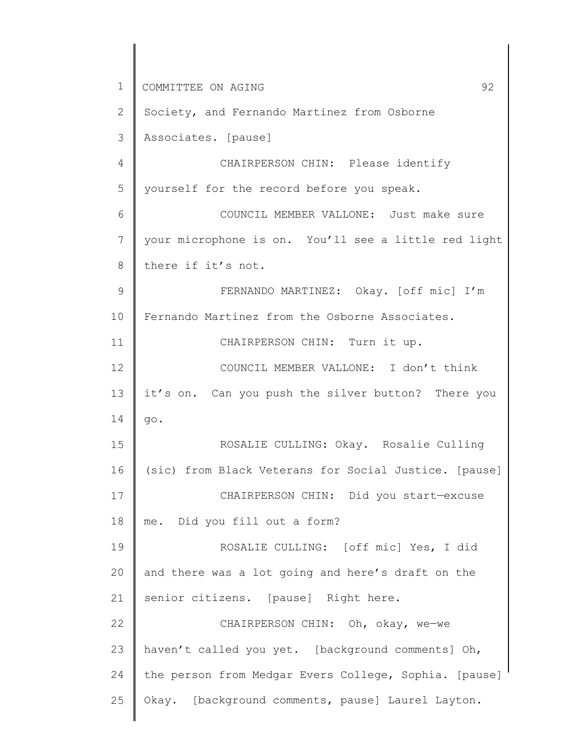1 2 3 4 5 6 7 8 9 10 11 12 13 14 15 16 17 18 19 20 21 22 23 24 25 COMMITTEE ON AGING 62 Society, and Fernando Martinez from Osborne Associates. [pause] CHAIRPERSON CHIN: Please identify yourself for the record before you speak. COUNCIL MEMBER VALLONE: Just make sure your microphone is on. You'll see a little red light there if it's not. FERNANDO MARTINEZ: Okay. [off mic] I'm Fernando Martinez from the Osborne Associates. CHAIRPERSON CHIN: Turn it up. COUNCIL MEMBER VALLONE: I don't think it's on. Can you push the silver button? There you go. ROSALIE CULLING: Okay. Rosalie Culling (sic) from Black Veterans for Social Justice. [pause] CHAIRPERSON CHIN: Did you start—excuse me. Did you fill out a form? ROSALIE CULLING: [off mic] Yes, I did and there was a lot going and here's draft on the senior citizens. [pause] Right here. CHAIRPERSON CHIN: Oh, okay, we—we haven't called you yet. [background comments] Oh, the person from Medgar Evers College, Sophia. [pause] Okay. [background comments, pause] Laurel Layton.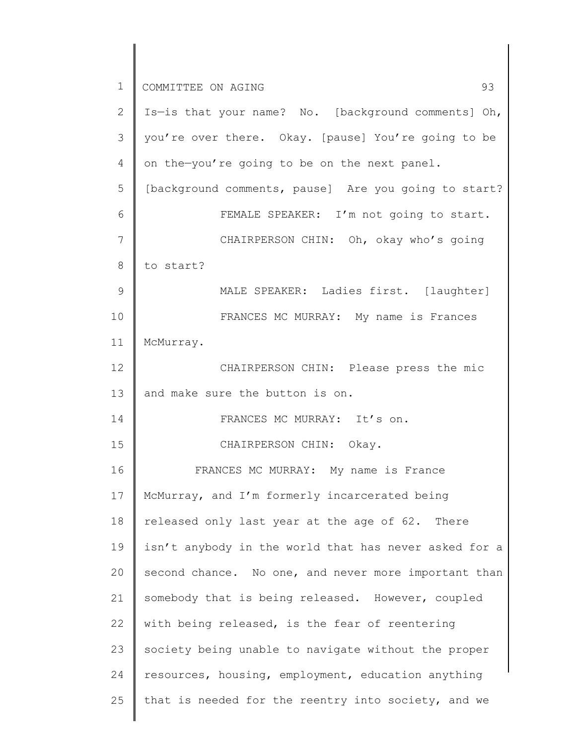| 1  | 93<br>COMMITTEE ON AGING                              |
|----|-------------------------------------------------------|
| 2  | Is-is that your name? No. [background comments] Oh,   |
| 3  | you're over there. Okay. [pause] You're going to be   |
| 4  | on the-you're going to be on the next panel.          |
| 5  | [background comments, pause] Are you going to start?  |
| 6  | FEMALE SPEAKER: I'm not going to start.               |
| 7  | CHAIRPERSON CHIN: Oh, okay who's going                |
| 8  | to start?                                             |
| 9  | MALE SPEAKER: Ladies first. [laughter]                |
| 10 | FRANCES MC MURRAY: My name is Frances                 |
| 11 | McMurray.                                             |
| 12 | CHAIRPERSON CHIN: Please press the mic                |
| 13 | and make sure the button is on.                       |
| 14 | FRANCES MC MURRAY: It's on.                           |
| 15 | CHAIRPERSON CHIN: Okay.                               |
| 16 | FRANCES MC MURRAY: My name is France                  |
| 17 | McMurray, and I'm formerly incarcerated being         |
| 18 | released only last year at the age of 62. There       |
| 19 | isn't anybody in the world that has never asked for a |
| 20 | second chance. No one, and never more important than  |
| 21 | somebody that is being released. However, coupled     |
| 22 | with being released, is the fear of reentering        |
| 23 | society being unable to navigate without the proper   |
| 24 | resources, housing, employment, education anything    |
| 25 | that is needed for the reentry into society, and we   |
|    |                                                       |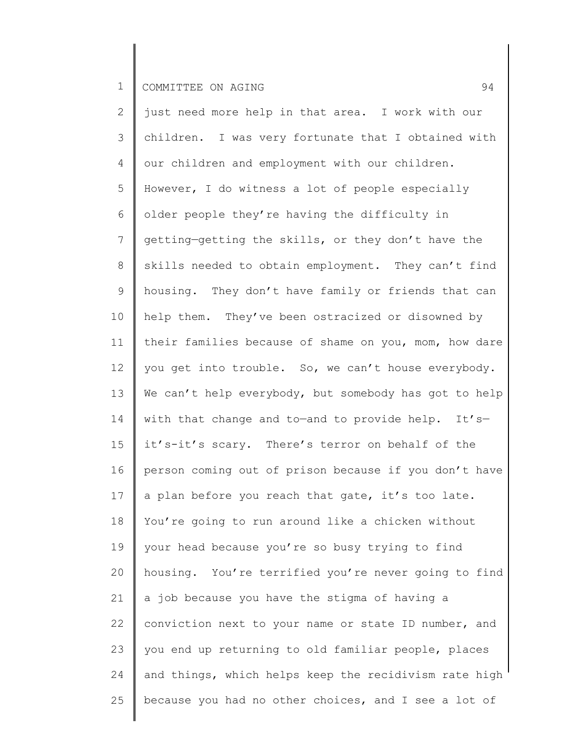1 COMMITTEE ON AGING 2008 COMMITTEE ON AGING

2 3 4 5 6 7 8 9 10 11 12 13 14 15 16 17 18 19 20 21 22 23 24 25 just need more help in that area. I work with our children. I was very fortunate that I obtained with our children and employment with our children. However, I do witness a lot of people especially older people they're having the difficulty in getting—getting the skills, or they don't have the skills needed to obtain employment. They can't find housing. They don't have family or friends that can help them. They've been ostracized or disowned by their families because of shame on you, mom, how dare you get into trouble. So, we can't house everybody. We can't help everybody, but somebody has got to help with that change and to-and to provide help. It'sit's-it's scary. There's terror on behalf of the person coming out of prison because if you don't have a plan before you reach that gate, it's too late. You're going to run around like a chicken without your head because you're so busy trying to find housing. You're terrified you're never going to find a job because you have the stigma of having a conviction next to your name or state ID number, and you end up returning to old familiar people, places and things, which helps keep the recidivism rate high because you had no other choices, and I see a lot of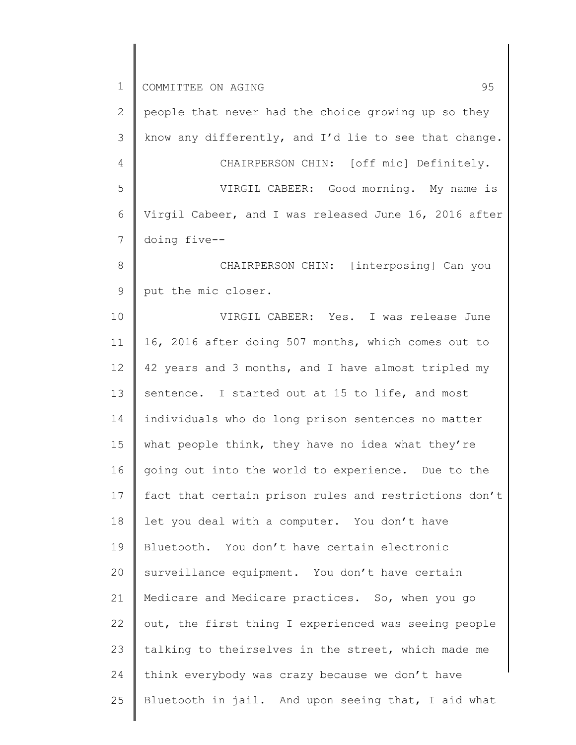2 3 4 people that never had the choice growing up so they know any differently, and I'd lie to see that change. CHAIRPERSON CHIN: [off mic] Definitely.

5 6 7 VIRGIL CABEER: Good morning. My name is Virgil Cabeer, and I was released June 16, 2016 after doing five--

8 9 CHAIRPERSON CHIN: [interposing] Can you put the mic closer.

10 11 12 13 14 15 16 17 18 19 20 21 22 23 24 25 VIRGIL CABEER: Yes. I was release June 16, 2016 after doing 507 months, which comes out to 42 years and 3 months, and I have almost tripled my sentence. I started out at 15 to life, and most individuals who do long prison sentences no matter what people think, they have no idea what they're going out into the world to experience. Due to the fact that certain prison rules and restrictions don't let you deal with a computer. You don't have Bluetooth. You don't have certain electronic surveillance equipment. You don't have certain Medicare and Medicare practices. So, when you go out, the first thing I experienced was seeing people talking to theirselves in the street, which made me think everybody was crazy because we don't have Bluetooth in jail. And upon seeing that, I aid what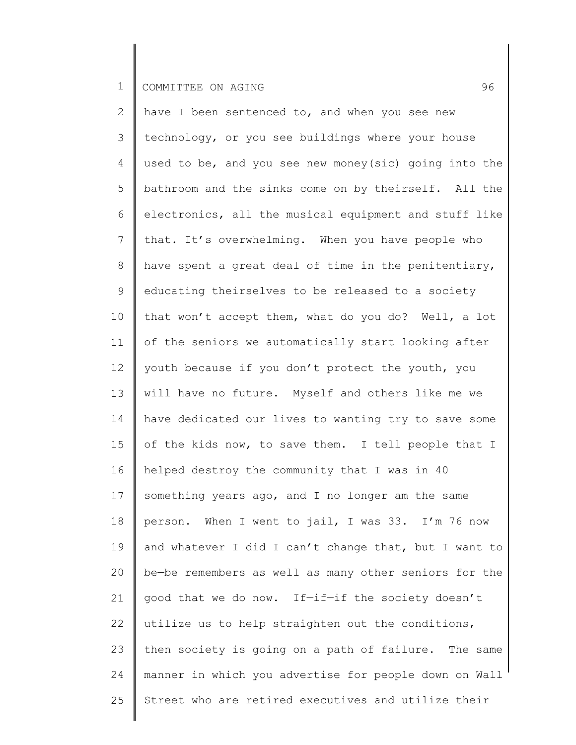# 1 COMMITTEE ON AGING 2008 2009 12:00 12:00 12:00 12:00 12:00 12:00 12:00 12:00 12:00 12:00 12:00 12:00 12:00 12:00 12:00 12:00 12:00 12:00 12:00 12:00 12:00 12:00 12:00 12:00 12:00 12:00 12:00 12:00 12:00 12:00 12:00 12:00 1

2 3 4 5 6 7 8 9 10 11 12 13 14 15 16 17 18 19 20 21 22 23 24 25 have I been sentenced to, and when you see new technology, or you see buildings where your house used to be, and you see new money(sic) going into the bathroom and the sinks come on by theirself. All the electronics, all the musical equipment and stuff like that. It's overwhelming. When you have people who have spent a great deal of time in the penitentiary, educating theirselves to be released to a society that won't accept them, what do you do? Well, a lot of the seniors we automatically start looking after youth because if you don't protect the youth, you will have no future. Myself and others like me we have dedicated our lives to wanting try to save some of the kids now, to save them. I tell people that I helped destroy the community that I was in 40 something years ago, and I no longer am the same person. When I went to jail, I was 33. I'm 76 now and whatever I did I can't change that, but I want to be—be remembers as well as many other seniors for the good that we do now. If—if—if the society doesn't utilize us to help straighten out the conditions, then society is going on a path of failure. The same manner in which you advertise for people down on Wall Street who are retired executives and utilize their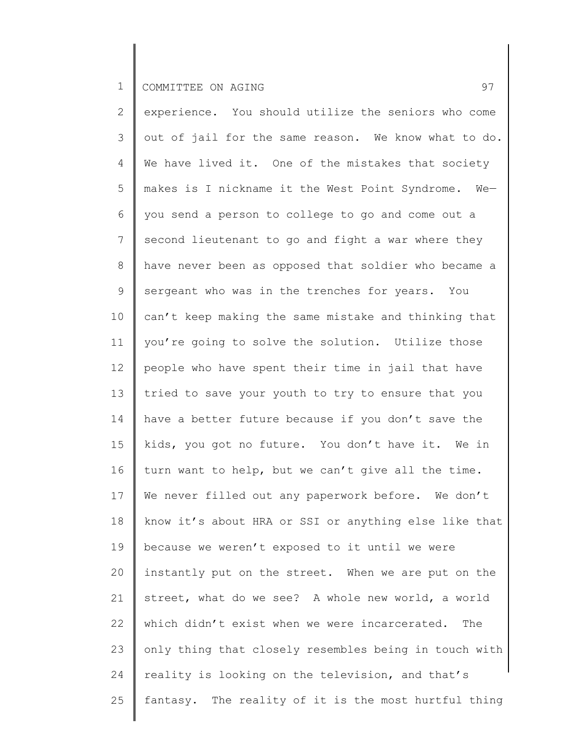2 3 4 5 6 7 8 9 10 11 12 13 14 15 16 17 18 19 20 21 22 23 24 25 experience. You should utilize the seniors who come out of jail for the same reason. We know what to do. We have lived it. One of the mistakes that society makes is I nickname it the West Point Syndrome. We you send a person to college to go and come out a second lieutenant to go and fight a war where they have never been as opposed that soldier who became a sergeant who was in the trenches for years. You can't keep making the same mistake and thinking that you're going to solve the solution. Utilize those people who have spent their time in jail that have tried to save your youth to try to ensure that you have a better future because if you don't save the kids, you got no future. You don't have it. We in turn want to help, but we can't give all the time. We never filled out any paperwork before. We don't know it's about HRA or SSI or anything else like that because we weren't exposed to it until we were instantly put on the street. When we are put on the street, what do we see? A whole new world, a world which didn't exist when we were incarcerated. The only thing that closely resembles being in touch with reality is looking on the television, and that's fantasy. The reality of it is the most hurtful thing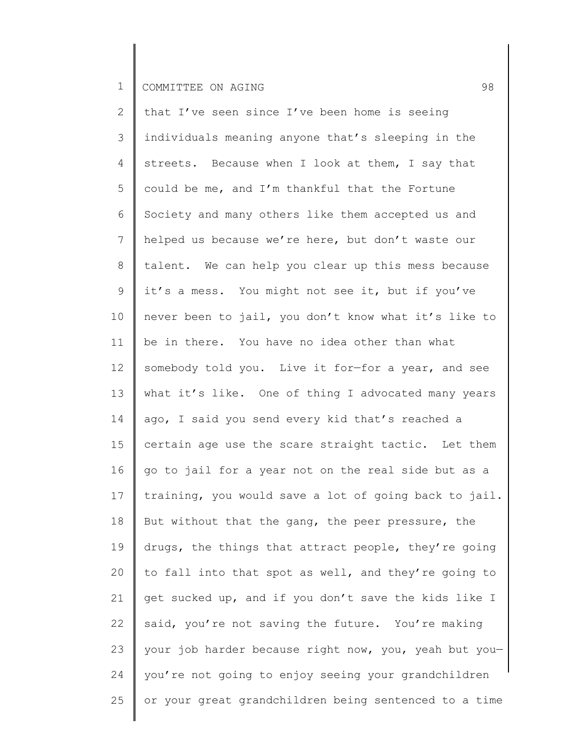2 3 4 5 6 7 8 9 10 11 12 13 14 15 16 17 18 19 20 21 22 23 24 25 that I've seen since I've been home is seeing individuals meaning anyone that's sleeping in the streets. Because when I look at them, I say that could be me, and I'm thankful that the Fortune Society and many others like them accepted us and helped us because we're here, but don't waste our talent. We can help you clear up this mess because it's a mess. You might not see it, but if you've never been to jail, you don't know what it's like to be in there. You have no idea other than what somebody told you. Live it for—for a year, and see what it's like. One of thing I advocated many years ago, I said you send every kid that's reached a certain age use the scare straight tactic. Let them go to jail for a year not on the real side but as a training, you would save a lot of going back to jail. But without that the gang, the peer pressure, the drugs, the things that attract people, they're going to fall into that spot as well, and they're going to get sucked up, and if you don't save the kids like I said, you're not saving the future. You're making your job harder because right now, you, yeah but you you're not going to enjoy seeing your grandchildren or your great grandchildren being sentenced to a time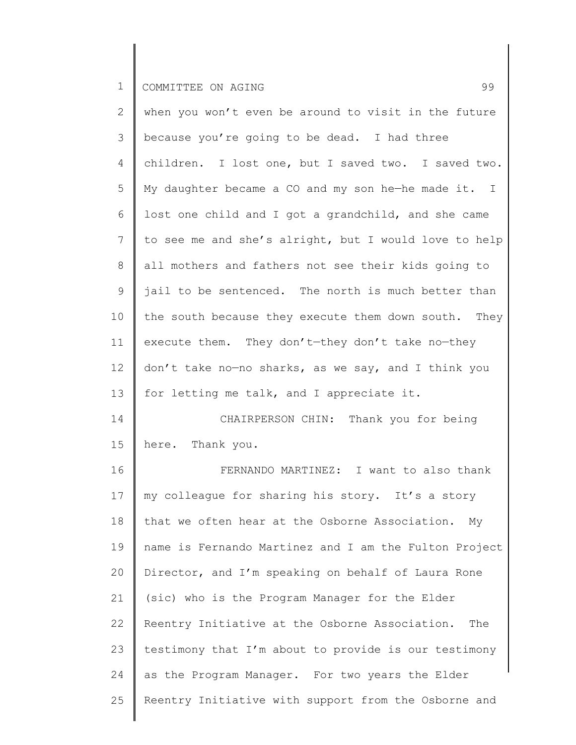| $\overline{2}$  | when you won't even be around to visit in the future  |
|-----------------|-------------------------------------------------------|
| 3               | because you're going to be dead. I had three          |
| 4               | children. I lost one, but I saved two. I saved two.   |
| 5               | My daughter became a CO and my son he-he made it. I   |
| 6               | lost one child and I got a grandchild, and she came   |
| 7               | to see me and she's alright, but I would love to help |
| 8               | all mothers and fathers not see their kids going to   |
| 9               | jail to be sentenced. The north is much better than   |
| 10 <sub>o</sub> | the south because they execute them down south. They  |
| 11              | execute them. They don't-they don't take no-they      |
| 12              | don't take no-no sharks, as we say, and I think you   |
| 13              | for letting me talk, and I appreciate it.             |
| 14              | CHAIRPERSON CHIN: Thank you for being                 |
| 15              | here. Thank you.                                      |
| 16              | FERNANDO MARTINEZ: I want to also thank               |
| 17              | my colleague for sharing his story. It's a story      |
| 18              | that we often hear at the Osborne Association. My     |
| 19              | name is Fernando Martinez and I am the Fulton Project |
| 20              | Director, and I'm speaking on behalf of Laura Rone    |
| 21              | (sic) who is the Program Manager for the Elder        |
| 22              | Reentry Initiative at the Osborne Association.<br>The |
| 23              | testimony that I'm about to provide is our testimony  |
| 24              | as the Program Manager. For two years the Elder       |
| 25              | Reentry Initiative with support from the Osborne and  |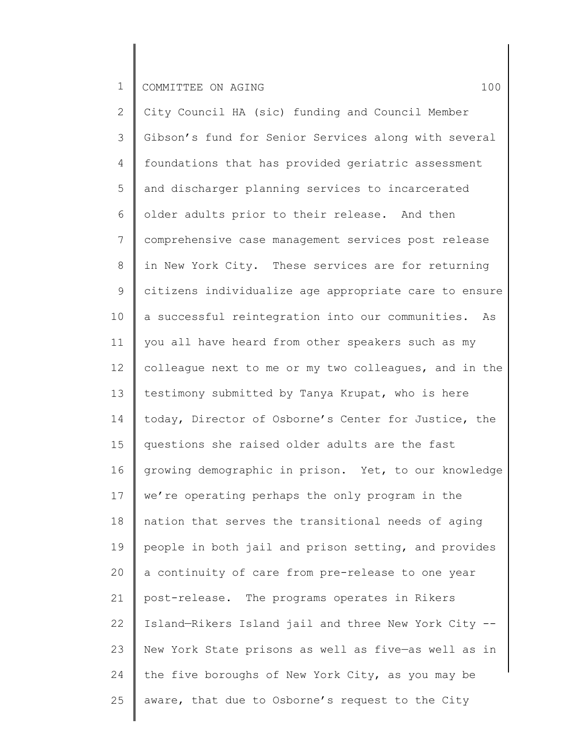2 3 4 5 6 7 8 9 10 11 12 13 14 15 16 17 18 19 20 21 22 23 24 25 City Council HA (sic) funding and Council Member Gibson's fund for Senior Services along with several foundations that has provided geriatric assessment and discharger planning services to incarcerated older adults prior to their release. And then comprehensive case management services post release in New York City. These services are for returning citizens individualize age appropriate care to ensure a successful reintegration into our communities. As you all have heard from other speakers such as my colleague next to me or my two colleagues, and in the testimony submitted by Tanya Krupat, who is here today, Director of Osborne's Center for Justice, the questions she raised older adults are the fast growing demographic in prison. Yet, to our knowledge we're operating perhaps the only program in the nation that serves the transitional needs of aging people in both jail and prison setting, and provides a continuity of care from pre-release to one year post-release. The programs operates in Rikers Island—Rikers Island jail and three New York City -- New York State prisons as well as five—as well as in the five boroughs of New York City, as you may be aware, that due to Osborne's request to the City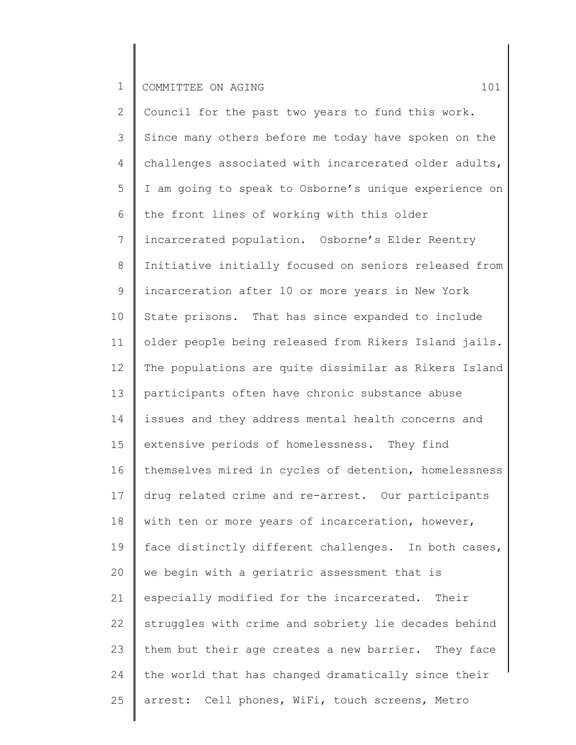2 3 4 5 6 7 8 9 10 11 12 13 14 15 16 17 18 19 20 21 22 23 24 25 Council for the past two years to fund this work. Since many others before me today have spoken on the challenges associated with incarcerated older adults, I am going to speak to Osborne's unique experience on the front lines of working with this older incarcerated population. Osborne's Elder Reentry Initiative initially focused on seniors released from incarceration after 10 or more years in New York State prisons. That has since expanded to include older people being released from Rikers Island jails. The populations are quite dissimilar as Rikers Island participants often have chronic substance abuse issues and they address mental health concerns and extensive periods of homelessness. They find themselves mired in cycles of detention, homelessness drug related crime and re-arrest. Our participants with ten or more years of incarceration, however, face distinctly different challenges. In both cases, we begin with a geriatric assessment that is especially modified for the incarcerated. Their struggles with crime and sobriety lie decades behind them but their age creates a new barrier. They face the world that has changed dramatically since their arrest: Cell phones, WiFi, touch screens, Metro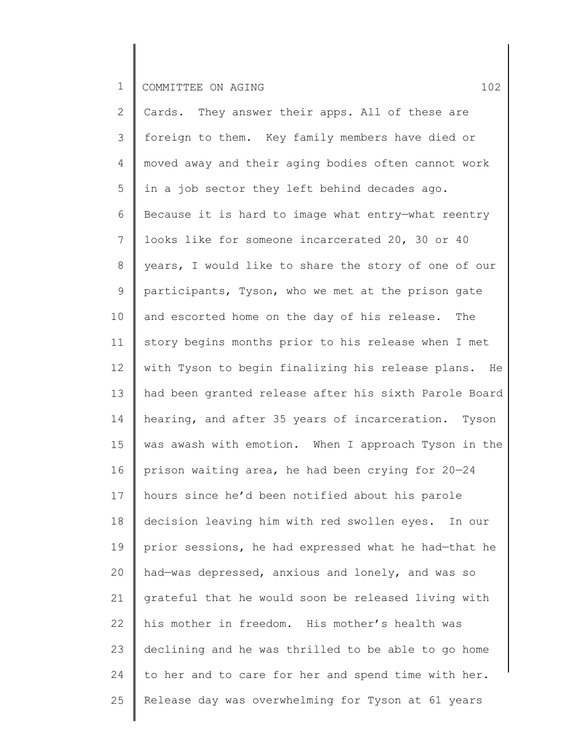2 3 4 5 6 7 8 9 10 11 12 13 14 15 16 17 18 19 20 21 22 23 24 25 Cards. They answer their apps. All of these are foreign to them. Key family members have died or moved away and their aging bodies often cannot work in a job sector they left behind decades ago. Because it is hard to image what entry—what reentry looks like for someone incarcerated 20, 30 or 40 years, I would like to share the story of one of our participants, Tyson, who we met at the prison gate and escorted home on the day of his release. The story begins months prior to his release when I met with Tyson to begin finalizing his release plans. He had been granted release after his sixth Parole Board hearing, and after 35 years of incarceration. Tyson was awash with emotion. When I approach Tyson in the prison waiting area, he had been crying for 20—24 hours since he'd been notified about his parole decision leaving him with red swollen eyes. In our prior sessions, he had expressed what he had—that he had—was depressed, anxious and lonely, and was so grateful that he would soon be released living with his mother in freedom. His mother's health was declining and he was thrilled to be able to go home to her and to care for her and spend time with her. Release day was overwhelming for Tyson at 61 years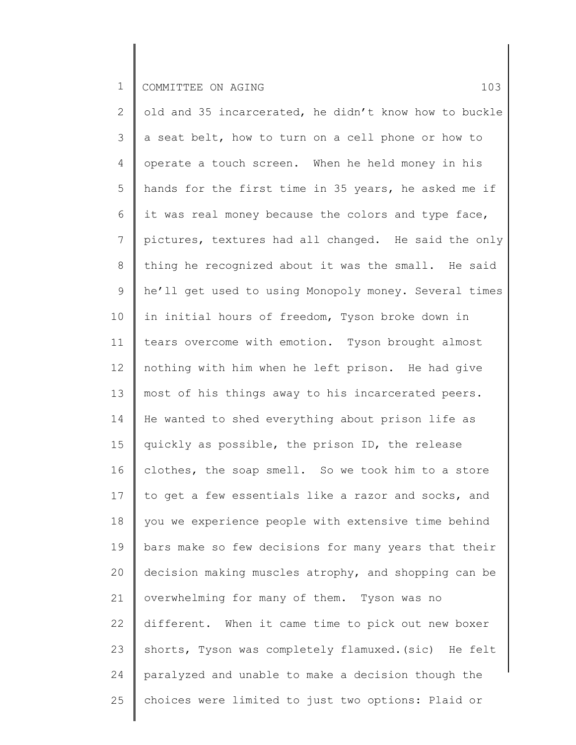2 3 4 5 6 7 8 9 10 11 12 13 14 15 16 17 18 19 20 21 22 23 24 25 old and 35 incarcerated, he didn't know how to buckle a seat belt, how to turn on a cell phone or how to operate a touch screen. When he held money in his hands for the first time in 35 years, he asked me if it was real money because the colors and type face, pictures, textures had all changed. He said the only thing he recognized about it was the small. He said he'll get used to using Monopoly money. Several times in initial hours of freedom, Tyson broke down in tears overcome with emotion. Tyson brought almost nothing with him when he left prison. He had give most of his things away to his incarcerated peers. He wanted to shed everything about prison life as quickly as possible, the prison ID, the release clothes, the soap smell. So we took him to a store to get a few essentials like a razor and socks, and you we experience people with extensive time behind bars make so few decisions for many years that their decision making muscles atrophy, and shopping can be overwhelming for many of them. Tyson was no different. When it came time to pick out new boxer shorts, Tyson was completely flamuxed.(sic) He felt paralyzed and unable to make a decision though the choices were limited to just two options: Plaid or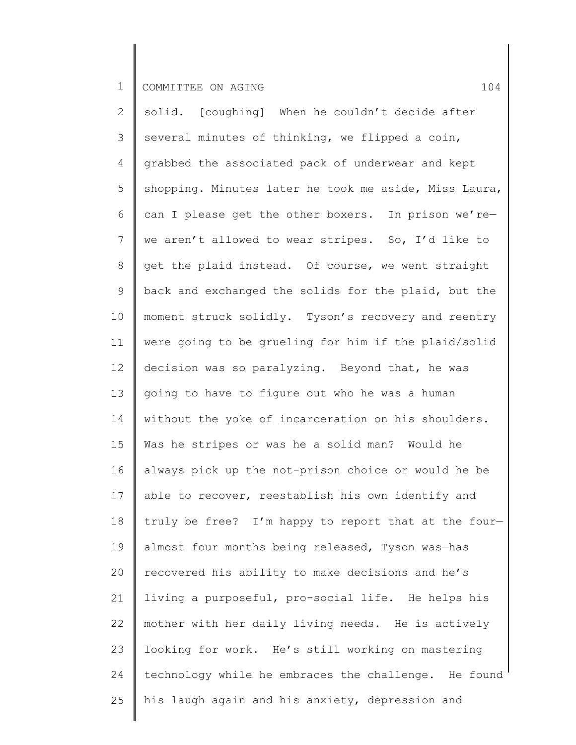2 3 4 5 6 7 8 9 10 11 12 13 14 15 16 17 18 19 20 21 22 23 24 25 solid. [coughing] When he couldn't decide after several minutes of thinking, we flipped a coin, grabbed the associated pack of underwear and kept shopping. Minutes later he took me aside, Miss Laura, can I please get the other boxers. In prison we're we aren't allowed to wear stripes. So, I'd like to get the plaid instead. Of course, we went straight back and exchanged the solids for the plaid, but the moment struck solidly. Tyson's recovery and reentry were going to be grueling for him if the plaid/solid decision was so paralyzing. Beyond that, he was going to have to figure out who he was a human without the yoke of incarceration on his shoulders. Was he stripes or was he a solid man? Would he always pick up the not-prison choice or would he be able to recover, reestablish his own identify and truly be free? I'm happy to report that at the four almost four months being released, Tyson was—has recovered his ability to make decisions and he's living a purposeful, pro-social life. He helps his mother with her daily living needs. He is actively looking for work. He's still working on mastering technology while he embraces the challenge. He found his laugh again and his anxiety, depression and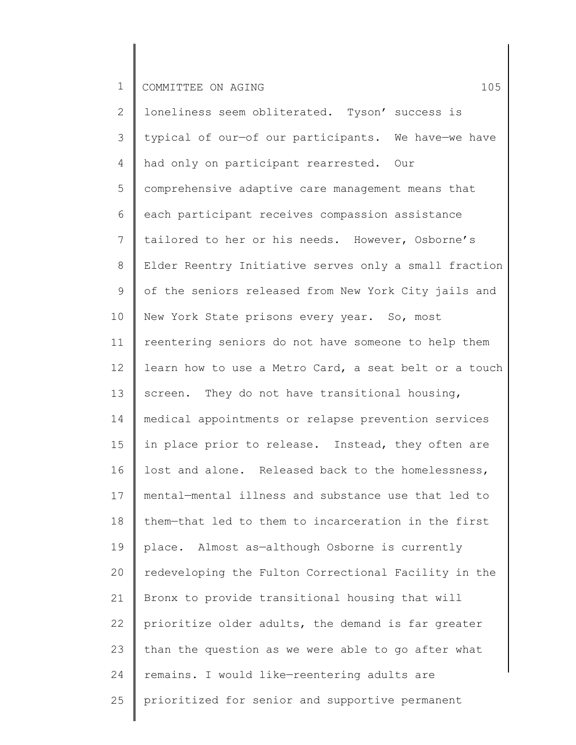2 3 4 5 6 7 8 9 10 11 12 13 14 15 16 17 18 19 20 21 22 23 24 25 loneliness seem obliterated. Tyson' success is typical of our—of our participants. We have—we have had only on participant rearrested. Our comprehensive adaptive care management means that each participant receives compassion assistance tailored to her or his needs. However, Osborne's Elder Reentry Initiative serves only a small fraction of the seniors released from New York City jails and New York State prisons every year. So, most reentering seniors do not have someone to help them learn how to use a Metro Card, a seat belt or a touch screen. They do not have transitional housing, medical appointments or relapse prevention services in place prior to release. Instead, they often are lost and alone. Released back to the homelessness, mental—mental illness and substance use that led to them—that led to them to incarceration in the first place. Almost as—although Osborne is currently redeveloping the Fulton Correctional Facility in the Bronx to provide transitional housing that will prioritize older adults, the demand is far greater than the question as we were able to go after what remains. I would like—reentering adults are prioritized for senior and supportive permanent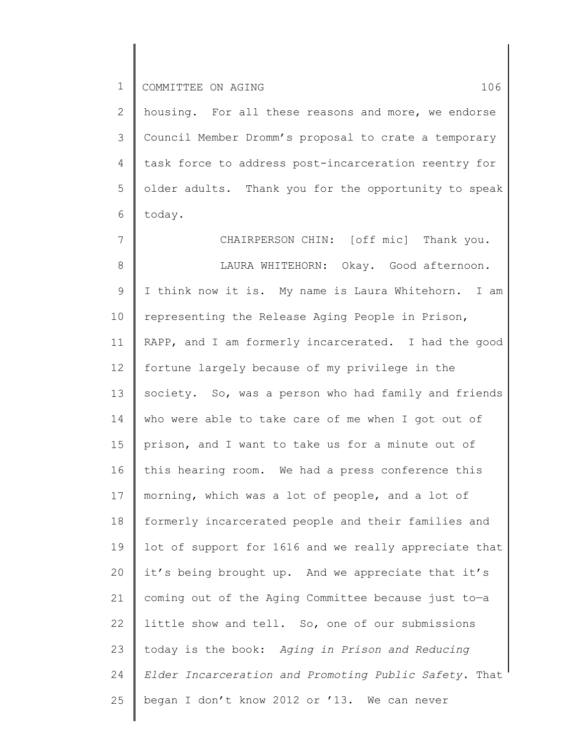2 3 4 5 6 housing. For all these reasons and more, we endorse Council Member Dromm's proposal to crate a temporary task force to address post-incarceration reentry for older adults. Thank you for the opportunity to speak today.

7 8 9 10 11 12 13 14 15 16 17 18 19 20 21 22 23 24 25 CHAIRPERSON CHIN: [off mic] Thank you. LAURA WHITEHORN: Okay. Good afternoon. I think now it is. My name is Laura Whitehorn. I am representing the Release Aging People in Prison, RAPP, and I am formerly incarcerated. I had the good fortune largely because of my privilege in the society. So, was a person who had family and friends who were able to take care of me when I got out of prison, and I want to take us for a minute out of this hearing room. We had a press conference this morning, which was a lot of people, and a lot of formerly incarcerated people and their families and lot of support for 1616 and we really appreciate that it's being brought up. And we appreciate that it's coming out of the Aging Committee because just to—a little show and tell. So, one of our submissions today is the book: *Aging in Prison and Reducing Elder Incarceration and Promoting Public Safety*. That began I don't know 2012 or '13. We can never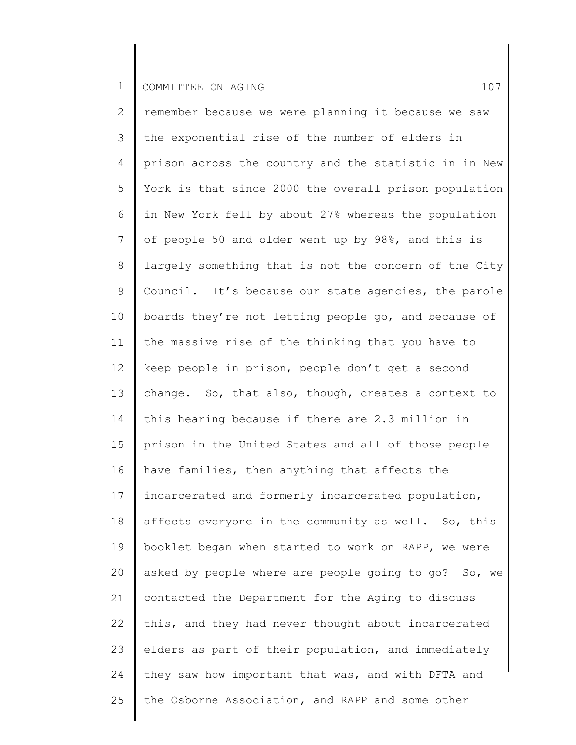2 3 4 5 6 7 8 9 10 11 12 13 14 15 16 17 18 19 20 21 22 23 24 25 remember because we were planning it because we saw the exponential rise of the number of elders in prison across the country and the statistic in—in New York is that since 2000 the overall prison population in New York fell by about 27% whereas the population of people 50 and older went up by 98%, and this is largely something that is not the concern of the City Council. It's because our state agencies, the parole boards they're not letting people go, and because of the massive rise of the thinking that you have to keep people in prison, people don't get a second change. So, that also, though, creates a context to this hearing because if there are 2.3 million in prison in the United States and all of those people have families, then anything that affects the incarcerated and formerly incarcerated population, affects everyone in the community as well. So, this booklet began when started to work on RAPP, we were asked by people where are people going to go? So, we contacted the Department for the Aging to discuss this, and they had never thought about incarcerated elders as part of their population, and immediately they saw how important that was, and with DFTA and the Osborne Association, and RAPP and some other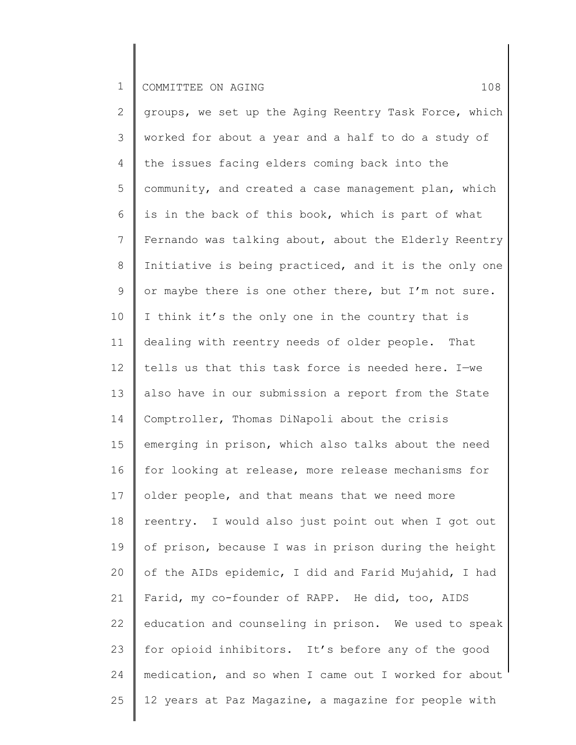2 3 4 5 6 7 8 9 10 11 12 13 14 15 16 17 18 19 20 21 22 23 24 25 groups, we set up the Aging Reentry Task Force, which worked for about a year and a half to do a study of the issues facing elders coming back into the community, and created a case management plan, which is in the back of this book, which is part of what Fernando was talking about, about the Elderly Reentry Initiative is being practiced, and it is the only one or maybe there is one other there, but I'm not sure. I think it's the only one in the country that is dealing with reentry needs of older people. That tells us that this task force is needed here. I—we also have in our submission a report from the State Comptroller, Thomas DiNapoli about the crisis emerging in prison, which also talks about the need for looking at release, more release mechanisms for older people, and that means that we need more reentry. I would also just point out when I got out of prison, because I was in prison during the height of the AIDs epidemic, I did and Farid Mujahid, I had Farid, my co-founder of RAPP. He did, too, AIDS education and counseling in prison. We used to speak for opioid inhibitors. It's before any of the good medication, and so when I came out I worked for about 12 years at Paz Magazine, a magazine for people with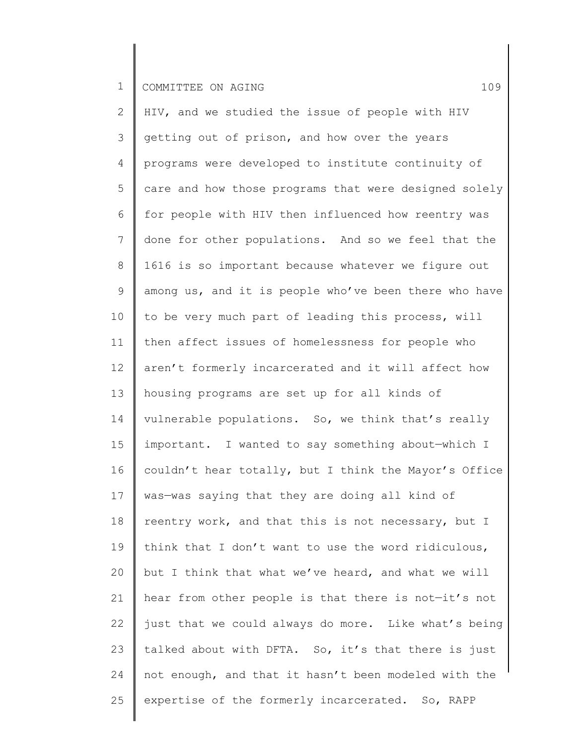2 3 4 5 6 7 8 9 10 11 12 13 14 15 16 17 18 19 20 21 22 23 24 25 HIV, and we studied the issue of people with HIV getting out of prison, and how over the years programs were developed to institute continuity of care and how those programs that were designed solely for people with HIV then influenced how reentry was done for other populations. And so we feel that the 1616 is so important because whatever we figure out among us, and it is people who've been there who have to be very much part of leading this process, will then affect issues of homelessness for people who aren't formerly incarcerated and it will affect how housing programs are set up for all kinds of vulnerable populations. So, we think that's really important. I wanted to say something about—which I couldn't hear totally, but I think the Mayor's Office was—was saying that they are doing all kind of reentry work, and that this is not necessary, but I think that I don't want to use the word ridiculous, but I think that what we've heard, and what we will hear from other people is that there is not—it's not just that we could always do more. Like what's being talked about with DFTA. So, it's that there is just not enough, and that it hasn't been modeled with the expertise of the formerly incarcerated. So, RAPP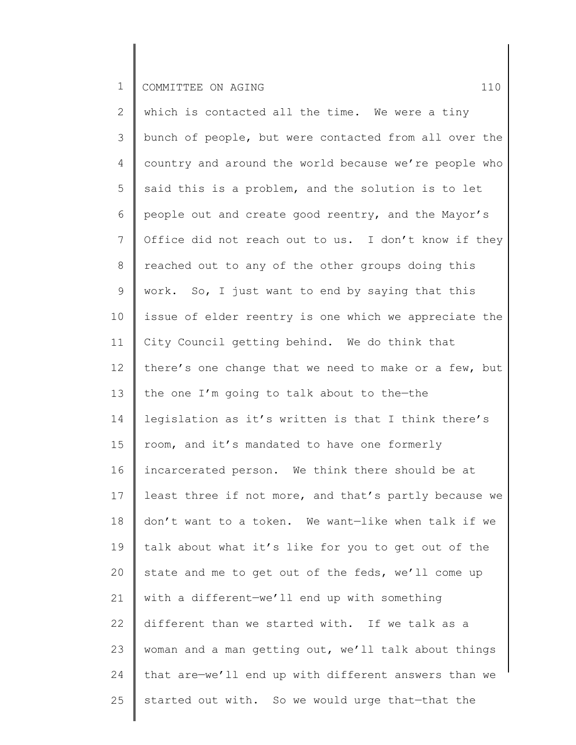2 3 4 5 6 7 8 9 10 11 12 13 14 15 16 17 18 19 20 21 22 23 24 25 which is contacted all the time. We were a tiny bunch of people, but were contacted from all over the country and around the world because we're people who said this is a problem, and the solution is to let people out and create good reentry, and the Mayor's Office did not reach out to us. I don't know if they reached out to any of the other groups doing this work. So, I just want to end by saying that this issue of elder reentry is one which we appreciate the City Council getting behind. We do think that there's one change that we need to make or a few, but the one I'm going to talk about to the—the legislation as it's written is that I think there's room, and it's mandated to have one formerly incarcerated person. We think there should be at least three if not more, and that's partly because we don't want to a token. We want—like when talk if we talk about what it's like for you to get out of the state and me to get out of the feds, we'll come up with a different—we'll end up with something different than we started with. If we talk as a woman and a man getting out, we'll talk about things that are—we'll end up with different answers than we started out with. So we would urge that—that the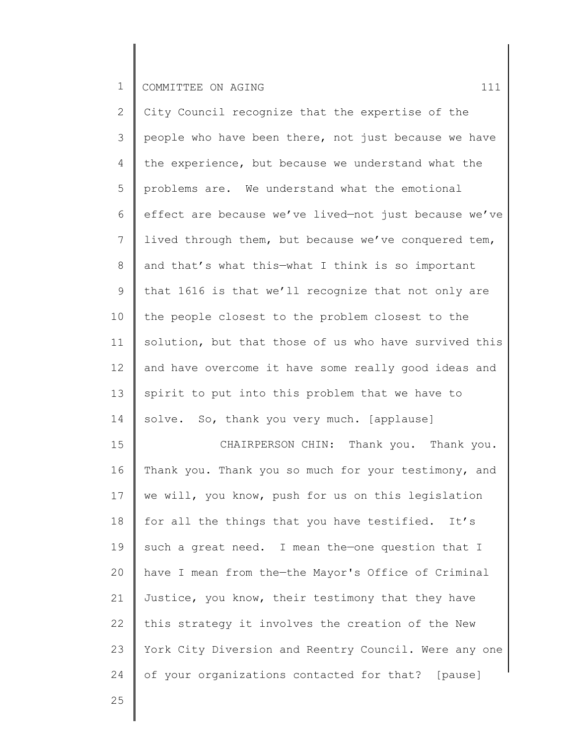2 3 4 5 6 7 8 9 10 11 12 13 14 15 City Council recognize that the expertise of the people who have been there, not just because we have the experience, but because we understand what the problems are. We understand what the emotional effect are because we've lived—not just because we've lived through them, but because we've conquered tem, and that's what this—what I think is so important that 1616 is that we'll recognize that not only are the people closest to the problem closest to the solution, but that those of us who have survived this and have overcome it have some really good ideas and spirit to put into this problem that we have to solve. So, thank you very much. [applause] CHAIRPERSON CHIN: Thank you. Thank you. Thank you. Thank you so much for your testimony, and

16 17 18 19 20 21 22 23 24 we will, you know, push for us on this legislation for all the things that you have testified. It's such a great need. I mean the—one question that I have I mean from the—the Mayor's Office of Criminal Justice, you know, their testimony that they have this strategy it involves the creation of the New York City Diversion and Reentry Council. Were any one of your organizations contacted for that? [pause]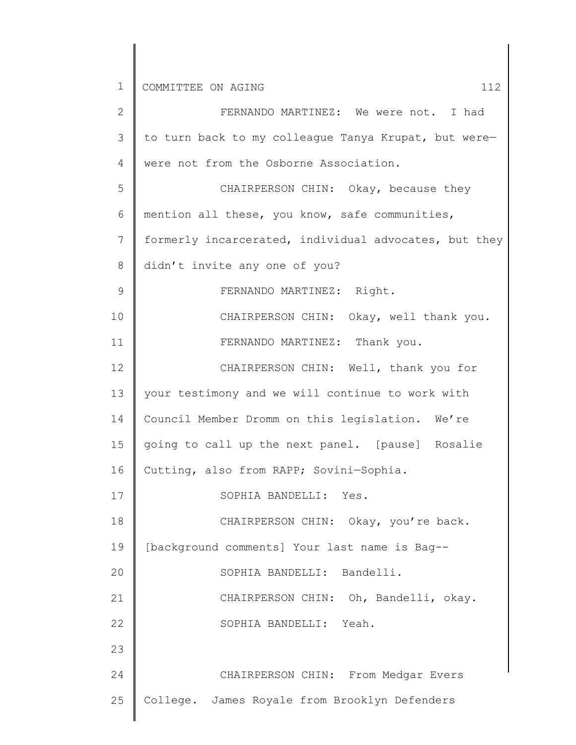| 2             | FERNANDO MARTINEZ: We were not. I had                 |
|---------------|-------------------------------------------------------|
| 3             | to turn back to my colleague Tanya Krupat, but were-  |
| 4             | were not from the Osborne Association.                |
| 5             | CHAIRPERSON CHIN: Okay, because they                  |
| 6             | mention all these, you know, safe communities,        |
| 7             | formerly incarcerated, individual advocates, but they |
| 8             | didn't invite any one of you?                         |
| $\mathcal{G}$ | FERNANDO MARTINEZ: Right.                             |
| 10            | CHAIRPERSON CHIN: Okay, well thank you.               |
| 11            | FERNANDO MARTINEZ: Thank you.                         |
| 12            | CHAIRPERSON CHIN: Well, thank you for                 |
| 13            | your testimony and we will continue to work with      |
| 14            | Council Member Dromm on this legislation. We're       |
| 15            | going to call up the next panel. [pause] Rosalie      |
| 16            | Cutting, also from RAPP; Sovini-Sophia.               |
| 17            | SOPHIA BANDELLI: Yes.                                 |
| 18            | CHAIRPERSON CHIN: Okay, you're back.                  |
| 19            | [background comments] Your last name is Bag--         |
| 20            | SOPHIA BANDELLI: Bandelli.                            |
| 21            | CHAIRPERSON CHIN: Oh, Bandelli, okay.                 |
| 22            | SOPHIA BANDELLI: Yeah.                                |
| 23            |                                                       |
| 24            | CHAIRPERSON CHIN: From Medgar Evers                   |
| 25            | College. James Royale from Brooklyn Defenders         |
|               |                                                       |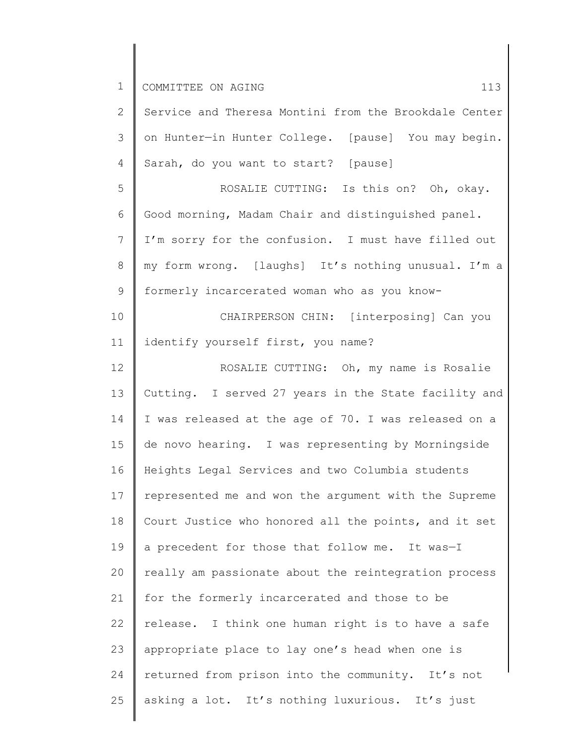2 3 4 Service and Theresa Montini from the Brookdale Center on Hunter—in Hunter College. [pause] You may begin. Sarah, do you want to start? [pause]

5 6 7 8 9 ROSALIE CUTTING: Is this on? Oh, okay. Good morning, Madam Chair and distinguished panel. I'm sorry for the confusion. I must have filled out my form wrong. [laughs] It's nothing unusual. I'm a formerly incarcerated woman who as you know-

10 11 CHAIRPERSON CHIN: [interposing] Can you identify yourself first, you name?

12 13 14 15 16 17 18 19 20 21 22 23 24 25 ROSALIE CUTTING: Oh, my name is Rosalie Cutting. I served 27 years in the State facility and I was released at the age of 70. I was released on a de novo hearing. I was representing by Morningside Heights Legal Services and two Columbia students represented me and won the argument with the Supreme Court Justice who honored all the points, and it set a precedent for those that follow me. It was—I really am passionate about the reintegration process for the formerly incarcerated and those to be release. I think one human right is to have a safe appropriate place to lay one's head when one is returned from prison into the community. It's not asking a lot. It's nothing luxurious. It's just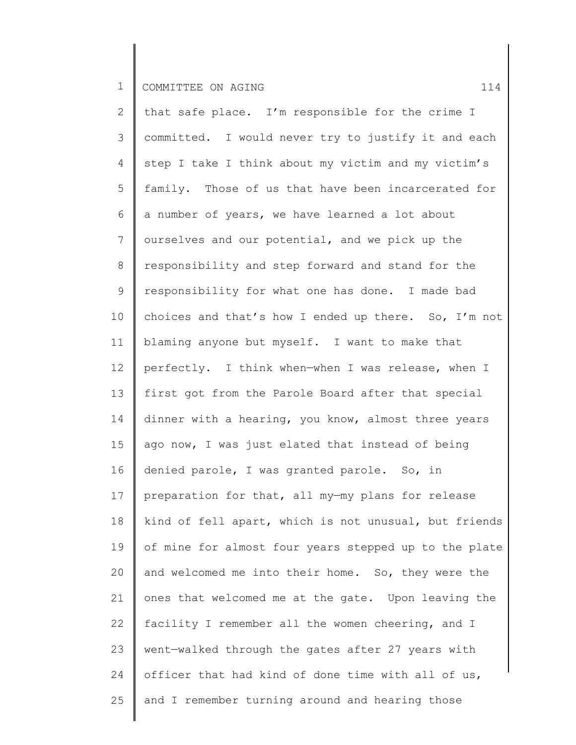2 3 4 5 6 7 8 9 10 11 12 13 14 15 16 17 18 19 20 21 22 23 24 25 that safe place. I'm responsible for the crime I committed. I would never try to justify it and each step I take I think about my victim and my victim's family. Those of us that have been incarcerated for a number of years, we have learned a lot about ourselves and our potential, and we pick up the responsibility and step forward and stand for the responsibility for what one has done. I made bad choices and that's how I ended up there. So, I'm not blaming anyone but myself. I want to make that perfectly. I think when—when I was release, when I first got from the Parole Board after that special dinner with a hearing, you know, almost three years ago now, I was just elated that instead of being denied parole, I was granted parole. So, in preparation for that, all my—my plans for release kind of fell apart, which is not unusual, but friends of mine for almost four years stepped up to the plate and welcomed me into their home. So, they were the ones that welcomed me at the gate. Upon leaving the facility I remember all the women cheering, and I went—walked through the gates after 27 years with officer that had kind of done time with all of us, and I remember turning around and hearing those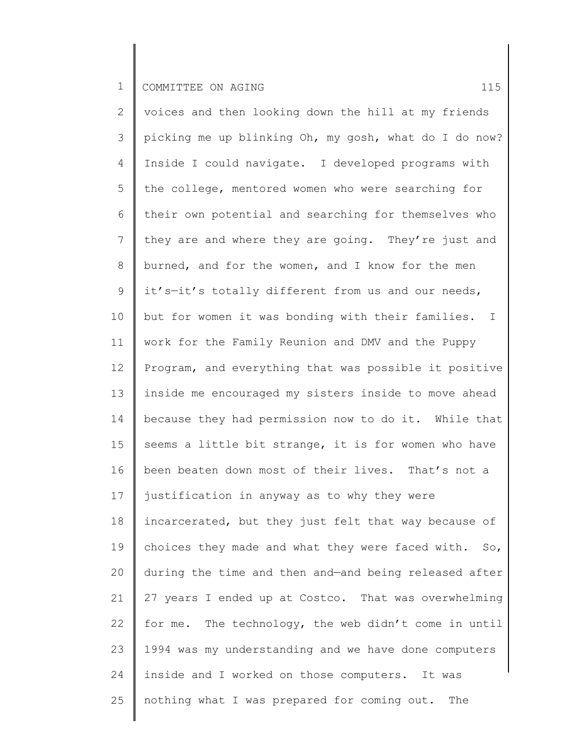2 3 4 5 6 7 8 9 10 11 12 13 14 15 16 17 18 19 20 21 22 23 24 25 voices and then looking down the hill at my friends picking me up blinking Oh, my gosh, what do I do now? Inside I could navigate. I developed programs with the college, mentored women who were searching for their own potential and searching for themselves who they are and where they are going. They're just and burned, and for the women, and I know for the men it's—it's totally different from us and our needs, but for women it was bonding with their families. I work for the Family Reunion and DMV and the Puppy Program, and everything that was possible it positive inside me encouraged my sisters inside to move ahead because they had permission now to do it. While that seems a little bit strange, it is for women who have been beaten down most of their lives. That's not a justification in anyway as to why they were incarcerated, but they just felt that way because of choices they made and what they were faced with. So, during the time and then and—and being released after 27 years I ended up at Costco. That was overwhelming for me. The technology, the web didn't come in until 1994 was my understanding and we have done computers inside and I worked on those computers. It was nothing what I was prepared for coming out. The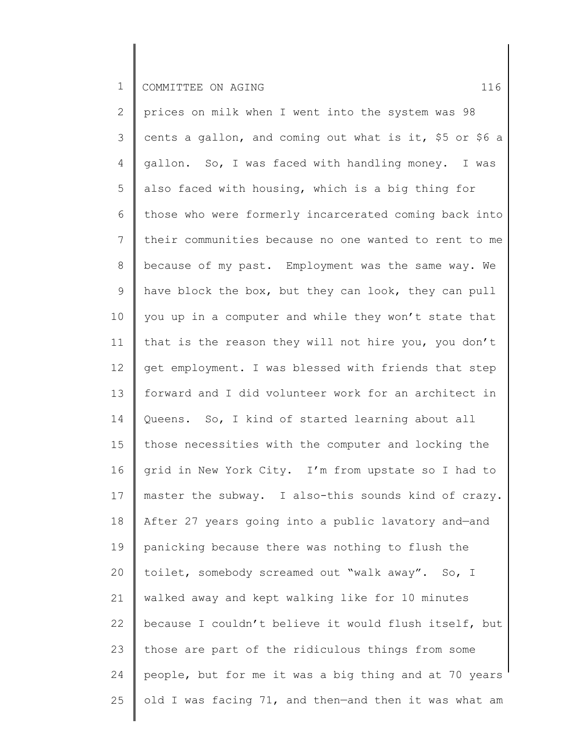2 3 4 5 6 7 8 9 10 11 12 13 14 15 16 17 18 19 20 21 22 23 24 25 prices on milk when I went into the system was 98 cents a gallon, and coming out what is it, \$5 or \$6 a gallon. So, I was faced with handling money. I was also faced with housing, which is a big thing for those who were formerly incarcerated coming back into their communities because no one wanted to rent to me because of my past. Employment was the same way. We have block the box, but they can look, they can pull you up in a computer and while they won't state that that is the reason they will not hire you, you don't get employment. I was blessed with friends that step forward and I did volunteer work for an architect in Queens. So, I kind of started learning about all those necessities with the computer and locking the grid in New York City. I'm from upstate so I had to master the subway. I also-this sounds kind of crazy. After 27 years going into a public lavatory and—and panicking because there was nothing to flush the toilet, somebody screamed out "walk away". So, I walked away and kept walking like for 10 minutes because I couldn't believe it would flush itself, but those are part of the ridiculous things from some people, but for me it was a big thing and at 70 years old I was facing 71, and then—and then it was what am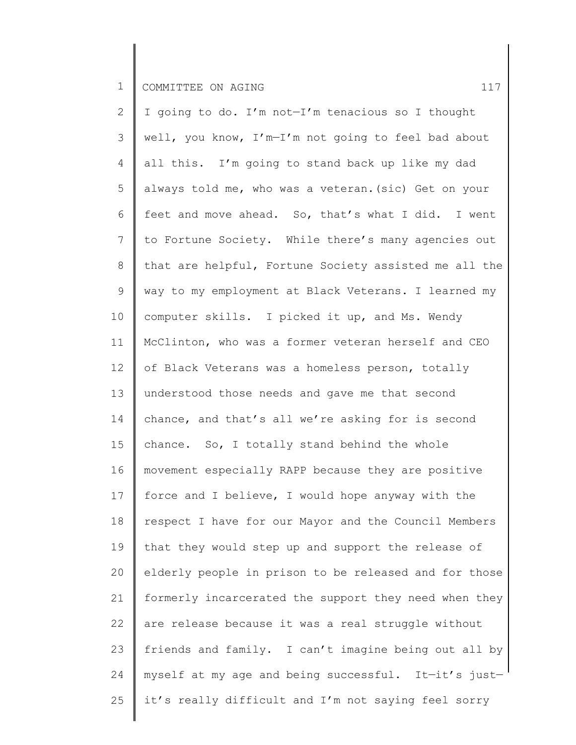2 3 4 5 6 7 8 9 10 11 12 13 14 15 16 17 18 19 20 21 22 23 24 25 I going to do. I'm not—I'm tenacious so I thought well, you know, I'm—I'm not going to feel bad about all this. I'm going to stand back up like my dad always told me, who was a veteran.(sic) Get on your feet and move ahead. So, that's what I did. I went to Fortune Society. While there's many agencies out that are helpful, Fortune Society assisted me all the way to my employment at Black Veterans. I learned my computer skills. I picked it up, and Ms. Wendy McClinton, who was a former veteran herself and CEO of Black Veterans was a homeless person, totally understood those needs and gave me that second chance, and that's all we're asking for is second chance. So, I totally stand behind the whole movement especially RAPP because they are positive force and I believe, I would hope anyway with the respect I have for our Mayor and the Council Members that they would step up and support the release of elderly people in prison to be released and for those formerly incarcerated the support they need when they are release because it was a real struggle without friends and family. I can't imagine being out all by myself at my age and being successful. It—it's just it's really difficult and I'm not saying feel sorry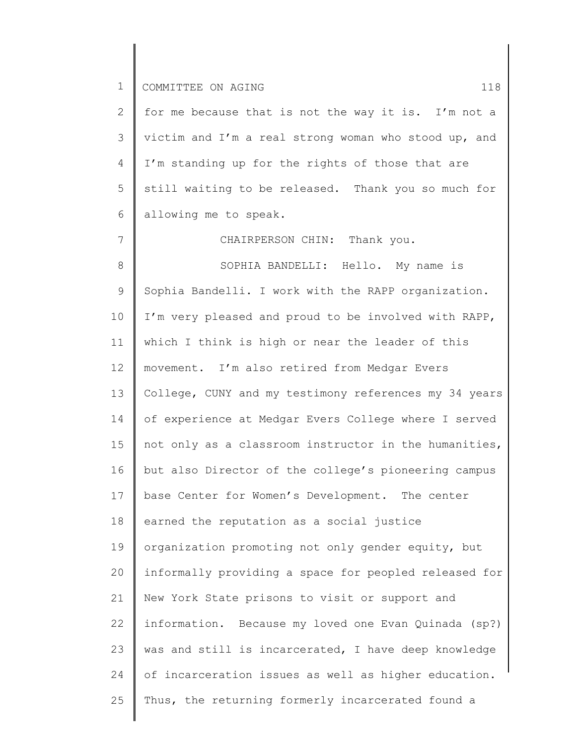7

2 3 4 5 6 for me because that is not the way it is. I'm not a victim and I'm a real strong woman who stood up, and I'm standing up for the rights of those that are still waiting to be released. Thank you so much for allowing me to speak.

CHAIRPERSON CHIN: Thank you.

8 9 10 11 12 13 14 15 16 17 18 19 20 21 22 23 24 25 SOPHIA BANDELLI: Hello. My name is Sophia Bandelli. I work with the RAPP organization. I'm very pleased and proud to be involved with RAPP, which I think is high or near the leader of this movement. I'm also retired from Medgar Evers College, CUNY and my testimony references my 34 years of experience at Medgar Evers College where I served not only as a classroom instructor in the humanities, but also Director of the college's pioneering campus base Center for Women's Development. The center earned the reputation as a social justice organization promoting not only gender equity, but informally providing a space for peopled released for New York State prisons to visit or support and information. Because my loved one Evan Quinada (sp?) was and still is incarcerated, I have deep knowledge of incarceration issues as well as higher education. Thus, the returning formerly incarcerated found a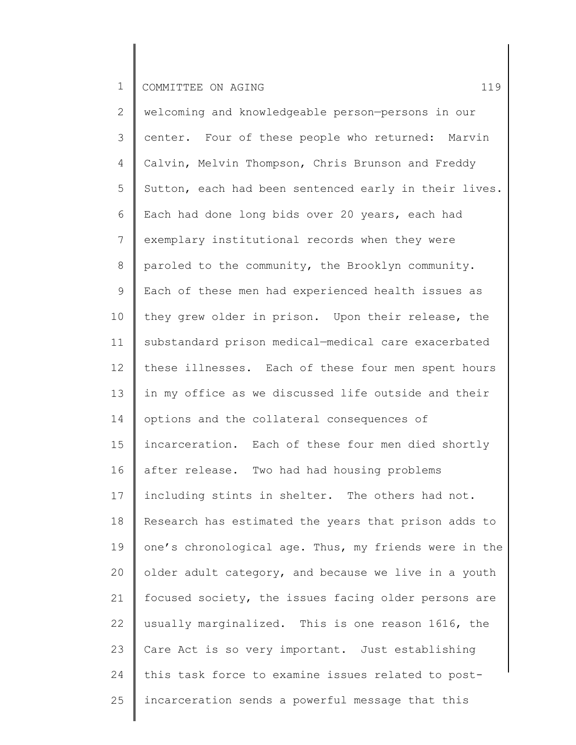2 3 4 5 6 7 8 9 10 11 12 13 14 15 16 17 18 19 20 21 22 23 24 25 welcoming and knowledgeable person—persons in our center. Four of these people who returned: Marvin Calvin, Melvin Thompson, Chris Brunson and Freddy Sutton, each had been sentenced early in their lives. Each had done long bids over 20 years, each had exemplary institutional records when they were paroled to the community, the Brooklyn community. Each of these men had experienced health issues as they grew older in prison. Upon their release, the substandard prison medical—medical care exacerbated these illnesses. Each of these four men spent hours in my office as we discussed life outside and their options and the collateral consequences of incarceration. Each of these four men died shortly after release. Two had had housing problems including stints in shelter. The others had not. Research has estimated the years that prison adds to one's chronological age. Thus, my friends were in the older adult category, and because we live in a youth focused society, the issues facing older persons are usually marginalized. This is one reason 1616, the Care Act is so very important. Just establishing this task force to examine issues related to postincarceration sends a powerful message that this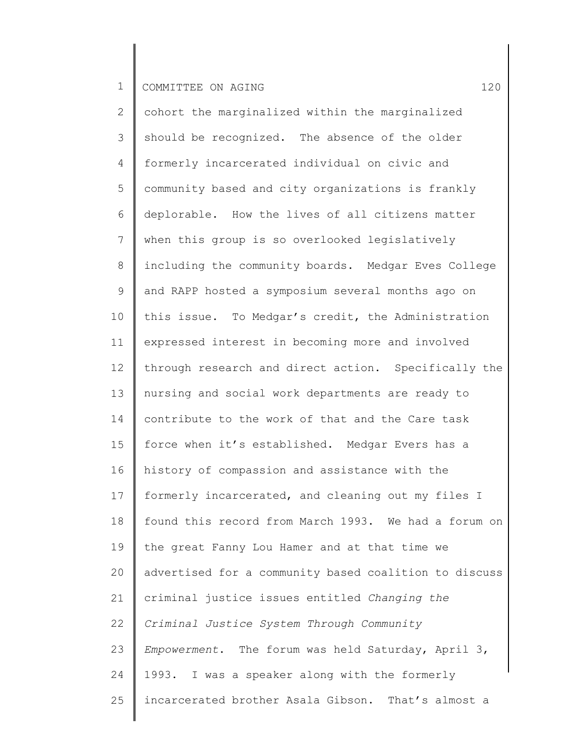2 3 4 5 6 7 8 9 10 11 12 13 14 15 16 17 18 19 20 21 22 23 24 25 cohort the marginalized within the marginalized should be recognized. The absence of the older formerly incarcerated individual on civic and community based and city organizations is frankly deplorable. How the lives of all citizens matter when this group is so overlooked legislatively including the community boards. Medgar Eves College and RAPP hosted a symposium several months ago on this issue. To Medgar's credit, the Administration expressed interest in becoming more and involved through research and direct action. Specifically the nursing and social work departments are ready to contribute to the work of that and the Care task force when it's established. Medgar Evers has a history of compassion and assistance with the formerly incarcerated, and cleaning out my files I found this record from March 1993. We had a forum on the great Fanny Lou Hamer and at that time we advertised for a community based coalition to discuss criminal justice issues entitled *Changing the Criminal Justice System Through Community Empowerment*. The forum was held Saturday, April 3, 1993. I was a speaker along with the formerly incarcerated brother Asala Gibson. That's almost a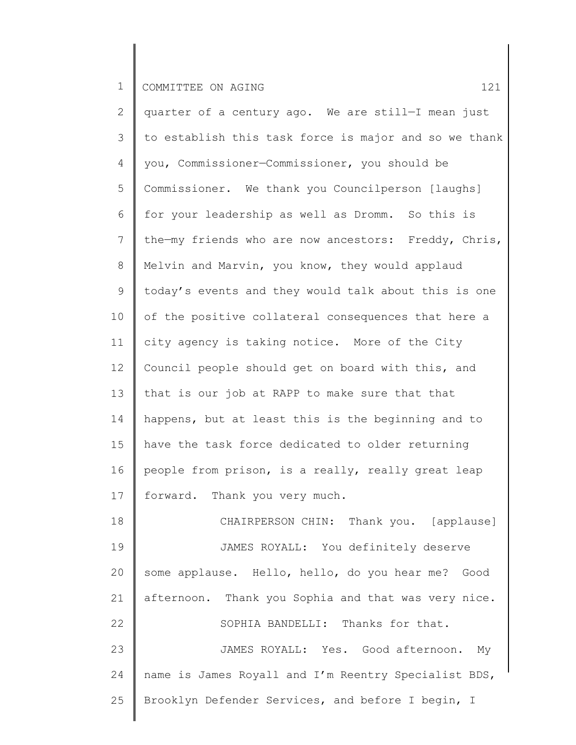2 3 4 5 6 7 8 9 10 11 12 13 14 15 16 17 18 19 20 quarter of a century ago. We are still—I mean just to establish this task force is major and so we thank you, Commissioner—Commissioner, you should be Commissioner. We thank you Councilperson [laughs] for your leadership as well as Dromm. So this is the—my friends who are now ancestors: Freddy, Chris, Melvin and Marvin, you know, they would applaud today's events and they would talk about this is one of the positive collateral consequences that here a city agency is taking notice. More of the City Council people should get on board with this, and that is our job at RAPP to make sure that that happens, but at least this is the beginning and to have the task force dedicated to older returning people from prison, is a really, really great leap forward. Thank you very much. CHAIRPERSON CHIN: Thank you. [applause] JAMES ROYALL: You definitely deserve some applause. Hello, hello, do you hear me? Good

21 22 afternoon. Thank you Sophia and that was very nice. SOPHIA BANDELLI: Thanks for that.

23 24 25 JAMES ROYALL: Yes. Good afternoon. My name is James Royall and I'm Reentry Specialist BDS, Brooklyn Defender Services, and before I begin, I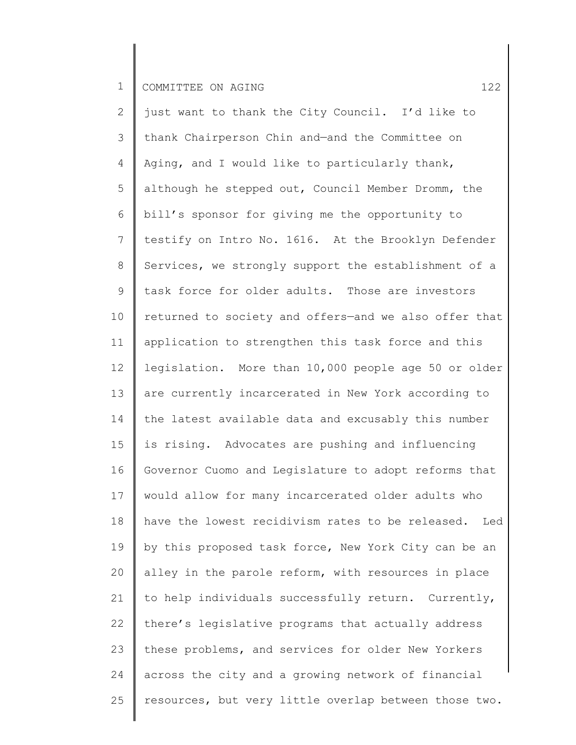2 3 4 5 6 7 8 9 10 11 12 13 14 15 16 17 18 19 20 21 22 23 24 25 just want to thank the City Council. I'd like to thank Chairperson Chin and—and the Committee on Aging, and I would like to particularly thank, although he stepped out, Council Member Dromm, the bill's sponsor for giving me the opportunity to testify on Intro No. 1616. At the Brooklyn Defender Services, we strongly support the establishment of a task force for older adults. Those are investors returned to society and offers—and we also offer that application to strengthen this task force and this legislation. More than 10,000 people age 50 or older are currently incarcerated in New York according to the latest available data and excusably this number is rising. Advocates are pushing and influencing Governor Cuomo and Legislature to adopt reforms that would allow for many incarcerated older adults who have the lowest recidivism rates to be released. Led by this proposed task force, New York City can be an alley in the parole reform, with resources in place to help individuals successfully return. Currently, there's legislative programs that actually address these problems, and services for older New Yorkers across the city and a growing network of financial resources, but very little overlap between those two.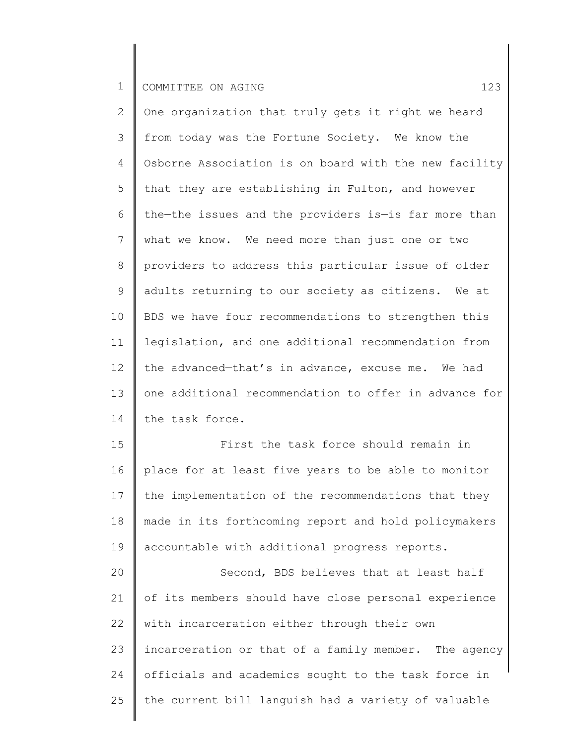2 3 4 5 6 7 8 9 10 11 12 13 14 One organization that truly gets it right we heard from today was the Fortune Society. We know the Osborne Association is on board with the new facility that they are establishing in Fulton, and however the—the issues and the providers is—is far more than what we know. We need more than just one or two providers to address this particular issue of older adults returning to our society as citizens. We at BDS we have four recommendations to strengthen this legislation, and one additional recommendation from the advanced—that's in advance, excuse me. We had one additional recommendation to offer in advance for the task force.

15 16 17 18 19 First the task force should remain in place for at least five years to be able to monitor the implementation of the recommendations that they made in its forthcoming report and hold policymakers accountable with additional progress reports.

20 21 22 23 24 25 Second, BDS believes that at least half of its members should have close personal experience with incarceration either through their own incarceration or that of a family member. The agency officials and academics sought to the task force in the current bill languish had a variety of valuable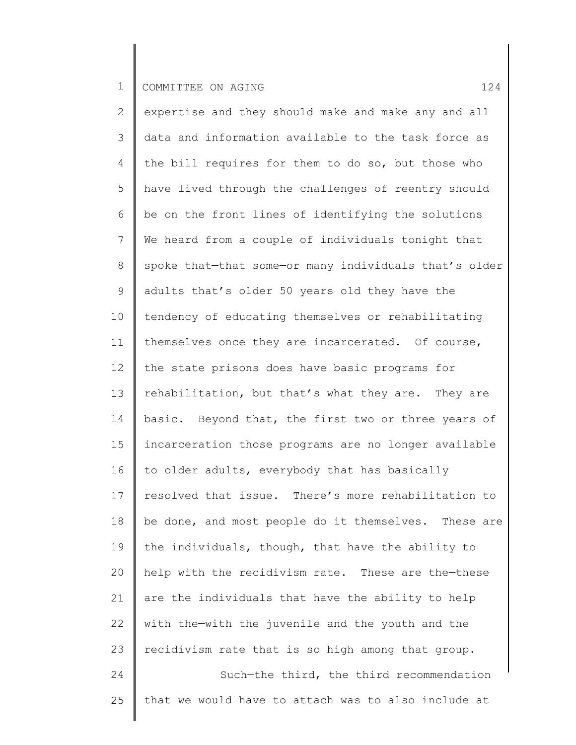2 3 4 5 6 7 8 9 10 11 12 13 14 15 16 17 18 19 20 21 22 23 24 25 expertise and they should make—and make any and all data and information available to the task force as the bill requires for them to do so, but those who have lived through the challenges of reentry should be on the front lines of identifying the solutions We heard from a couple of individuals tonight that spoke that—that some—or many individuals that's older adults that's older 50 years old they have the tendency of educating themselves or rehabilitating themselves once they are incarcerated. Of course, the state prisons does have basic programs for rehabilitation, but that's what they are. They are basic. Beyond that, the first two or three years of incarceration those programs are no longer available to older adults, everybody that has basically resolved that issue. There's more rehabilitation to be done, and most people do it themselves. These are the individuals, though, that have the ability to help with the recidivism rate. These are the-these are the individuals that have the ability to help with the—with the juvenile and the youth and the recidivism rate that is so high among that group. Such—the third, the third recommendation that we would have to attach was to also include at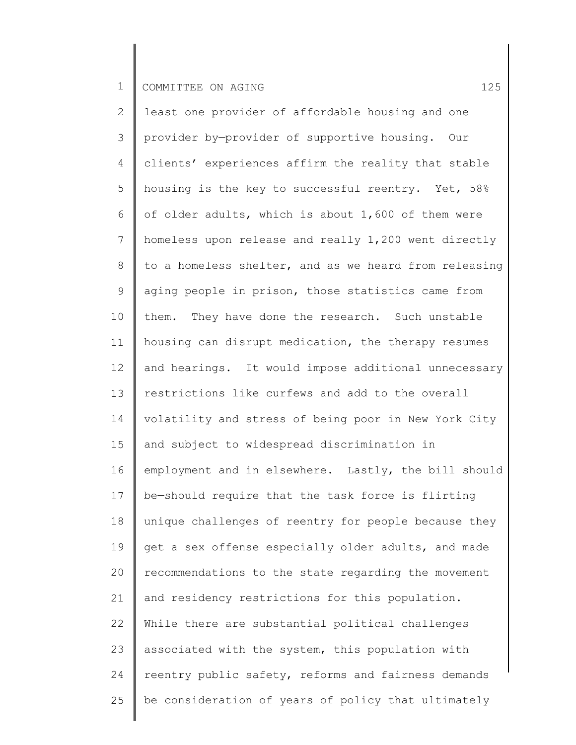2 3 4 5 6 7 8 9 10 11 12 13 14 15 16 17 18 19 20 21 22 23 24 25 least one provider of affordable housing and one provider by—provider of supportive housing. Our clients' experiences affirm the reality that stable housing is the key to successful reentry. Yet, 58% of older adults, which is about 1,600 of them were homeless upon release and really 1,200 went directly to a homeless shelter, and as we heard from releasing aging people in prison, those statistics came from them. They have done the research. Such unstable housing can disrupt medication, the therapy resumes and hearings. It would impose additional unnecessary restrictions like curfews and add to the overall volatility and stress of being poor in New York City and subject to widespread discrimination in employment and in elsewhere. Lastly, the bill should be—should require that the task force is flirting unique challenges of reentry for people because they get a sex offense especially older adults, and made recommendations to the state regarding the movement and residency restrictions for this population. While there are substantial political challenges associated with the system, this population with reentry public safety, reforms and fairness demands be consideration of years of policy that ultimately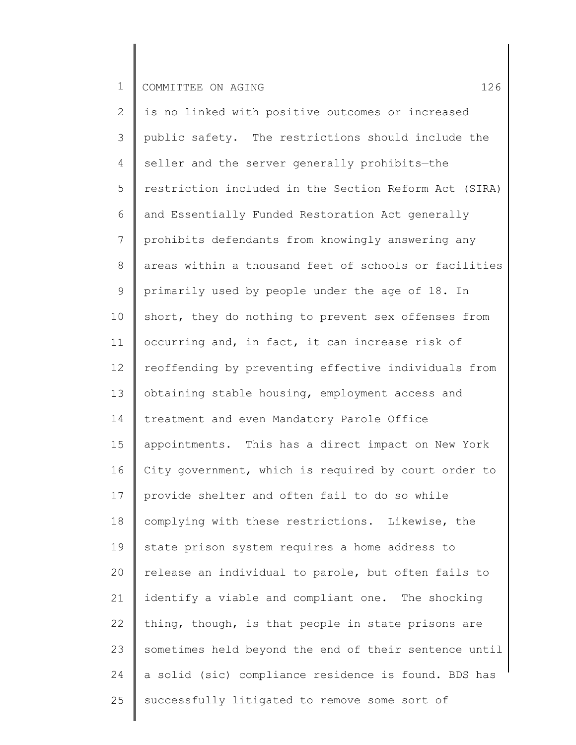2 3 4 5 6 7 8 9 10 11 12 13 14 15 16 17 18 19 20 21 22 23 24 25 is no linked with positive outcomes or increased public safety. The restrictions should include the seller and the server generally prohibits—the restriction included in the Section Reform Act (SIRA) and Essentially Funded Restoration Act generally prohibits defendants from knowingly answering any areas within a thousand feet of schools or facilities primarily used by people under the age of 18. In short, they do nothing to prevent sex offenses from occurring and, in fact, it can increase risk of reoffending by preventing effective individuals from obtaining stable housing, employment access and treatment and even Mandatory Parole Office appointments. This has a direct impact on New York City government, which is required by court order to provide shelter and often fail to do so while complying with these restrictions. Likewise, the state prison system requires a home address to release an individual to parole, but often fails to identify a viable and compliant one. The shocking thing, though, is that people in state prisons are sometimes held beyond the end of their sentence until a solid (sic) compliance residence is found. BDS has successfully litigated to remove some sort of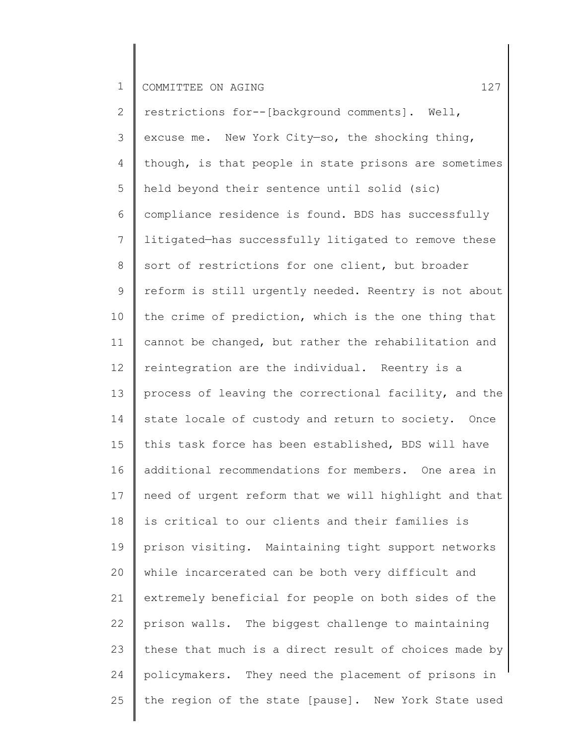2 3 4 5 6 7 8 9 10 11 12 13 14 15 16 17 18 19 20 21 22 23 24 25 restrictions for--[background comments]. Well, excuse me. New York City—so, the shocking thing, though, is that people in state prisons are sometimes held beyond their sentence until solid (sic) compliance residence is found. BDS has successfully litigated—has successfully litigated to remove these sort of restrictions for one client, but broader reform is still urgently needed. Reentry is not about the crime of prediction, which is the one thing that cannot be changed, but rather the rehabilitation and reintegration are the individual. Reentry is a process of leaving the correctional facility, and the state locale of custody and return to society. Once this task force has been established, BDS will have additional recommendations for members. One area in need of urgent reform that we will highlight and that is critical to our clients and their families is prison visiting. Maintaining tight support networks while incarcerated can be both very difficult and extremely beneficial for people on both sides of the prison walls. The biggest challenge to maintaining these that much is a direct result of choices made by policymakers. They need the placement of prisons in the region of the state [pause]. New York State used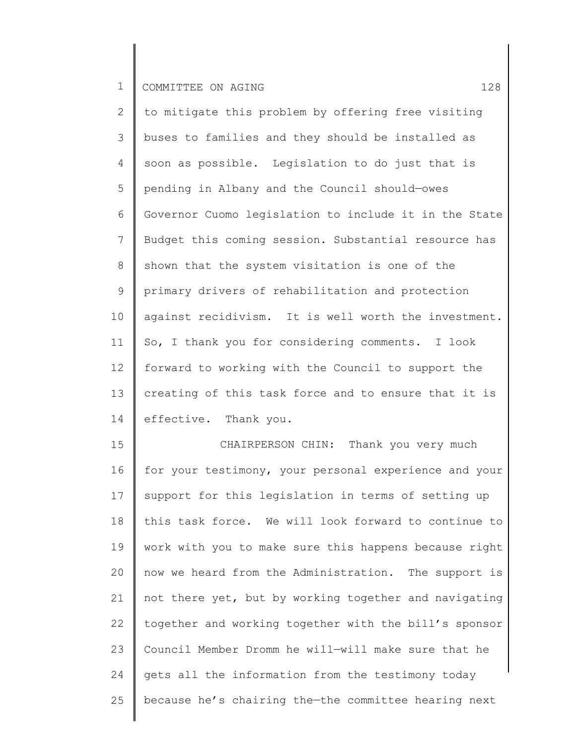2 3 4 5 6 7 8 9 10 11 12 13 14 to mitigate this problem by offering free visiting buses to families and they should be installed as soon as possible. Legislation to do just that is pending in Albany and the Council should—owes Governor Cuomo legislation to include it in the State Budget this coming session. Substantial resource has shown that the system visitation is one of the primary drivers of rehabilitation and protection against recidivism. It is well worth the investment. So, I thank you for considering comments. I look forward to working with the Council to support the creating of this task force and to ensure that it is effective. Thank you.

15 16 17 18 19 20 21 22 23 24 25 CHAIRPERSON CHIN: Thank you very much for your testimony, your personal experience and your support for this legislation in terms of setting up this task force. We will look forward to continue to work with you to make sure this happens because right now we heard from the Administration. The support is not there yet, but by working together and navigating together and working together with the bill's sponsor Council Member Dromm he will—will make sure that he gets all the information from the testimony today because he's chairing the—the committee hearing next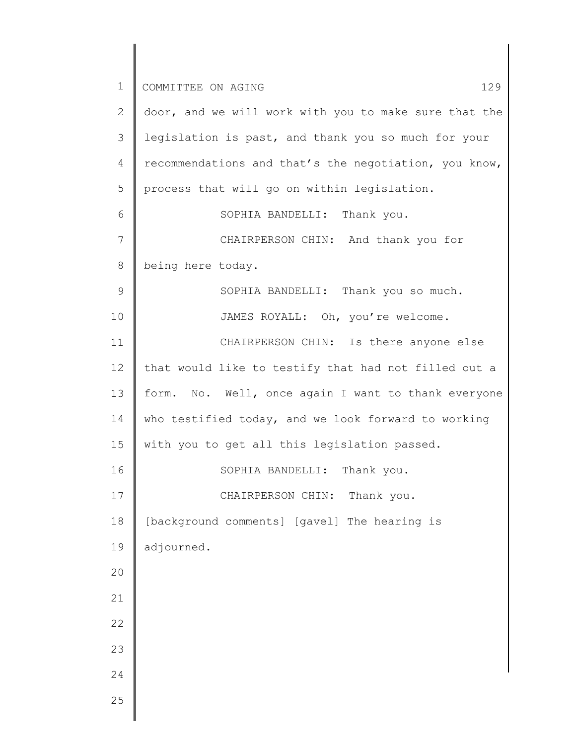1 2 3 4 5 6 7 8 9 10 11 12 13 14 15 16 17 18 19 20 21 22 23 24 25 COMMITTEE ON AGING 129 door, and we will work with you to make sure that the legislation is past, and thank you so much for your recommendations and that's the negotiation, you know, process that will go on within legislation. SOPHIA BANDELLI: Thank you. CHAIRPERSON CHIN: And thank you for being here today. SOPHIA BANDELLI: Thank you so much. JAMES ROYALL: Oh, you're welcome. CHAIRPERSON CHIN: Is there anyone else that would like to testify that had not filled out a form. No. Well, once again I want to thank everyone who testified today, and we look forward to working with you to get all this legislation passed. SOPHIA BANDELLI: Thank you. CHAIRPERSON CHIN: Thank you. [background comments] [gavel] The hearing is adjourned.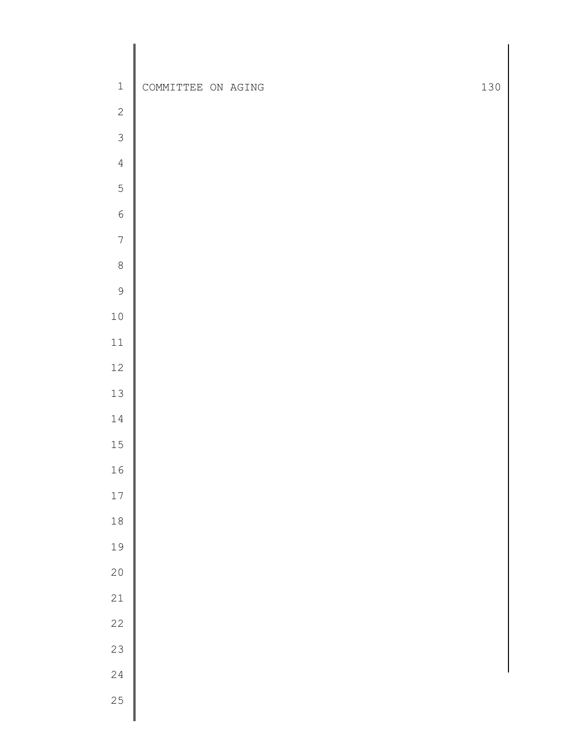| $\mathbf 1$                      | COMMITTEE ON AGING |  | 130 |
|----------------------------------|--------------------|--|-----|
| $\overline{c}$                   |                    |  |     |
| $\overline{3}$                   |                    |  |     |
| $\overline{4}$                   |                    |  |     |
| $\overline{5}$                   |                    |  |     |
| $\overline{6}$                   |                    |  |     |
| $\overline{7}$                   |                    |  |     |
| $\begin{array}{c} 8 \end{array}$ |                    |  |     |
| 9                                |                    |  |     |
| $10$                             |                    |  |     |
| $11\,$                           |                    |  |     |
| $12\,$                           |                    |  |     |
| $13\,$                           |                    |  |     |
| $1\,4$                           |                    |  |     |
| 15                               |                    |  |     |
| $16$                             |                    |  |     |
| $17$                             |                    |  |     |
| $18$                             |                    |  |     |
| 19                               |                    |  |     |
| 20                               |                    |  |     |
| 21                               |                    |  |     |
| 22                               |                    |  |     |
| 23                               |                    |  |     |
| 24                               |                    |  |     |
| 25                               | Ш                  |  |     |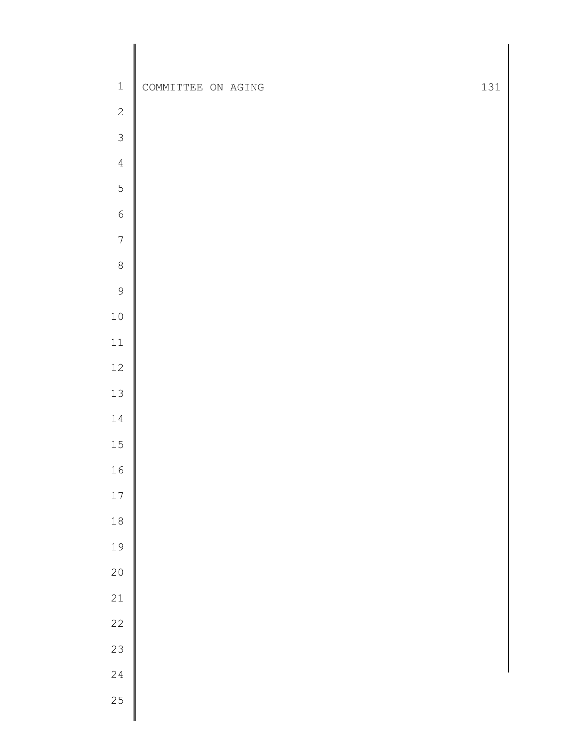| $\mathbf 1$                      | COMMITTEE ON AGING | 131 |
|----------------------------------|--------------------|-----|
| $\overline{c}$                   |                    |     |
| $\overline{3}$                   |                    |     |
| $\overline{4}$                   |                    |     |
| $\overline{5}$                   |                    |     |
| $\sqrt{6}$                       |                    |     |
| $\overline{7}$                   |                    |     |
| $\begin{array}{c} 8 \end{array}$ |                    |     |
| 9                                |                    |     |
| $10$                             |                    |     |
| $11\,$                           |                    |     |
| $12\,$                           |                    |     |
| 13                               |                    |     |
| $1\,4$                           |                    |     |
| 15                               |                    |     |
| 16                               |                    |     |
| $17$                             |                    |     |
| $1\,8$                           |                    |     |
| 19                               |                    |     |
| 20                               |                    |     |
| 21                               |                    |     |
| $2\sqrt{2}$                      |                    |     |
| 23                               |                    |     |
| 24                               |                    |     |
| 25                               | II                 |     |